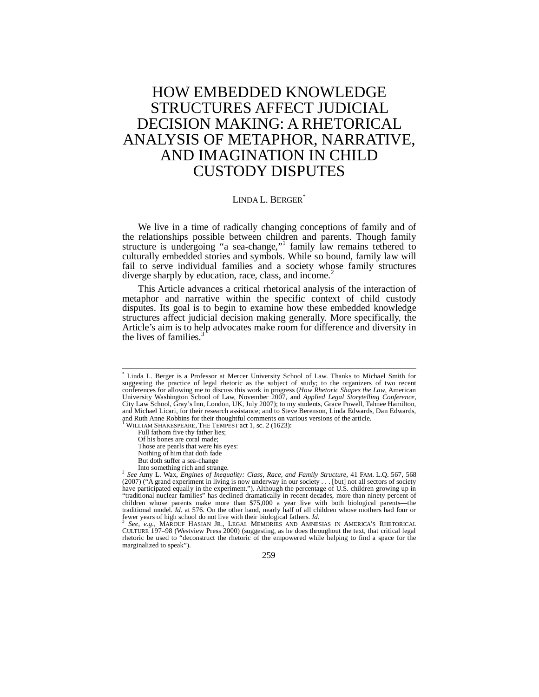# HOW EMBEDDED KNOWLEDGE STRUCTURES AFFECT JUDICIAL DECISION MAKING: A RHETORICAL ANALYSIS OF METAPHOR, NARRATIVE, AND IMAGINATION IN CHILD CUSTODY DISPUTES

# LINDA L. BERGER<sup>\*</sup>

We live in a time of radically changing conceptions of family and of the relationships possible between children and parents. Though family structure is undergoing "a sea-change," family law remains tethered to culturally embedded stories and symbols. While so bound, family law will fail to serve individual families and a society whose family structures diverge sharply by education, race, class, and income.<sup>2</sup>

This Article advances a critical rhetorical analysis of the interaction of metaphor and narrative within the specific context of child custody disputes. Its goal is to begin to examine how these embedded knowledge structures affect judicial decision making generally. More specifically, the Article's aim is to help advocates make room for difference and diversity in the lives of families. $3$ 

1 WILLIAM SHAKESPEARE, THE TEMPEST act 1, sc. 2 (1623):

Full fathom five thy father lies; Of his bones are coral made;

Those are pearls that were his eyes:

Nothing of him that doth fade

CULTURE 197–98 (Westview Press 2000) (suggesting, as he does throughout the text, that critical legal rhetoric be used to "deconstruct the rhetoric of the empowered while helping to find a space for the marginalized to speak").

259

 \* Linda L. Berger is a Professor at Mercer University School of Law. Thanks to Michael Smith for suggesting the practice of legal rhetoric as the subject of study; to the organizers of two recent conferences for allowing me to discuss this work in progress (*How Rhetoric Shapes the Law*, American University Washington School of Law, November 2007, and *Applied Legal Storytelling Conference*, City Law School, Gray's Inn, London, UK, July 2007); to my students, Grace Powell, Tahnee Hamilton, and Michael Licari, for their research assistance; and to Steve Berenson, Linda Edwards, Dan Edwards, and Ruth Anne Robbins for their thoughtful comments on various versions of the article.

But doth suffer a sea-change<br>Into something rich and strange.

Into something rich and strange. 2 *See* Amy L. Wax, *Engines of Inequality: Class, Race, and Family Structure*, 41 FAM. L.Q. 567, 568 (2007) ("A grand experiment in living is now underway in our society . . . [but] not all sectors of society have participated equally in the experiment."). Although the percentage of U.S. children growing up in "traditional nuclear families" has declined dramatically in recent decades, more than ninety percent of children whose parents make more than \$75,000 a year live with both biological parents—the traditional model. *Id.* at 576. On the other hand, nearly half of all children whose mothers had four or fewer years of high school do not live with their biological fathers. *Id.* 3 *See, e.g.*, MAROUF HASIAN JR., LEGAL MEMORIES AND AMNESIAS IN AMERICA'S RHETORICAL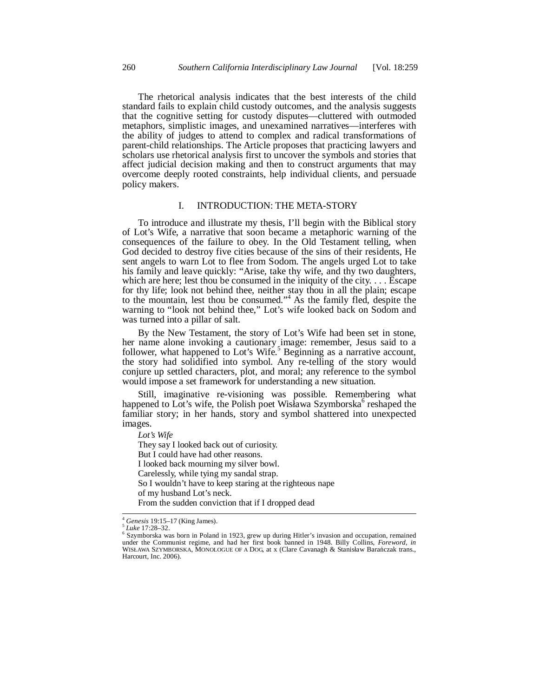The rhetorical analysis indicates that the best interests of the child standard fails to explain child custody outcomes, and the analysis suggests that the cognitive setting for custody disputes—cluttered with outmoded metaphors, simplistic images, and unexamined narratives—interferes with the ability of judges to attend to complex and radical transformations of parent-child relationships. The Article proposes that practicing lawyers and scholars use rhetorical analysis first to uncover the symbols and stories that affect judicial decision making and then to construct arguments that may overcome deeply rooted constraints, help individual clients, and persuade policy makers.

### I. INTRODUCTION: THE META-STORY

To introduce and illustrate my thesis, I'll begin with the Biblical story of Lot's Wife, a narrative that soon became a metaphoric warning of the consequences of the failure to obey. In the Old Testament telling, when God decided to destroy five cities because of the sins of their residents, He sent angels to warn Lot to flee from Sodom. The angels urged Lot to take his family and leave quickly: "Arise, take thy wife, and thy two daughters, which are here; lest thou be consumed in the iniquity of the city. . . . Escape for thy life; look not behind thee, neither stay thou in all the plain; escape to the mountain, lest thou be consumed."<sup>4</sup> As the family fled, despite the warning to "look not behind thee," Lot's wife looked back on Sodom and was turned into a pillar of salt.

By the New Testament, the story of Lot's Wife had been set in stone, her name alone invoking a cautionary image: remember, Jesus said to a follower, what happened to Lot's Wife.<sup>5</sup> Beginning as a narrative account, the story had solidified into symbol. Any re-telling of the story would conjure up settled characters, plot, and moral; any reference to the symbol would impose a set framework for understanding a new situation.

Still, imaginative re-visioning was possible. Remembering what happened to Lot's wife, the Polish poet Wisława Szymborska<sup>6</sup> reshaped the familiar story; in her hands, story and symbol shattered into unexpected images.

*Lot's Wife* 

They say I looked back out of curiosity. But I could have had other reasons. I looked back mourning my silver bowl. Carelessly, while tying my sandal strap. So I wouldn't have to keep staring at the righteous nape of my husband Lot's neck. From the sudden conviction that if I dropped dead

 $\overline{a}$ 

<sup>4</sup> *Genesis* 19:15–17 (King James). 5 *Luke* 17:28–32. 6

Szymborska was born in Poland in 1923, grew up during Hitler's invasion and occupation, remained under the Communist regime, and had her first book banned in 1948. Billy Collins, *Foreword*, *in* WISŁAWA SZYMBORSKA, MONOLOGUE OF A DOG, at x (Clare Cavanagh & Stanisław Barańczak trans., Harcourt, Inc. 2006).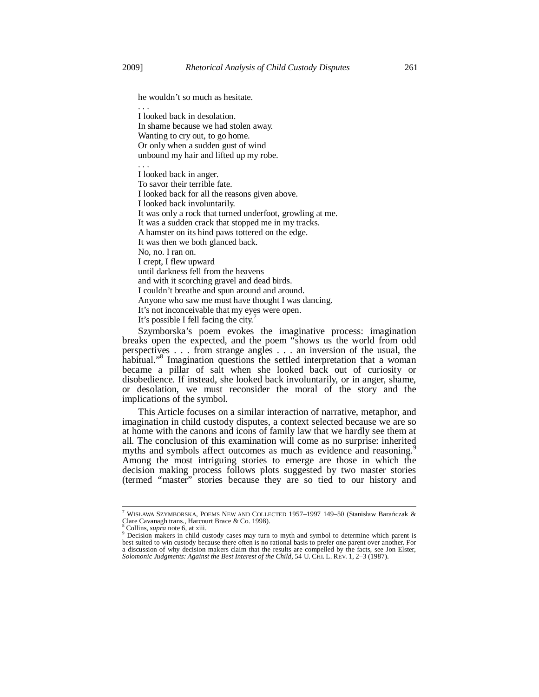. . .

he wouldn't so much as hesitate.

I looked back in desolation. In shame because we had stolen away. Wanting to cry out, to go home. Or only when a sudden gust of wind unbound my hair and lifted up my robe.

. . . I looked back in anger. To savor their terrible fate. I looked back for all the reasons given above. I looked back involuntarily. It was only a rock that turned underfoot, growling at me. It was a sudden crack that stopped me in my tracks. A hamster on its hind paws tottered on the edge. It was then we both glanced back. No, no. I ran on. I crept, I flew upward until darkness fell from the heavens and with it scorching gravel and dead birds. I couldn't breathe and spun around and around. Anyone who saw me must have thought I was dancing. It's not inconceivable that my eyes were open. It's possible I fell facing the city.<sup>7</sup>

Szymborska's poem evokes the imaginative process: imagination breaks open the expected, and the poem "shows us the world from odd perspectives . . . from strange angles . . . an inversion of the usual, the habitual."<sup>8</sup> Imagination questions the settled interpretation that a woman became a pillar of salt when she looked back out of curiosity or disobedience. If instead, she looked back involuntarily, or in anger, shame, or desolation, we must reconsider the moral of the story and the implications of the symbol.

This Article focuses on a similar interaction of narrative, metaphor, and imagination in child custody disputes, a context selected because we are so at home with the canons and icons of family law that we hardly see them at all. The conclusion of this examination will come as no surprise: inherited myths and symbols affect outcomes as much as evidence and reasoning.<sup>5</sup> Among the most intriguing stories to emerge are those in which the decision making process follows plots suggested by two master stories (termed "master" stories because they are so tied to our history and

<sup>&</sup>lt;sup>7</sup> WISŁAWA SZYMBORSKA, POEMS NEW AND COLLECTED 1957–1997 149–50 (Stanisław Barańczak & Colline Cavanagh trans., Harcourt Brace & Co. 1998).

Collins, *supra* note 6, at xiii.

<sup>&</sup>lt;sup>9</sup> Decision makers in child custody cases may turn to myth and symbol to determine which parent is best suited to win custody because there often is no rational basis to prefer one parent over another. For a discussion of why decision makers claim that the results are compelled by the facts, see Jon Elster, *Solomonic Judgments: Against the Best Interest of the Child*, 54 U. CHI. L. REV. 1, 2–3 (1987).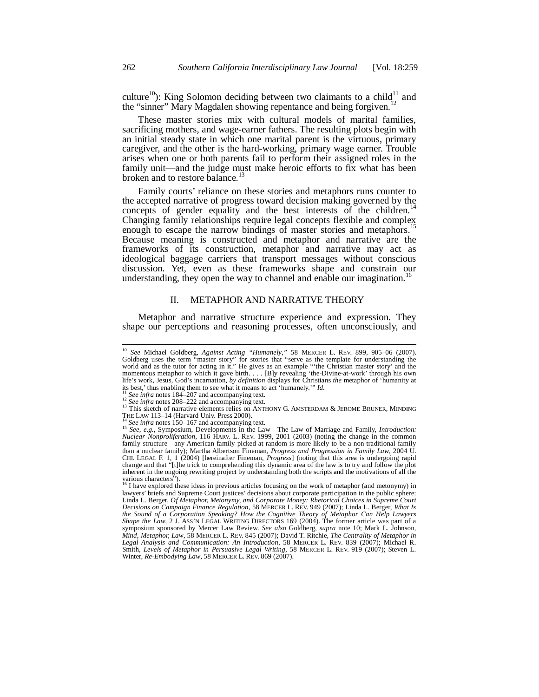culture<sup>10</sup>): King Solomon deciding between two claimants to a child<sup>11</sup> and the "sinner" Mary Magdalen showing repentance and being forgiven.<sup>12</sup>

These master stories mix with cultural models of marital families, sacrificing mothers, and wage-earner fathers. The resulting plots begin with an initial steady state in which one marital parent is the virtuous, primary caregiver, and the other is the hard-working, primary wage earner. Trouble arises when one or both parents fail to perform their assigned roles in the family unit—and the judge must make heroic efforts to fix what has been broken and to restore balance.<sup>1</sup>

Family courts' reliance on these stories and metaphors runs counter to the accepted narrative of progress toward decision making governed by the concepts of gender equality and the best interests of the children. $14$ Changing family relationships require legal concepts flexible and complex enough to escape the narrow bindings of master stories and metaphors.<sup>15</sup> Because meaning is constructed and metaphor and narrative are the frameworks of its construction, metaphor and narrative may act as ideological baggage carriers that transport messages without conscious discussion. Yet, even as these frameworks shape and constrain our understanding, they open the way to channel and enable our imagination.<sup>1</sup>

# II. METAPHOR AND NARRATIVE THEORY

Metaphor and narrative structure experience and expression. They shape our perceptions and reasoning processes, often unconsciously, and

<sup>&</sup>lt;sup>10</sup> *See* Michael Goldberg, *Against Acting "Humanely*," 58 MERCER L. REV. 899, 905–06 (2007). Goldberg uses the term "master story" for stories that "serve as the template for understanding the world and as the tutor for acting in it." He gives as an example "'the Christian master story' and the momentous metaphor to which it gave birth. . . . [B]y revealing 'the-Divine-at-work' through his own life's work, Jesus, God's incarnation, *by definition* displays for Christians *the* metaphor of 'humanity at its best,' thus enabling them to see what it means to act 'humanely.'" *Id.*<br><sup>11</sup> See infra notes 184–207 and ac

<sup>28</sup> *up/u* inviss 104–2007 and accompanying text.<br>
<sup>12</sup> See infra notes 208–222 and accompanying text.<br>
<sup>13</sup> This sketch of narrative elements relies on ANTHONY G. AMSTERDAM & JEROME BRUNER, MINDING<br>
THE LAW 113–14 (Harvar

The *See infra* notes 150–167 and accompanying text.<br><sup>15</sup> *See, e.g.*, Symposium, Developments in the Law—The Law of Marriage and Family, *Introduction*: *Nuclear Nonproliferation*, 116 HARV. L. REV. 1999, 2001 (2003) (noting the change in the common family structure—any American family picked at random is more likely to be a non-traditional family than a nuclear family); Martha Albertson Fineman, *Progress and Progression in Family Law*, 2004 U. CHI. LEGAL F. 1, 1 (2004) [hereinafter Fineman, *Progress*] (noting that this area is undergoing rapid change and that "[t]he trick to comprehending this dynamic area of the law is to try and follow the plot inherent in the ongoing rewriting project by understanding both the scripts and the motivations of all the various characters").<br><sup>16</sup> I have explored these ideas in previous articles focusing on the work of metaphor (and metonymy) in

lawyers' briefs and Supreme Court justices' decisions about corporate participation in the public sphere: Linda L. Berger, *Of Metaphor, Metonymy, and Corporate Money: Rhetorical Choices in Supreme Court Decisions on Campaign Finance Regulation*, 58 MERCER L. REV. 949 (2007); Linda L. Berger, *What Is*  the Sound of a Corporation Speaking? How the Cognitive Theory of Metaphor Can Help Lawyers<br>Shape the Law, 2 J. ASS'N LEGAL WRITING DIRECTORS 169 (2004). The former article was part of a<br>symposium sponsored by Mercer Law Re *Mind, Metaphor, Law*, 58 MERCER L. REV. 845 (2007); David T. Ritchie, *The Centrality of Metaphor in Legal Analysis and Communication: An Introduction*, 58 MERCER L. REV. 839 (2007); Michael R. Smith, *Levels of Metaphor in Persuasive Legal Writing*, 58 MERCER L. REV. 919 (2007); Steven L. Winter, *Re-Embodying Law*, 58 MERCER L. REV. 869 (2007).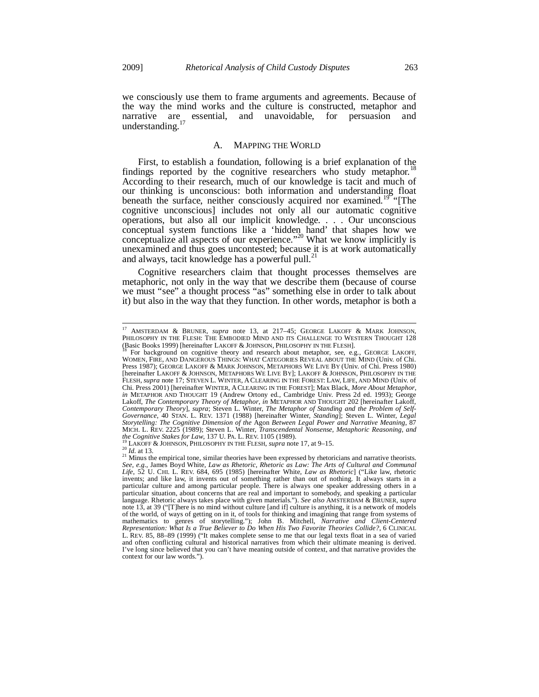we consciously use them to frame arguments and agreements. Because of the way the mind works and the culture is constructed, metaphor and narrative are essential, and unavoidable, for persuasion and understanding.<sup>17</sup>

# A. MAPPING THE WORLD

First, to establish a foundation, following is a brief explanation of the findings reported by the cognitive researchers who study metaphor.<sup>1</sup> According to their research, much of our knowledge is tacit and much of our thinking is unconscious: both information and understanding float beneath the surface, neither consciously acquired nor examined.<sup>19</sup> [The cognitive unconscious] includes not only all our automatic cognitive operations, but also all our implicit knowledge. . . . Our unconscious conceptual system functions like a 'hidden hand' that shapes how we conceptualize all aspects of our experience."20 What we know implicitly is unexamined and thus goes uncontested; because it is at work automatically and always, tacit knowledge has a powerful pull.<sup>21</sup>

Cognitive researchers claim that thought processes themselves are metaphoric, not only in the way that we describe them (because of course we must "see" a thought process "as" something else in order to talk about it) but also in the way that they function. In other words, metaphor is both a

<sup>17</sup> AMSTERDAM & BRUNER, *supra* note 13, at 217–45; GEORGE LAKOFF & MARK JOHNSON, PHILOSOPHY IN THE FLESH: THE EMBODIED MIND AND ITS CHALLENGE TO WESTERN THOUGHT 128<br>(Basic Books 1999) [hereinafter LAKOFF & JOHNSON, PHILOSOPHY IN THE FLESH].

For background on cognitive theory and research about metaphor, see, e.g., GEORGE LAKOFF, WOMEN, FIRE, AND DANGEROUS THINGS: WHAT CATEGORIES REVEAL ABOUT THE MIND (Univ. of Chi. Press 1987); GEORGE LAKOFF & MARK JOHNSON, METAPHORS WE LIVE BY (Univ. of Chi. Press 1980) [hereinafter LAKOFF & JOHNSON, METAPHORS WE LIVE BY]; LAKOFF & JOHNSON, PHILOSOPHY IN THE FLESH, *supra* note 17; STEVEN L. WINTER, ACLEARING IN THE FOREST: LAW, LIFE, AND MIND (Univ. of Chi. Press 2001) [hereinafter WINTER, ACLEARING IN THE FOREST]; Max Black, *More About Metaphor*, *in* METAPHOR AND THOUGHT 19 (Andrew Ortony ed., Cambridge Univ. Press 2d ed. 1993); George Lakoff, *The Contemporary Theory of Metaphor*, *in* METAPHOR AND THOUGHT 202 [hereinafter Lakoff, Contemporary Theory], supra; Steven L. Winter, The Metaphor of Standing and the Problem of Self-<br>Governance, 40 STAN. L. REV. 1371 (1988) [hereinafter Winter, Standing]; Steven L. Winter, Legal *Storytelling: The Cognitive Dimension of the* Agon *Between Legal Power and Narrative Meaning*, 87 MICH. L. REV. 2225 (1989); Steven L. Winter, *Transcendental Nonsense, Metaphoric Reasoning, and* the Cognitive Stakes for Law, 137 U. PA. L. REV. 1105 (1989).

the Cognitive Stakes for Law, 137 U. PA. L. REV. 1105 (1989).<br><sup>19</sup> LAKOFF & JOHNSON, PHILOSOPHY IN THE FLESH, *supra* note 17, at 9–15.<br><sup>20</sup> Id. at 13.<br><sup>21</sup> Minus the empirical tone, similar theories have been expressed by *Life*, 52 U. CHI. L. REV. 684, 695 (1985) [hereinafter White, *Law as Rhetoric*] ("Like law, rhetoric invents; and like law, it invents out of something rather than out of nothing. It always starts in a particular culture and among particular people. There is always one speaker addressing others in a particular situation, about concerns that are real and important to somebody, and speaking a particular language. Rhetoric always takes place with given materials."). *See also* AMSTERDAM & BRUNER, *supra* note 13, at 39 ("[T]here is no mind without culture [and if] culture is anything, it is a network of models of the world, of ways of getting on in it, of tools for thinking and imagining that range from systems of mathematics to genres of storytelling."); John B. Mitchell, *Narrative and Client-Centered Representation: What Is a True Believer to Do When His Two Favorite Theories Collide?*, 6 CLINICAL L. REV. 85, 88–89 (1999) ("It makes complete sense to me that our legal texts float in a sea of varied and often conflicting cultural and historical narratives from which their ultimate meaning is derived. I've long since believed that you can't have meaning outside of context, and that narrative provides the context for our law words.").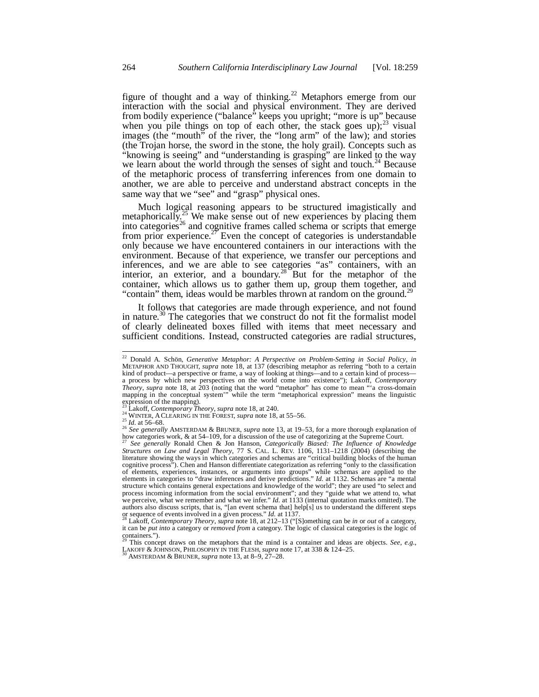figure of thought and a way of thinking.<sup>22</sup> Metaphors emerge from our interaction with the social and physical environment. They are derived from bodily experience ("balance" keeps you upright; "more is up" because when you pile things on top of each other, the stack goes up); $^{23}$  visual images (the "mouth" of the river, the "long arm" of the law); and stories (the Trojan horse, the sword in the stone, the holy grail). Concepts such as "knowing is seeing" and "understanding is grasping" are linked to the way we learn about the world through the senses of sight and touch.<sup>24</sup> Because of the metaphoric process of transferring inferences from one domain to another, we are able to perceive and understand abstract concepts in the same way that we "see" and "grasp" physical ones.

Much logical reasoning appears to be structured imagistically and metaphorically.<sup>25</sup> We make sense out of new experiences by placing them into categories<sup>26</sup> and cognitive frames called schema or scripts that emerge from prior experience.<sup>27</sup> Even the concept of categories is understandable only because we have encountered containers in our interactions with the environment. Because of that experience, we transfer our perceptions and inferences, and we are able to see categories "as" containers, with an interior, an exterior, and a boundary.<sup>28</sup> But for the metaphor of the container, which allows us to gather them up, group them together, and "contain" them, ideas would be marbles thrown at random on the ground.<sup>29</sup>

It follows that categories are made through experience, and not found in nature.<sup>30</sup> The categories that we construct do not fit the formalist model of clearly delineated boxes filled with items that meet necessary and sufficient conditions. Instead, constructed categories are radial structures,

<sup>22</sup> Donald A. Schön, *Generative Metaphor: A Perspective on Problem-Setting in Social Policy*, *in* METAPHOR AND THOUGHT, *supra* note 18, at 137 (describing metaphor as referring "both to a certain kind of product—a perspective or frame, a way of looking at things—and to a certain kind of process a process by which new perspectives on the world come into existence"); Lakoff, *Contemporary Theory*, *supra* note 18, at 203 (noting that the word "metaphor" has come to mean "'a cross-domain mapping in the conceptual system'" while the term "metaphorical expression" means the linguistic expression of the mapping).<br><sup>23</sup> Lakoff, *Contemporary Theory*, *supra* note 18, at 240.

<sup>24</sup> WINTER, A CLEARING IN THE FOREST, *supra* note 18, at 55–56.<br><sup>25</sup> Id. at 56–68.<br><sup>25</sup> Id. at 56–68.<br><sup>26</sup> See generally AMSTERDAM & BRUNER, *supra* note 13, at 19–53, for a more thorough explanation of how categories work, & at 54–109, for a discussion of the use of categorizing at the Supreme Court.

<sup>27</sup> *See generally* Ronald Chen & Jon Hanson, *Categorically Biased: The Influence of Knowledge Structures on Law and Legal Theory*, 77 S. CAL. L. REV. 1106, 1131–1218 (2004) (describing the literature showing the ways in which categories and schemas are "critical building blocks of the human cognitive process"). Chen and Hanson differentiate categorization as referring "only to the classification of elements, experiences, instances, or arguments into groups" while schemas are applied to the elements in categories to "draw inferences and derive predictions." *Id.* at 1132. Schemas are "a mental structure which contains general expectations and knowledge of the world"; they are used "to select and process incoming information from the social environment"; and they "guide what we attend to, what we remember and what we infer." *Id.* at 1133 (internal quotation marks omitted). The authors also discuss scripts, that is, "[an event schema that] help[s] us to understand the different steps of sequence of events involved in a given process."  $Id$  at 1137.

Lakoff, *Contemporary Theory*, *supra* note 18, at 212-13 ("[S]omething can be *in* or *out* of a category, it can be *put into* a category or *removed from* a category. The logic of classical categories is the logic of containers.").

<sup>29</sup> This concept draws on the metaphors that the mind is a container and ideas are objects. *See, e.g.*, LAKOFF & JOHNSON, PHILOSOPHY IN THE FLESH, *supra* note 17, at 338 & 124–25. 30 AMSTERDAM & BRUNER, *supra* note 13, at 8–9, 27–28.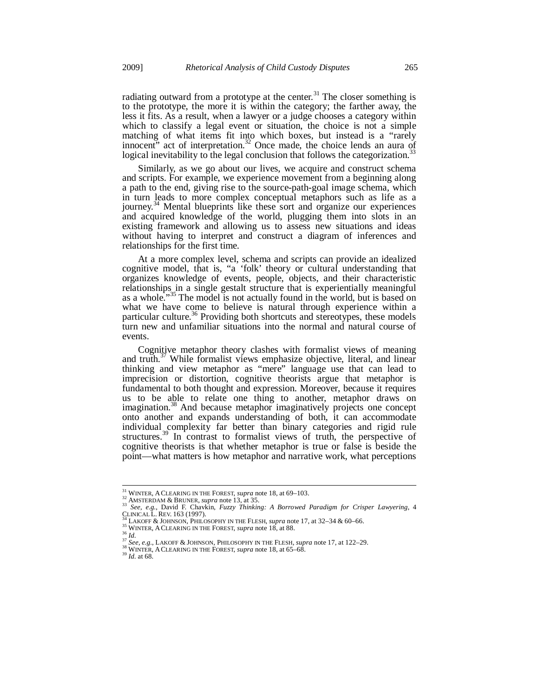radiating outward from a prototype at the center.<sup>31</sup> The closer something is to the prototype, the more it is within the category; the farther away, the less it fits. As a result, when a lawyer or a judge chooses a category within which to classify a legal event or situation, the choice is not a simple matching of what items fit into which boxes, but instead is a "rarely innocent" act of interpretation.<sup>32</sup> Once made, the choice lends an aura of logical inevitability to the legal conclusion that follows the categorization.<sup>33</sup>

Similarly, as we go about our lives, we acquire and construct schema and scripts. For example, we experience movement from a beginning along a path to the end, giving rise to the source-path-goal image schema, which in turn leads to more complex conceptual metaphors such as life as a journey.<sup>34</sup> Mental blueprints like these sort and organize our experiences and acquired knowledge of the world, plugging them into slots in an existing framework and allowing us to assess new situations and ideas without having to interpret and construct a diagram of inferences and relationships for the first time.

At a more complex level, schema and scripts can provide an idealized cognitive model, that is, "a 'folk' theory or cultural understanding that organizes knowledge of events, people, objects, and their characteristic relationships in a single gestalt structure that is experientially meaningful as a whole."<sup>35</sup> The model is not actually found in the world, but is based on what we have come to believe is natural through experience within a particular culture.<sup>36</sup> Providing both shortcuts and stereotypes, these models turn new and unfamiliar situations into the normal and natural course of events.

Cognitive metaphor theory clashes with formalist views of meaning and truth. $37$  While formalist views emphasize objective, literal, and linear thinking and view metaphor as "mere" language use that can lead to imprecision or distortion, cognitive theorists argue that metaphor is fundamental to both thought and expression. Moreover, because it requires us to be able to relate one thing to another, metaphor draws on imagination.<sup>38</sup> And because metaphor imaginatively projects one concept onto another and expands understanding of both, it can accommodate individual complexity far better than binary categories and rigid rule structures.<sup>39</sup> In contrast to formalist views of truth, the perspective of cognitive theorists is that whether metaphor is true or false is beside the point—what matters is how metaphor and narrative work, what perceptions

<sup>&</sup>lt;sup>31</sup> WINTER, A CLEARING IN THE FOREST, *supra* note 18, at 69-103.

<sup>&</sup>lt;sup>32</sup> WINTER, A CLEARING IN THE FOREST, *Supplement 10, m/s/2002*<br>
<sup>33</sup> See, e.g., David F. Chavkin, *Fuzzy Thinking: A Borrowed Paradigm for Crisper Lawyering*, 4<br>
CLINICAL L. REV. 163 (1997).<br>
<sup>34</sup> LAKOFF & JOHNSON, PHILO

<sup>&</sup>lt;sup>35</sup> WINTER, A CLEARING IN THE FOREST, *supra* note 18, at 88.<br><sup>36</sup> Id.<br><sup>37</sup> See, e.g., LAKOFF & JOHNSON, PHILOSOPHY IN THE FLESH, *supra* note 17, at 122–29.<br><sup>38</sup> WINTER, A CLEARING IN THE FOREST, *supra* note 18, at 65–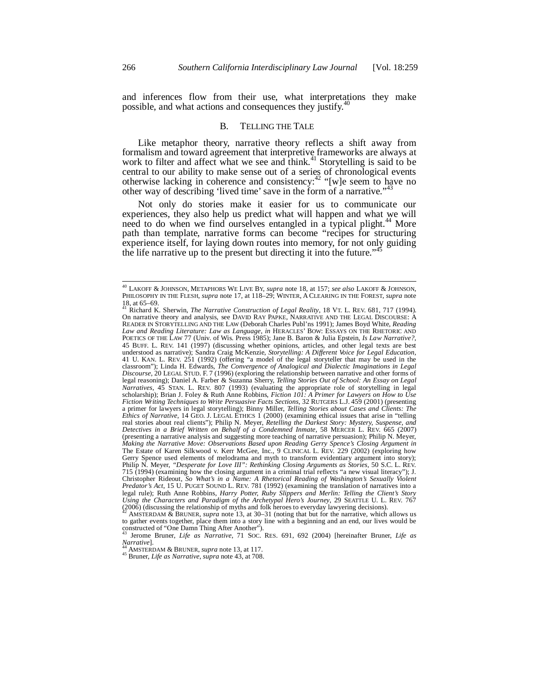and inferences flow from their use, what interpretations they make possible, and what actions and consequences they justify.<sup>40</sup>

# B. TELLING THE TALE

Like metaphor theory, narrative theory reflects a shift away from formalism and toward agreement that interpretive frameworks are always at work to filter and affect what we see and think.<sup>41</sup> Storytelling is said to be central to our ability to make sense out of a series of chronological events otherwise lacking in coherence and consistency:<sup>42</sup> "[w]e seem to have no other way of describing 'lived time' save in the form of a narrative."<sup>4</sup>

Not only do stories make it easier for us to communicate our experiences, they also help us predict what will happen and what we will need to do when we find ourselves entangled in a typical plight.<sup>44</sup> More path than template, narrative forms can become "recipes for structuring experience itself, for laying down routes into memory, for not only guiding the life narrative up to the present but directing it into the future."<sup>4</sup>

*Narrative*]. 44 AMSTERDAM & BRUNER, *supra* note 13, at 117. 45 Bruner, *Life as Narrative*, *supra* note 43, at 708.

<sup>40</sup> LAKOFF & JOHNSON, METAPHORS WE LIVE BY, *supra* note 18, at 157; *see also* LAKOFF & JOHNSON, PHILOSOPHY IN THE FLESH, *supra* note 17, at 118–29; WINTER, A CLEARING IN THE FOREST, *supra* note 18, at 65–69. 41 Richard K. Sherwin, *The Narrative Construction of Legal Reality*, 18 VT. L. REV. 681, 717 (1994).

On narrative theory and analysis, see DAVID RAY PAPKE, NARRATIVE AND THE LEGAL DISCOURSE: A READER IN STORYTELLING AND THE LAW (Deborah Charles Publ'ns 1991); James Boyd White, *Reading Law and Reading Literature: Law as Language*, *in* HERACLES' BOW: ESSAYS ON THE RHETORIC AND POETICS OF THE LAW 77 (Univ. of Wis. Press 1985); Jane B. Baron & Julia Epstein, *Is Law Narrative?*, 45 BUFF. L. REV. 141 (1997) (discussing whether opinions, articles, and other legal texts are best understood as narrative); Sandra Craig McKenzie, Storytelling: A Different Voice for Legal Education, understood as narrative); Sandra Craig McKenzie, *Storytelling: A Different Voice for Legal Education*, 41 U. KAN. L. REV. 251 (1992) (offering "a model of the legal storyteller that may be used in the classroom"); Linda H. Edwards, *The Convergence of Analogical and Dialectic Imaginations in Legal Discourse*, 20 LEGAL STUD. F. 7 (1996) (exploring the relationship between narrative and other forms of legal reasoning); Daniel A. Farber & Suzanna Sherry, *Telling Stories Out of School: An Essay on Legal Narratives*, 45 STAN. L. REV. 807 (1993) (evaluating the appropriate role of storytelling in legal scholarship); Brian J. Foley & Ruth Anne Robbins, *Fiction 101: A Primer for Lawyers on How to Use Fiction Writing Techniques to Write Persuasive Facts Sections*, 32 RUTGERS L.J. 459 (2001) (presenting a primer for lawyers in legal storytelling); Binny Miller, *Telling Stories about Cases and Clients: The Ethics of Narrative*, 14 GEO. J. LEGAL ETHICS 1 (2000) (examining ethical issues that arise in "telling real stories about real clients"); Philip N. Meyer, *Retelling the Darkest Story: Mystery, Suspense, and Detectives in a Brief Written on Behalf of a Condemned Inmate*, 58 MERCER L. REV. 665 (2007) (presenting a narrative analysis and suggesting more teaching of narrative persuasion); Philip N. Meyer, *Making the Narrative Move: Observations Based upon Reading Gerry Spence's Closing Argument in*  The Estate of Karen Silkwood v. Kerr McGee, Inc., 9 CLINICAL L. REV. 229 (2002) (exploring how Gerry Spence used elements of melodrama and myth to transform evidentiary argument into story); Philip N. Meyer, *"Desperate for Love III": Rethinking Closing Arguments as Stories*, 50 S.C. L. REV. 715 (1994) (examining how the closing argument in a criminal trial reflects "a new visual literacy"); J. Christopher Rideout, So What's in a Name: A Rhetorical Reading of Washington's Sexually Violent Predator's Act, 15 U. legal rule); Ruth Anne Robbins, *Harry Potter, Ruby Slippers and Merlin: Telling the Client's Story Using the Characters and Paradigm of the Archetypal Hero's Journey*, 29 SEATTLE U. L. REV. 767  $(2006)$  (discussing the relationship of myths and folk heroes to everyday lawyering decisions).

AMSTERDAM & BRUNER, *supra* note 13, at 30-31 (noting that but for the narrative, which allows us to gather events together, place them into a story line with a beginning and an end, our lives would be constructed of "One Damn Thing After Another").

<sup>43</sup> Jerome Bruner, *Life as Narrative*, 71 SOC. RES. 691, 692 (2004) [hereinafter Bruner, *Life as*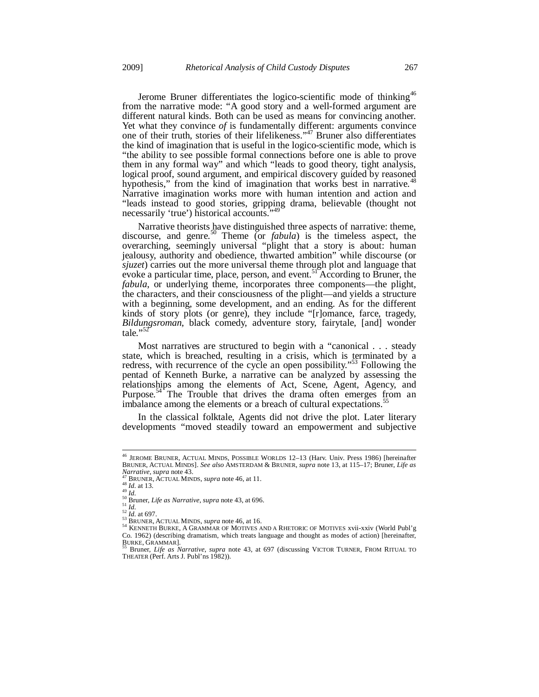Jerome Bruner differentiates the logico-scientific mode of thinking<sup>46</sup> from the narrative mode: "A good story and a well-formed argument are different natural kinds. Both can be used as means for convincing another. Yet what they convince of is fundamentally different: arguments convince one of their truth, stories of their lifelikeness."47 Bruner also differentiates the kind of imagination that is useful in the logico-scientific mode, which is "the ability to see possible formal connections before one is able to prove them in any formal way" and which "leads to good theory, tight analysis, logical proof, sound argument, and empirical discovery guided by reasoned hypothesis," from the kind of imagination that works best in narrative.<sup>48</sup> Narrative imagination works more with human intention and action and "leads instead to good stories, gripping drama, believable (thought not necessarily 'true') historical accounts."

Narrative theorists have distinguished three aspects of narrative: theme, discourse, and genre.<sup>50</sup> Theme (or *fabula*) is the timeless aspect, the overarching, seemingly universal "plight that a story is about: human jealousy, authority and obedience, thwarted ambition" while discourse (or *sjuzet*) carries out the more universal theme through plot and language that evoke a particular time, place, person, and event.<sup>51</sup> According to Bruner, the *fabula*, or underlying theme, incorporates three components—the plight, the characters, and their consciousness of the plight—and yields a structure with a beginning, some development, and an ending. As for the different kinds of story plots (or genre), they include "[r]omance, farce, tragedy, *Bildungsroman*, black comedy, adventure story, fairytale, [and] wonder tale."<sup>52</sup>

Most narratives are structured to begin with a "canonical . . . steady state, which is breached, resulting in a crisis, which is terminated by a redress, with recurrence of the cycle an open possibility."53 Following the pentad of Kenneth Burke, a narrative can be analyzed by assessing the relationships among the elements of Act, Scene, Agent, Agency, and Purpose.<sup>54</sup> The Trouble that drives the drama often emerges from an imbalance among the elements or a breach of cultural expectations.<sup>55</sup>

In the classical folktale, Agents did not drive the plot. Later literary developments "moved steadily toward an empowerment and subjective

<sup>46</sup> JEROME BRUNER, ACTUAL MINDS, POSSIBLE WORLDS 12–13 (Harv. Univ. Press 1986) [hereinafter BRUNER, ACTUAL MINDS]. *See also* AMSTERDAM & BRUNER, *supra* note 13, at 115–17; Bruner, *Life as* 

<sup>&</sup>lt;sup>47</sup> BRUNER, ACTUAL MINDS, *supra* note 46, at 11.<br>
<sup>48</sup> BRUNER, ACTUAL MINDS, *supra* note 46, at 11.<br>
<sup>48</sup> Id. at 13.<br>
<sup>51</sup> d.<br>
<sup>51</sup> d. at 697.<br>
<sup>52</sup> d. at 697.<br>
<sup>53</sup> BRUNER, ACTUAL MINDS, *supra* note 46, at 16.<br>
<sup>53</sup> Co. 1962) (describing dramatism, which treats language and thought as modes of action) [hereinafter,  $\frac{BURKE}{25}$ ,  $\frac{CRT}{25}$ ,  $\frac{CRT}{25}$ ,  $\frac{CRT}{25}$ ,  $\frac{CRT}{25}$ ,  $\frac{CRT}{25}$ ,  $\frac{CRT}{25}$ ,  $\frac{CRT}{25}$ ,  $\frac{CRT}{25}$ ,  $\$ 

Bruner, *Life as Narrative*, *supra* note 43, at 697 (discussing VICTOR TURNER, FROM RITUAL TO THEATER (Perf. Arts J. Publ'ns 1982)).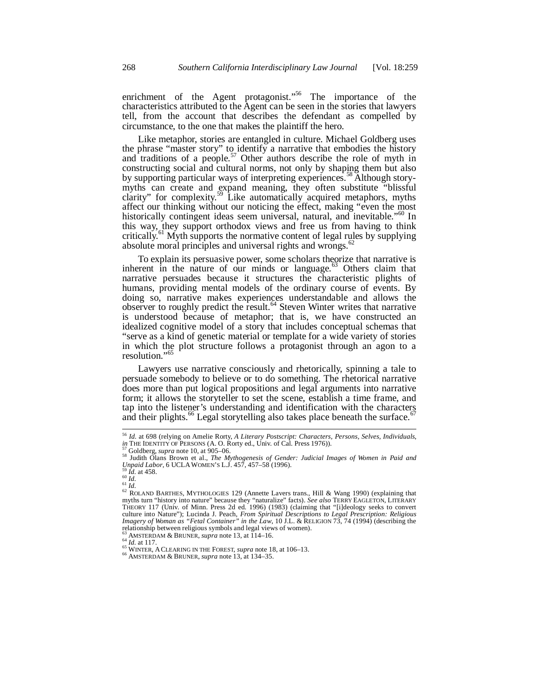enrichment of the Agent protagonist."<sup>56</sup> The importance of the  $\alpha$  characteristics attributed to the Agent can be seen in the stories that lawyers tell, from the account that describes the defendant as compelled by circumstance, to the one that makes the plaintiff the hero.

Like metaphor, stories are entangled in culture. Michael Goldberg uses the phrase "master story" to identify a narrative that embodies the history and traditions of a people.<sup>57</sup> Other authors describe the role of myth in constructing social and cultural norms, not only by shaping them but also by supporting particular ways of interpreting experiences.<sup>58</sup> Although storymyths can create and expand meaning, they often substitute "blissful clarity" for complexity.<sup>59</sup> Like automatically acquired metaphors, myths affect our thinking without our noticing the effect, making "even the most historically contingent ideas seem universal, natural, and inevitable."<sup>60</sup> In this way, they support orthodox views and free us from having to think critically.<sup>61</sup> Myth supports the normative content of legal rules by supplying absolute moral principles and universal rights and wrongs. $62$ 

To explain its persuasive power, some scholars theorize that narrative is inherent in the nature of our minds or language.<sup>63</sup> Others claim that narrative persuades because it structures the characteristic plights of humans, providing mental models of the ordinary course of events. By doing so, narrative makes experiences understandable and allows the observer to roughly predict the result.<sup>64</sup> Steven Winter writes that narrative is understood because of metaphor; that is, we have constructed an idealized cognitive model of a story that includes conceptual schemas that "serve as a kind of genetic material or template for a wide variety of stories in which the plot structure follows a protagonist through an agon to a resolution."<sup>65</sup>

Lawyers use narrative consciously and rhetorically, spinning a tale to persuade somebody to believe or to do something. The rhetorical narrative does more than put logical propositions and legal arguments into narrative form; it allows the storyteller to set the scene, establish a time frame, and tap into the listener's understanding and identification with the characters and their plights.<sup>66</sup> Legal storytelling also takes place beneath the surface.<sup>67</sup>

1

<sup>56</sup> *Id.* at 698 (relying on Amelie Rorty, *A Literary Postscript: Characters, Persons, Selves, Individuals*,

in THE IDENTITY OF PERSONS (A. O. Rorty ed., Univ. of Cal. Press 1976)).<br><sup>57</sup> Goldberg, *supra* note 10, at 905–06.<br><sup>58</sup> Judith Olans Brown et al., *The Mythogenesis of Gender: Judicial Images of Women in Paid and Unpaid L* 

Unpaid Labor, 6 UCLA WOMEN'S L.J. 457, 457–58 (1996).<br><sup>59</sup> Id. at 458.<br>61 Id.<br>61 Id.<br><sup>62</sup> ROLAND BARTHES, MYTHOLOGIES 129 (Annette Lavers trans., Hill & Wang 1990) (explaining that<br><sup>62</sup> ROLAND BARTHES, MYTHOLOGIES 129 (Ann THEORY 117 (Univ. of Minn. Press 2d ed. 1996) (1983) (claiming that "[i]deology seeks to convert culture into Nature"); Lucinda J. Peach, *From Spiritual Descriptions to Legal Prescription: Religious Imagery of Woman as "Fetal Container" in the Law*, 10 J.L. & RELIGION 73, 74 (1994) (describing the relationship between religious symbols and legal views of women).

<sup>&</sup>lt;sup>63</sup> AMSTERDAM & BRUNER, *supra* note 13, at 114–16.<br><sup>64</sup> *Id.* at 117.<br><sup>65</sup> WINTER, A CLEARING IN THE FOREST, *supra* note 18, at 106–13.<br><sup>66</sup> AMSTERDAM & BRUNER, *supra* note 13, at 134–35.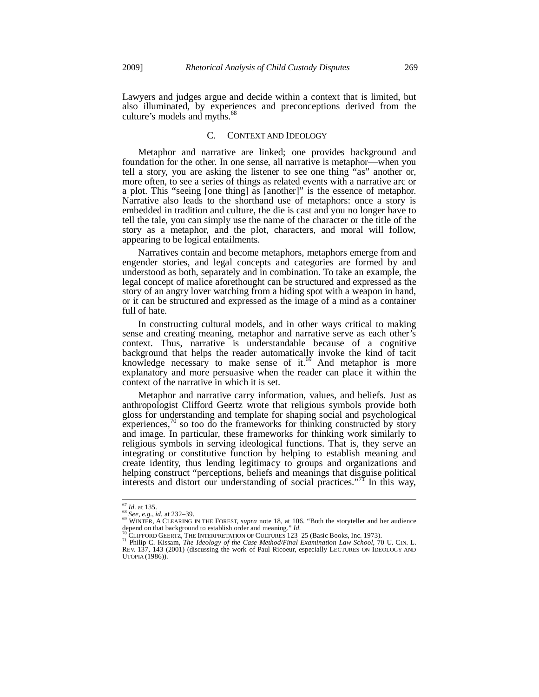Lawyers and judges argue and decide within a context that is limited, but also illuminated, by experiences and preconceptions derived from the culture's models and myths.<sup>68</sup>

## C. CONTEXT AND IDEOLOGY

Metaphor and narrative are linked; one provides background and foundation for the other. In one sense, all narrative is metaphor—when you tell a story, you are asking the listener to see one thing "as" another or, more often, to see a series of things as related events with a narrative arc or a plot. This "seeing [one thing] as [another]" is the essence of metaphor. Narrative also leads to the shorthand use of metaphors: once a story is embedded in tradition and culture, the die is cast and you no longer have to tell the tale, you can simply use the name of the character or the title of the story as a metaphor, and the plot, characters, and moral will follow, appearing to be logical entailments.

Narratives contain and become metaphors, metaphors emerge from and engender stories, and legal concepts and categories are formed by and understood as both, separately and in combination. To take an example, the legal concept of malice aforethought can be structured and expressed as the story of an angry lover watching from a hiding spot with a weapon in hand, or it can be structured and expressed as the image of a mind as a container full of hate.

In constructing cultural models, and in other ways critical to making sense and creating meaning, metaphor and narrative serve as each other's context. Thus, narrative is understandable because of a cognitive background that helps the reader automatically invoke the kind of tacit knowledge necessary to make sense of it.<sup>69</sup> And metaphor is more explanatory and more persuasive when the reader can place it within the context of the narrative in which it is set.

Metaphor and narrative carry information, values, and beliefs. Just as anthropologist Clifford Geertz wrote that religious symbols provide both gloss for understanding and template for shaping social and psychological experiences, $\alpha$  so too do the frameworks for thinking constructed by story and image. In particular, these frameworks for thinking work similarly to religious symbols in serving ideological functions. That is, they serve an integrating or constitutive function by helping to establish meaning and create identity, thus lending legitimacy to groups and organizations and helping construct "perceptions, beliefs and meanings that disguise political interests and distort our understanding of social practices."<sup>71</sup> In this way,

 $^{67}$  *Id.* at 135.

*<sup>68</sup> See, e.g., id.* at 232–39.<br><sup>69</sup> See, e.g., *id.* at 232–39.<br>WINTER, A CLEARING IN THE FOREST, *supra* note 18, at 106. "Both the storyteller and her audience where, A CLEARING IN The TOREST, suppression of the 100. Bout the storytener and net addence<br>  $\frac{1}{70}$  CLIFFORD GEERTZ, THE INTERPRETATION OF CULTURES 123–25 (Basic Books, Inc. 1973).<br>
<sup>71</sup> Philip C. Kissam, *The Ideolo* 

REV. 137, 143 (2001) (discussing the work of Paul Ricoeur, especially LECTURES ON IDEOLOGY AND UTOPIA (1986)).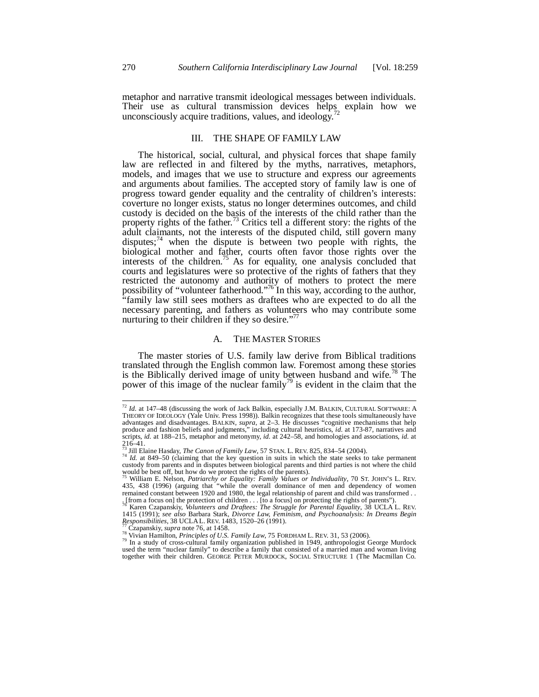metaphor and narrative transmit ideological messages between individuals. Their use as cultural transmission devices helps explain how we unconsciously acquire traditions, values, and ideology.<sup>4</sup>

## III. THE SHAPE OF FAMILY LAW

The historical, social, cultural, and physical forces that shape family law are reflected in and filtered by the myths, narratives, metaphors, models, and images that we use to structure and express our agreements and arguments about families. The accepted story of family law is one of progress toward gender equality and the centrality of children's interests: coverture no longer exists, status no longer determines outcomes, and child custody is decided on the basis of the interests of the child rather than the property rights of the father.<sup>73</sup> Critics tell a different story: the rights of the adult claimants, not the interests of the disputed child, still govern many disputes; $^{74}$  when the dispute is between two people with rights, the biological mother and father, courts often favor those rights over the interests of the children.<sup>75</sup> As for equality, one analysis concluded that courts and legislatures were so protective of the rights of fathers that they restricted the autonomy and authority of mothers to protect the mere possibility of "volunteer fatherhood."<sup>76</sup> In this way, according to the author, "family law still sees mothers as draftees who are expected to do all the necessary parenting, and fathers as volunteers who may contribute some nurturing to their children if they so desire."<sup>77</sup>

#### A. THE MASTER STORIES

The master stories of U.S. family law derive from Biblical traditions translated through the English common law. Foremost among these stories is the Biblically derived image of unity between husband and wife.<sup> $\frac{8}{3}$ </sup> The power of this image of the nuclear family<sup>79</sup> is evident in the claim that the

-

<sup>72</sup> *Id.* at 147–48 (discussing the work of Jack Balkin, especially J.M. BALKIN, CULTURAL SOFTWARE: A THEORY OF IDEOLOGY (Yale Univ. Press 1998)). Balkin recognizes that these tools simultaneously have advantages and disadvantages. BALKIN, *supra*, at 2–3. He discusses "cognitive mechanisms that help produce and fashion beliefs and judgments," including cultural heuristics, *id.* at 173-87, narratives and scripts, *id.* at 188–215, metaphor and metonymy, *id.* at 242–58, and homologies and associations, *id.* at  $216-41.$ 

<sup>73</sup> Jill Elaine Hasday, *The Canon of Family Law*, 57 STAN. L. REV. 825, 834–54 (2004). 74 *Id.* at 849–50 (claiming that the key question in suits in which the state seeks to take permanent

custody from parents and in disputes between biological parents and third parties is not where the child

would be best off, but how do we protect the rights of the parents).<br><sup>75</sup> William E. Nelson, *Patriarchy or Equality: Family Values or Individuality*, 70 ST. JOHN'S L. REV.<br>435, 438 (1996) (arguing that "while the overall remained constant between 1920 and 1980, the legal relationship of parent and child was transformed . . . [from a focus on] the protection of children . . . [to a focus] on protecting the rights of parents"). 76 Karen Czapanskiy, *Volunteers and Draftees: The Struggle for Parental Equality*, 38 UCLA L. REV.

<sup>1415 (1991);</sup> *see also* Barbara Stark, *Divorce Law, Feminism, and Psychoanalysis: In Dreams Begin* Responsibilities, 38 UCLA L. REV. 1483, 1520–26 (1991).<br> *Responsibilities*, 38 UCLA L. REV. 1483, 1520–26 (1991).

<sup>&</sup>lt;sup>77</sup> Czapanskiy, *supra* note 76, at 1458.<br><sup>78</sup> Vivian Hamilton, *Principles of U.S. Family Law*, 75 FORDHAM L. REV. 31, 53 (2006).<br><sup>79</sup> In a study of cross-cultural family organization published in 1949, anthropologist G used the term "nuclear family" to describe a family that consisted of a married man and woman living together with their children. GEORGE PETER MURDOCK, SOCIAL STRUCTURE 1 (The Macmillan Co.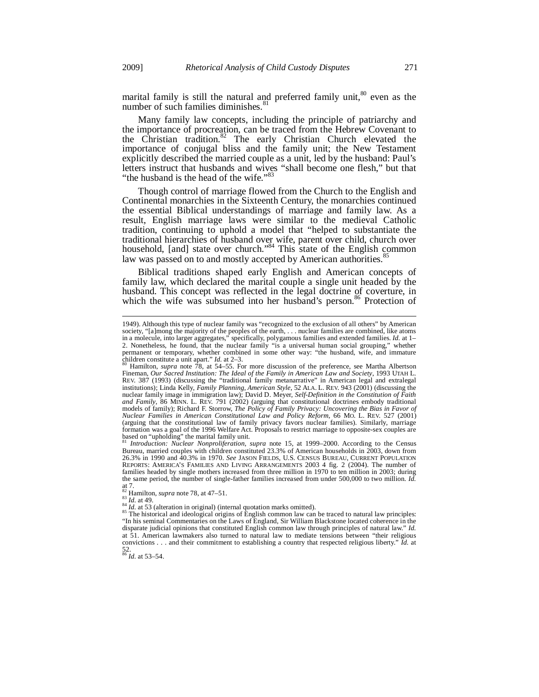marital family is still the natural and preferred family unit,<sup>80</sup> even as the number of such families diminishes.<sup>81</sup>

Many family law concepts, including the principle of patriarchy and the importance of procreation, can be traced from the Hebrew Covenant to the Christian tradition.<sup>82</sup> The early Christian Church elevated the importance of conjugal bliss and the family unit; the New Testament explicitly described the married couple as a unit, led by the husband: Paul's letters instruct that husbands and wives "shall become one flesh," but that "the husband is the head of the wife."<sup>83</sup>

Though control of marriage flowed from the Church to the English and Continental monarchies in the Sixteenth Century, the monarchies continued the essential Biblical understandings of marriage and family law. As a result, English marriage laws were similar to the medieval Catholic tradition, continuing to uphold a model that "helped to substantiate the traditional hierarchies of husband over wife, parent over child, church over household, [and] state over church."<sup>84</sup> This state of the English common law was passed on to and mostly accepted by American authorities.<sup>8</sup>

Biblical traditions shaped early English and American concepts of family law, which declared the marital couple a single unit headed by the husband. This concept was reflected in the legal doctrine of coverture, in which the wife was subsumed into her husband's person.<sup>86</sup> Protection of

Bureau, married couples with children constituted 23.3% of American households in 2003, down from 26.3% in 1990 and 40.3% in 1970. *See* JASON FIELDS, U.S. CENSUS BUREAU, CURRENT POPULATION REPORTS: AMERICA'S FAMILIES AND LIVING ARRANGEMENTS 2003 4 fig. 2 (2004). The number of families headed by single mothers increased from three million in 1970 to ten million in 2003; during the same period, the number of single-father families increased from under 500,000 to two million. *Id.* at 7.<br>  $\frac{1}{82}$  Hamilton, *supra* note 78, at 47–51.<br>  $\frac{1}{83}$  *Id.* at 49.

-

<sup>84</sup> *Id.* at 53 (alteration in original) (internal quotation marks omitted).<br><sup>84</sup> *Id.* at 53 (alteration in original) (internal quotation marks omitted).<br><sup>85</sup> The historical and ideological origins of English community "In his seminal Commentaries on the Laws of England, Sir William Blackstone located coherence in the disparate judicial opinions that constituted English common law through principles of natural law." *Id.*  at 51. American lawmakers also turned to natural law to mediate tensions between "their religious convictions . . . and their commitment to establishing a country that respected religious liberty." *Id.* at

52. <sup>86</sup> *Id.* at 53–54.

<sup>1949).</sup> Although this type of nuclear family was "recognized to the exclusion of all others" by American society, "[a]mong the majority of the peoples of the earth, . . . nuclear families are combined, like atoms in a molecule, into larger aggregates," specifically, polygamous families and extended families. *Id.* at 1– 2. Nonetheless, he found, that the nuclear family "is a universal human social grouping," whether permanent or temporary, whether combined in some other way: "the husband, wife, and immature children constitute a unit apart." *Id.* at 2–3.<br><sup>80</sup> Hamilton, *supra* note 78, at 54–55. For more discussion of the preference, see Martha Albertson

Fineman, *Our Sacred Institution: The Ideal of the Family in American Law and Society*, 1993 UTAH L. REV. 387 (1993) (discussing the "traditional family metanarrative" in American legal and extralegal institutions); Linda Kelly, *Family Planning, American Style*, 52 ALA. L. REV. 943 (2001) (discussing the nuclear family image in immigration law); David D. Meyer, *Self-Definition in the Constitution of Faith and Family*, 86 MINN. L. REV. 791 (2002) (arguing that constitutional doctrines embody traditional models of family); Richard F. Storrow, *The Policy of Family Privacy: Uncovering the Bias in Favor of Nuclear Families in American Constitutional Law and Policy Reform*, 66 MO. L. REV. 527 (2001) (arguing that the constitutional law of family privacy favors nuclear families). Similarly, marriage formation was a goal of the 1996 Welfare Act. Proposals to restrict marriage to opposite-sex couples are based on "upholding" the marital family unit. <sup>81</sup> *Introduction: Nuclear Nonproliferation*, *supra* note 15, at 1999–2000. According to the Census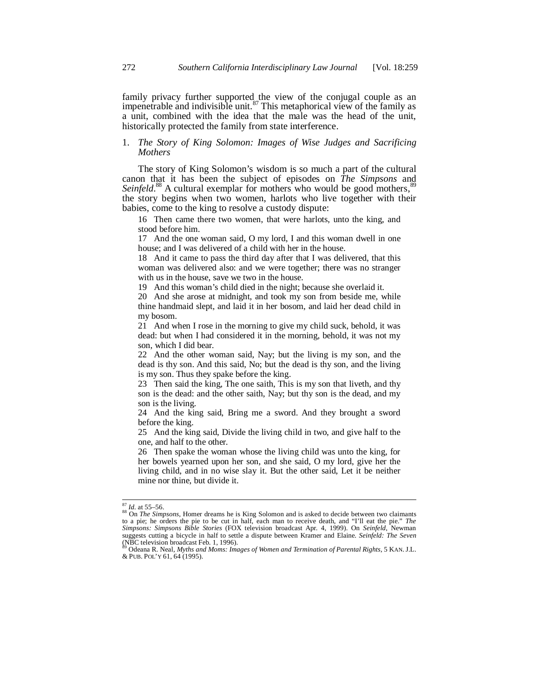family privacy further supported the view of the conjugal couple as an impenetrable and indivisible unit.<sup>87</sup> This metaphorical view of the family as a unit, combined with the idea that the male was the head of the unit, historically protected the family from state interference.

## 1. *The Story of King Solomon: Images of Wise Judges and Sacrificing Mothers*

The story of King Solomon's wisdom is so much a part of the cultural canon that it has been the subject of episodes on *The Simpsons* and Seinfeld.<sup>88</sup> A cultural exemplar for mothers who would be good mothers,<sup>89</sup> the story begins when two women, harlots who live together with their babies, come to the king to resolve a custody dispute:

16 Then came there two women, that were harlots, unto the king, and stood before him.

17 And the one woman said, O my lord, I and this woman dwell in one house; and I was delivered of a child with her in the house.

18 And it came to pass the third day after that I was delivered, that this woman was delivered also: and we were together; there was no stranger with us in the house, save we two in the house.

19 And this woman's child died in the night; because she overlaid it.

20 And she arose at midnight, and took my son from beside me, while thine handmaid slept, and laid it in her bosom, and laid her dead child in my bosom.

21 And when I rose in the morning to give my child suck, behold, it was dead: but when I had considered it in the morning, behold, it was not my son, which I did bear.

22 And the other woman said, Nay; but the living is my son, and the dead is thy son. And this said, No; but the dead is thy son, and the living is my son. Thus they spake before the king.

23 Then said the king, The one saith, This is my son that liveth, and thy son is the dead: and the other saith, Nay; but thy son is the dead, and my son is the living.

24 And the king said, Bring me a sword. And they brought a sword before the king.

25 And the king said, Divide the living child in two, and give half to the one, and half to the other.

26 Then spake the woman whose the living child was unto the king, for her bowels yearned upon her son, and she said, O my lord, give her the living child, and in no wise slay it. But the other said, Let it be neither mine nor thine, but divide it.

 $87$  *Id.* at 55–56.

<sup>88</sup> On *The Simpsons*, Homer dreams he is King Solomon and is asked to decide between two claimants<br>88 On *The Simpsons*, Homer dreams he is King Solomon and is asked to decide between two claimants to a pie; he orders the pie to be cut in half, each man to receive death, and "I'll eat the pie." *The Simpsons: Simpsons Bible Stories* (FOX television broadcast Apr. 4, 1999). On *Seinfeld*, Newman suggests cutting a bicycle in half to settle a dispute between Kramer and Elaine. *Seinfeld: The Seven* (NBC television broadcast Feb. 1, 1996).

<sup>89</sup> Odeana R. Neal, *Myths and Moms: Images of Women and Termination of Parental Rights*, 5 KAN. J.L. & PUB. POL'Y 61, 64 (1995).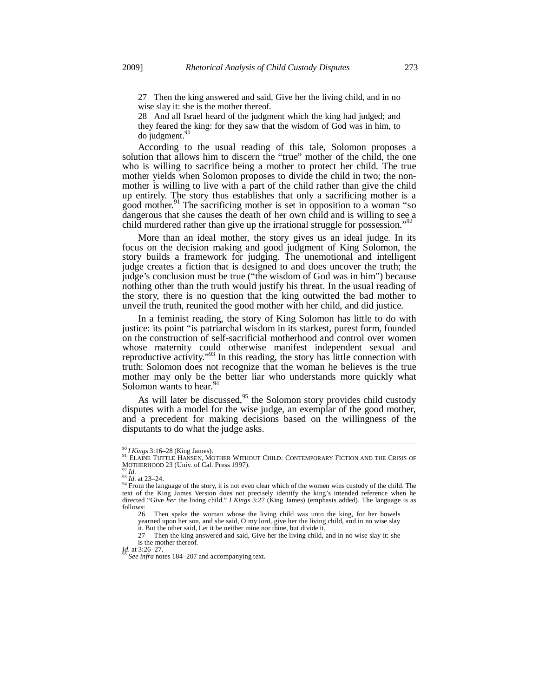27 Then the king answered and said, Give her the living child, and in no wise slay it: she is the mother thereof.

28 And all Israel heard of the judgment which the king had judged; and they feared the king: for they saw that the wisdom of God was in him, to  $d$ o judgment. $90$ 

According to the usual reading of this tale, Solomon proposes a solution that allows him to discern the "true" mother of the child, the one who is willing to sacrifice being a mother to protect her child. The true mother yields when Solomon proposes to divide the child in two; the nonmother is willing to live with a part of the child rather than give the child up entirely. The story thus establishes that only a sacrificing mother is a good mother.<sup>91</sup> The sacrificing mother is set in opposition to a woman "so dangerous that she causes the death of her own child and is willing to see a child murdered rather than give up the irrational struggle for possession."<sup>92</sup>

More than an ideal mother, the story gives us an ideal judge. In its focus on the decision making and good judgment of King Solomon, the story builds a framework for judging. The unemotional and intelligent judge creates a fiction that is designed to and does uncover the truth; the judge's conclusion must be true ("the wisdom of God was in him") because nothing other than the truth would justify his threat. In the usual reading of the story, there is no question that the king outwitted the bad mother to unveil the truth, reunited the good mother with her child, and did justice.

In a feminist reading, the story of King Solomon has little to do with justice: its point "is patriarchal wisdom in its starkest, purest form, founded on the construction of self-sacrificial motherhood and control over women whose maternity could otherwise manifest independent sexual and reproductive activity."93 In this reading, the story has little connection with truth: Solomon does not recognize that the woman he believes is the true mother may only be the better liar who understands more quickly what Solomon wants to hear.<sup>9</sup>

As will later be discussed,<sup>95</sup> the Solomon story provides child custody disputes with a model for the wise judge, an exemplar of the good mother, and a precedent for making decisions based on the willingness of the disputants to do what the judge asks.

-

<sup>&</sup>lt;sup>90</sup>*I Kings* 3:16–28 (King James).<br><sup>91</sup> ELAINE TUTTLE HANSEN, MOTHER WITHOUT CHILD: CONTEMPORARY FICTION AND THE CRISIS OF

MOTHERHOOD 23 (Univ. of Cal. Press 1997).<br><sup>92</sup> *Id.* 93 *Id.* at 23–24.<br><sup>94</sup> From the language of the story, it is not even clear which of the women wins custody of the child. The text of the King James Version does not precisely identify the king's intended reference when he directed "Give *her* the living child." *I Kings* 3:27 (King James) (emphasis added). The language is as follows:

<sup>26</sup> Then spake the woman whose the living child was unto the king, for her bowels yearned upon her son, and she said, O my lord, give her the living child, and in no wise slay

it. But the other said, Let it be neither mine nor thine, but divide it.

<sup>27</sup> Then the king answered and said, Give her the living child, and in no wise slay it: she is the mother thereof.<br> $\frac{Id}{25}$  at 3:26–27.

*See infra* notes 184–207 and accompanying text.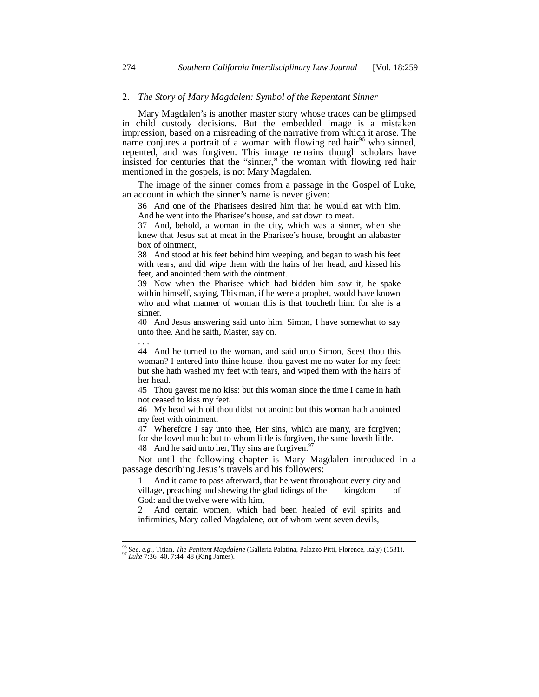## 2. *The Story of Mary Magdalen: Symbol of the Repentant Sinner*

Mary Magdalen's is another master story whose traces can be glimpsed in child custody decisions. But the embedded image is a mistaken impression, based on a misreading of the narrative from which it arose. The name conjures a portrait of a woman with flowing red hair<sup>96</sup> who sinned, repented, and was forgiven. This image remains though scholars have insisted for centuries that the "sinner," the woman with flowing red hair mentioned in the gospels, is not Mary Magdalen.

The image of the sinner comes from a passage in the Gospel of Luke, an account in which the sinner's name is never given:

36 And one of the Pharisees desired him that he would eat with him. And he went into the Pharisee's house, and sat down to meat.

37 And, behold, a woman in the city, which was a sinner, when she knew that Jesus sat at meat in the Pharisee's house, brought an alabaster box of ointment,

38 And stood at his feet behind him weeping, and began to wash his feet with tears, and did wipe them with the hairs of her head, and kissed his feet, and anointed them with the ointment.

39 Now when the Pharisee which had bidden him saw it, he spake within himself, saying, This man, if he were a prophet, would have known who and what manner of woman this is that toucheth him: for she is a sinner.

40 And Jesus answering said unto him, Simon, I have somewhat to say unto thee. And he saith, Master, say on.

44 And he turned to the woman, and said unto Simon, Seest thou this woman? I entered into thine house, thou gavest me no water for my feet: but she hath washed my feet with tears, and wiped them with the hairs of her head.

45 Thou gavest me no kiss: but this woman since the time I came in hath not ceased to kiss my feet.

46 My head with oil thou didst not anoint: but this woman hath anointed my feet with ointment.

47 Wherefore I say unto thee, Her sins, which are many, are forgiven; for she loved much: but to whom little is forgiven, the same loveth little. 48 And he said unto her, Thy sins are forgiven.<sup>9</sup>

Not until the following chapter is Mary Magdalen introduced in a passage describing Jesus's travels and his followers:

1 And it came to pass afterward, that he went throughout every city and village, preaching and shewing the glad tidings of the kingdom of God: and the twelve were with him,

2 And certain women, which had been healed of evil spirits and infirmities, Mary called Magdalene, out of whom went seven devils,

. . .

l

<sup>96</sup> S*ee, e.g.*, Titian, *The Penitent Magdalene* (Galleria Palatina, Palazzo Pitti, Florence, Italy) (1531). 97 *Luke* 7:36–40, 7:44–48 (King James).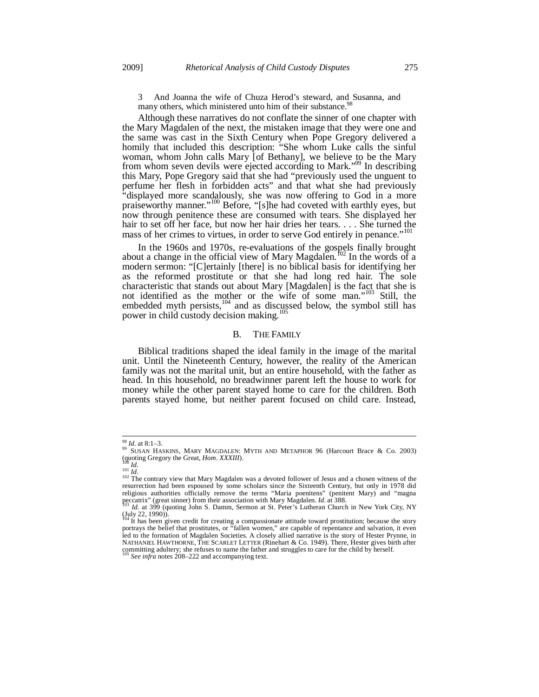3 And Joanna the wife of Chuza Herod's steward, and Susanna, and many others, which ministered unto him of their substance.<sup>98</sup>

Although these narratives do not conflate the sinner of one chapter with the Mary Magdalen of the next, the mistaken image that they were one and the same was cast in the Sixth Century when Pope Gregory delivered a homily that included this description: "She whom Luke calls the sinful woman, whom John calls Mary [of Bethany], we believe to be the Mary from whom seven devils were ejected according to Mark."99 In describing this Mary, Pope Gregory said that she had "previously used the unguent to perfume her flesh in forbidden acts" and that what she had previously "displayed more scandalously, she was now offering to God in a more praiseworthy manner."<sup>100</sup> Before, "[s]he had coveted with earthly eyes, but now through penitence these are consumed with tears. She displayed her hair to set off her face, but now her hair dries her tears. . . . She turned the mass of her crimes to virtues, in order to serve God entirely in penance."<sup>10</sup>

In the 1960s and 1970s, re-evaluations of the gospels finally brought about a change in the official view of Mary Magdalen.<sup>102</sup> In the words of a modern sermon: "[C]ertainly [there] is no biblical basis for identifying her as the reformed prostitute or that she had long red hair. The sole characteristic that stands out about Mary [Magdalen] is the fact that she is not identified as the mother or the wife of some man."103 Still, the embedded myth persists, $104$  and as discussed below, the symbol still has power in child custody decision making.<sup>105</sup>

#### B. THE FAMILY

Biblical traditions shaped the ideal family in the image of the marital unit. Until the Nineteenth Century, however, the reality of the American family was not the marital unit, but an entire household, with the father as head. In this household, no breadwinner parent left the house to work for money while the other parent stayed home to care for the children. Both parents stayed home, but neither parent focused on child care. Instead,

 $^{98}$  *Id.* at 8:1-3.

<sup>&</sup>lt;sup>99</sup> SUSAN HASKINS, MARY MAGDALEN: MYTH AND METAPHOR 96 (Harcourt Brace & Co. 2003)<br>(quoting Gregory the Great, *Hom. XXXIII*).

<sup>(</sup>quoting Gregory the Great, *Hom. XXXIII*).<br><sup>101</sup> *Id.*<br><sup>101</sup> *Id.*<br><sup>102</sup> The contrary view that Mary Magdalen was a devoted follower of Jesus and a chosen witness of the resurrection had been espoused by some scholars si religious authorities officially remove the terms "Maria poenitens" (penitent Mary) and "magna perceatrix" (great sinner) from their association with Mary Magdalen. *Id.* at 388.<br>peccatrix" (great sinner) from their association with Mary Magdalen. *Id.* at 388.<br><sup>103</sup> *Id.* at 399 (quoting John S. Damm, Sermon at St.

<sup>(</sup>July 22, 1990)).<br><sup>104</sup> It has been given credit for creating a compassionate attitude toward prostitution; because the story<br>portrays the belief that prostitutes, or "fallen women," are capable of repentance and salvation led to the formation of Magdalen Societies. A closely allied narrative is the story of Hester Prynne, in NATHANIEL HAWTHORNE, THE SCARLET LETTER (Rinehart & Co. 1949). There, Hester gives birth after committing adultery; she refuses to name the father and struggles to care for the child by herself.<br> $\frac{105 \text{ } \text{C} \text{sec} \text{ intra}}{105 \text{ } \text{C} \text{sec} \text{ intra}}$ 

See infra notes 208–222 and accompanying text.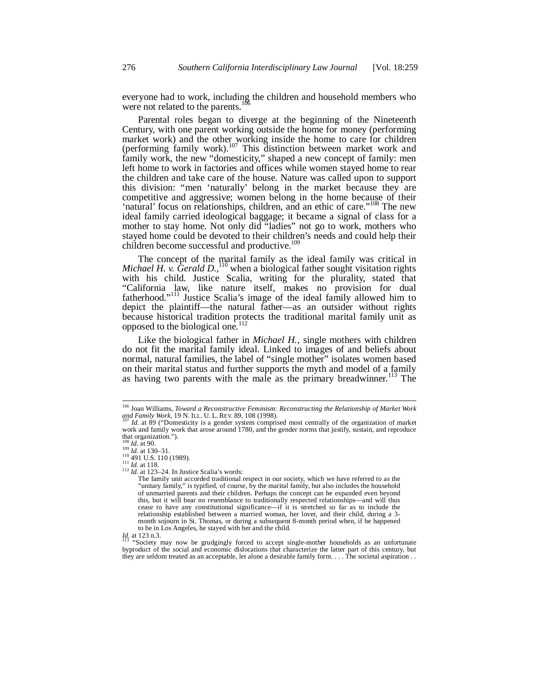everyone had to work, including the children and household members who were not related to the parents.<sup>106</sup>

Parental roles began to diverge at the beginning of the Nineteenth Century, with one parent working outside the home for money (performing market work) and the other working inside the home to care for children (performing family work).<sup>107</sup> This distinction between market work and family work, the new "domesticity," shaped a new concept of family: men left home to work in factories and offices while women stayed home to rear the children and take care of the house. Nature was called upon to support this division: "men 'naturally' belong in the market because they are competitive and aggressive; women belong in the home because of their 'natural' focus on relationships, children, and an ethic of care."<sup>108</sup> The new ideal family carried ideological baggage; it became a signal of class for a mother to stay home. Not only did "ladies" not go to work, mothers who stayed home could be devoted to their children's needs and could help their children become successful and productive.<sup>109</sup>

The concept of the marital family as the ideal family was critical in *Michael H. v. Gerald D.*,<sup>110</sup> when a biological father sought visitation rights with his child. Justice Scalia, writing for the plurality, stated that "California law, like nature itself, makes no provision for dual fatherhood."<sup>111</sup> Justice Scalia's image of the ideal family allowed him to depict the plaintiff—the natural father—as an outsider without rights because historical tradition protects the traditional marital family unit as opposed to the biological one.<sup>1</sup>

Like the biological father in *Michael H.*, single mothers with children do not fit the marital family ideal. Linked to images of and beliefs about normal, natural families, the label of "single mother" isolates women based on their marital status and further supports the myth and model of a family as having two parents with the male as the primary breadwinner.<sup>113</sup> The

<sup>106</sup> Joan Williams, *Toward a Reconstructive Feminism: Reconstructing the Relationship of Market Work*  and Family Work, 19 N. ILL. U. L. REV. 89, 108 (1998).<br><sup>107</sup> *Id.* at 89 ("Domesticity is a gender system comprised most centrally of the organization of market

work and family work that arose around 1780, and the gender norms that justify, sustain, and reproduce that organization.").<br>
<sup>108</sup> *Id.* at 130–31.<br>
<sup>110</sup> *491* U.S. 110 (1989).<br>
<sup>111</sup> *Id.* at 118.<br>
<sup>112</sup> *Id.* at 123–24. In Justice Scalia's words:

 $\frac{7}{112}$  *Id.* at 123–24. In Justice Scalia's words:<br>The family unit accorded traditional respect in our society, which we have referred to as the "unitary family," is typified, of course, by the marital family, but also includes the household of unmarried parents and their children. Perhaps the concept can be expanded even beyond this, but it will bear no resemblance to traditionally respected relationships—and will thus cease to have any constitutional significance—if it is stretched so far as to include the relationship established between a married woman, her lover, and their child, during a 3 month sojourn in St. Thomas, or during a subsequent 8-month period when, if he happened to be in Los Angeles, he stayed with her and the child.

*Id.* at 123 n.3. **113** "Society may now be grudgingly forced to accept single-mother households as an unfortunate byproduct of the social and economic dislocations that characterize the latter part of this century, but they are seldom treated as an acceptable, let alone a desirable family form. . . . The societal aspiration . .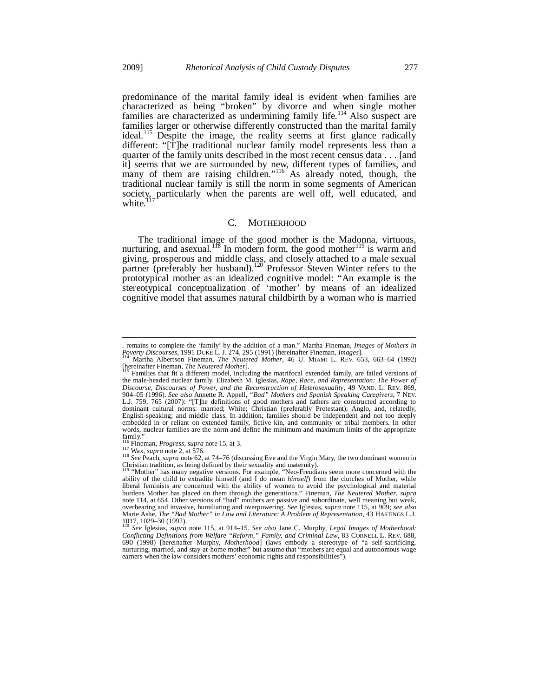-

predominance of the marital family ideal is evident when families are characterized as being "broken" by divorce and when single mother families are characterized as undermining family life.<sup>114</sup> Also suspect are families larger or otherwise differently constructed than the marital family ideal.<sup>115</sup> Despite the image, the reality seems at first glance radically different: "[T]he traditional nuclear family model represents less than a quarter of the family units described in the most recent census data . . . [and it] seems that we are surrounded by new, different types of families, and many of them are raising children."<sup>116</sup> As already noted, though, the traditional nuclear family is still the norm in some segments of American society, particularly when the parents are well off, well educated, and white.<sup>117</sup>

## C. MOTHERHOOD

The traditional image of the good mother is the Madonna, virtuous, nurturing, and asexual.<sup>118</sup> In modern form, the good mother<sup>119</sup> is warm and giving, prosperous and middle class, and closely attached to a male sexual partner (preferably her husband).<sup>120</sup> Professor Steven Winter refers to the prototypical mother as an idealized cognitive model: "An example is the stereotypical conceptualization of 'mother' by means of an idealized cognitive model that assumes natural childbirth by a woman who is married

remains to complete the 'family' by the addition of a man." Martha Fineman, *Images of Mothers in*<br>Poverty Discourses, 1991 DUKE L. J. 274, 295 (1991) [hereinafter Fineman, *Images*].<br><sup>114</sup> Martha Albertson Fineman, *The N* 

<sup>[</sup>hereinafter Fineman, *The Neutered Mother*]. 115 Families that fit a different model, including the matrifocal extended family, are failed versions of

the male-headed nuclear family. Elizabeth M. Iglesias, *Rape, Race, and Representation: The Power of Discourse, Discourses of Power, and the Reconstruction of Heterosexuality*, 49 VAND. L. REV. 869, 904–05 (1996). *See also* Annette R. Appell, *"Bad" Mothers and Spanish Speaking Caregivers*, 7 NEV. L.J. 759, 765 (2007): "[T]he definitions of good mothers and fathers are constructed according to dominant cultural norms: married; White; Christian (preferably Protestant); Anglo, and, relatedly, English-speaking; and middle class. In addition, families should be independent and not too deeply embedded in or reliant on extended family, fictive kin, and community or tribal members. In other words, nuclear families are the norm and define the minimum and maximum limits of the appropriate family."<br><sup>116</sup> Fineman, *Progress*, *supra* note 15, at 3.<br><sup>117</sup> Wax, *supra* note 2, at 576.

<sup>116</sup> Fineman, *Progress*, *supra* note 15, at 3. 117 Wax, *supra* note 2, at 576. 118 *See* Peach, *supra* note 62, at 74–76 (discussing Eve and the Virgin Mary, the two dominant women in Christian tradition, as being defined by their sexuality and maternity). 119 "Mother" has many negative versions. For example, "Neo-Freudians seem more concerned with the

ability of the child to extradite himself (and I do mean *himself*) from the clutches of Mother, while liberal feminists are concerned with the ability of women to avoid the psychological and material burdens Mother has placed on them through the generations." Fineman, *The Neutered Mother*, *supra* note 114, at 654. Other versions of "bad" mothers are passive and subordinate, well meaning but weak, overbearing and invasive, humiliating and overpowering. *See* Iglesias, *supra* note 115, at 909; *see also*  Marie Ashe, *The "Bad Mother" in Law and Literature: A Problem of Representation*, 43 HASTINGS L.J. 1017, 1029–30 (1992).<br> $\frac{1017}{20}$  Sec. 1-1

<sup>120</sup> *See* Iglesias, *supra* note 115, at 914–15. *See also* Jane C. Murphy, *Legal Images of Motherhood: Conflicting Definitions from Welfare "Reform," Family, and Criminal Law*, 83 CORNELL L. REV. 688, 690 (1998) [hereinafter Murphy, *Motherhood*] (laws embody a stereotype of "a self-sacrificing, nurturing, married, and stay-at-home mother" but assume that "mothers are equal and autonomous wage earners when the law considers mothers' economic rights and responsibilities").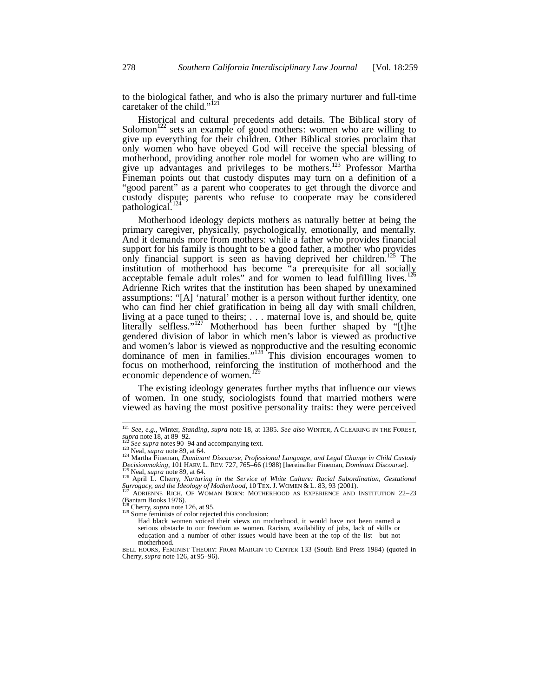to the biological father, and who is also the primary nurturer and full-time caretaker of the child."<sup>121</sup>

Historical and cultural precedents add details. The Biblical story of Solomon<sup>122</sup> sets an example of good mothers: women who are willing to give up everything for their children. Other Biblical stories proclaim that only women who have obeyed God will receive the special blessing of motherhood, providing another role model for women who are willing to give up advantages and privileges to be mothers.<sup>123</sup> Professor Martha Fineman points out that custody disputes may turn on a definition of a "good parent" as a parent who cooperates to get through the divorce and custody dispute; parents who refuse to cooperate may be considered pathological.<sup>124</sup>

Motherhood ideology depicts mothers as naturally better at being the primary caregiver, physically, psychologically, emotionally, and mentally. And it demands more from mothers: while a father who provides financial support for his family is thought to be a good father, a mother who provides only financial support is seen as having deprived her children.<sup>125</sup> The institution of motherhood has become "a prerequisite for all socially acceptable female adult roles" and for women to lead fulfilling lives.<sup>126</sup> Adrienne Rich writes that the institution has been shaped by unexamined assumptions: "[A] 'natural' mother is a person without further identity, one who can find her chief gratification in being all day with small children, living at a pace tuned to theirs; . . . maternal love is, and should be, quite literally selfless."<sup>127</sup> Motherhood has been further shaped by "[t]he gendered division of labor in which men's labor is viewed as productive and women's labor is viewed as nonproductive and the resulting economic dominance of men in families."128 This division encourages women to focus on motherhood, reinforcing the institution of motherhood and the economic dependence of women.<sup>129</sup>

The existing ideology generates further myths that influence our views of women. In one study, sociologists found that married mothers were viewed as having the most positive personality traits: they were perceived

<sup>121</sup> *See, e.g.*, Winter, *Standing*, *supra* note 18, at 1385. *See also* WINTER, A CLEARING IN THE FOREST,

supra note 18, at 89–92.<br><sup>122</sup> See supra notes 90–94 and accompanying text.<br><sup>123</sup> Neal, *supra* note 89, at 64.<br><sup>124</sup> Martha Fineman, *Dominant Discourse, Professional Language, and Legal Change in Child Custody*<br>*Decision* 

 $125$  Neal, supra note 89, at 64.<br> $126$  April L. Cherry, *Nurturing in the Service of White Culture: Racial Subordination, Gestational Surrogacy, and the Ideology of Motherhood*, 10 TEX. J. WOMEN & L. 83, 93 (2001).<br><sup>127</sup> ADRIENNE RICH, OF WOMAN BORN: MOTHERHOOD AS EXPERIENCE AND INSTITUTION 22–23

 $\sum_{13}^{13}$  Chantam Books 1976).<br><sup>128</sup> Cherry, *supra* note 126, at 95.

<sup>&</sup>lt;sup>129</sup> Some feminists of color rejected this conclusion:

Had black women voiced their views on motherhood, it would have not been named a serious obstacle to our freedom as women. Racism, availability of jobs, lack of skills or education and a number of other issues would have been at the top of the list—but not motherhood.

BELL HOOKS, FEMINIST THEORY: FROM MARGIN TO CENTER 133 (South End Press 1984) (quoted in Cherry, *supra* note 126, at 95–96).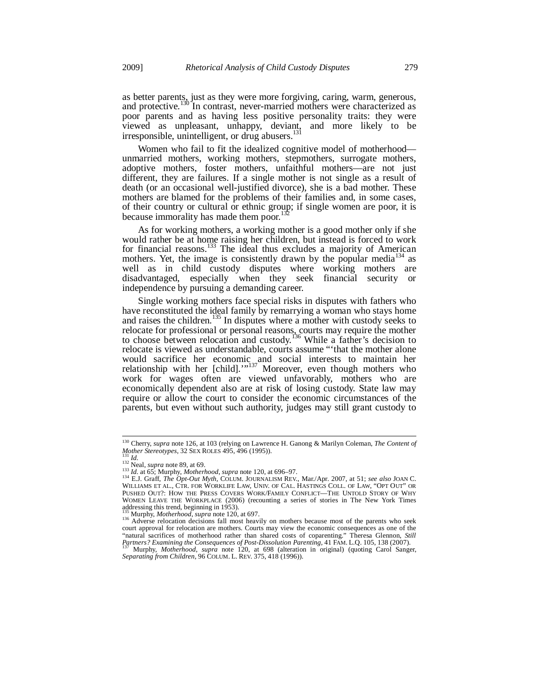as better parents, just as they were more forgiving, caring, warm, generous, and protective.<sup>130</sup> In contrast, never-married mothers were characterized as poor parents and as having less positive personality traits: they were viewed as unpleasant, unhappy, deviant, and more likely to be irresponsible, unintelligent, or drug abusers.<sup>1</sup>

Women who fail to fit the idealized cognitive model of motherhood unmarried mothers, working mothers, stepmothers, surrogate mothers, adoptive mothers, foster mothers, unfaithful mothers—are not just different, they are failures. If a single mother is not single as a result of death (or an occasional well-justified divorce), she is a bad mother. These mothers are blamed for the problems of their families and, in some cases, of their country or cultural or ethnic group; if single women are poor, it is because immorality has made them poor.<sup>13</sup>

As for working mothers, a working mother is a good mother only if she would rather be at home raising her children, but instead is forced to work for financial reasons.<sup>133</sup> The ideal thus excludes a majority of American mothers. Yet, the image is consistently drawn by the popular media<sup>134</sup> as well as in child custody disputes where working mothers are disadvantaged, especially when they seek financial security or independence by pursuing a demanding career.

Single working mothers face special risks in disputes with fathers who have reconstituted the ideal family by remarrying a woman who stays home and raises the children.<sup>135</sup> In disputes where a mother with custody seeks to relocate for professional or personal reasons, courts may require the mother to choose between relocation and custody.<sup>136</sup> While a father's decision to relocate is viewed as understandable, courts assume "'that the mother alone would sacrifice her economic and social interests to maintain her relationship with her [child]."<sup>137</sup> Moreover, even though mothers who work for wages often are viewed unfavorably, mothers who are economically dependent also are at risk of losing custody. State law may require or allow the court to consider the economic circumstances of the parents, but even without such authority, judges may still grant custody to

į

<sup>130</sup> Cherry, *supra* note 126, at 103 (relying on Lawrence H. Ganong & Marilyn Coleman, *The Content of* 

Mother Stereotypes, 32 SEX ROLES 495, 496 (1995)).<br>
131 Id.<br>
133 Neal, *supra* note 89, at 69.<br>
133 Id. at 65; Murphy, *Motherhood, supra* note 120, at 696–97.<br>
134 E.J. Graff, *The Opt-Out Myth*, COLUM. JOURNALISM REV. M WILLIAMS ET AL., CTR. FOR WORKLIFE LAW, UNIV. OF CAL. HASTINGS COLL. OF LAW, "OPT OUT" OR PUSHED OUT?: HOW THE PRESS COVERS WORK/FAMILY CONFLICT—THE UNTOLD STORY OF WHY WOMEN LEAVE THE WORKPLACE (2006) (recounting a series of stories in The New York Times addressing this trend, beginning in 1953).

<sup>135</sup> Murphy, *Motherhood*, *supra* note 120, at 697.<br><sup>136</sup> Adverse relocation decisions fall most heavily on mothers because most of the parents who seek court approval for relocation are mothers. Courts may view the economic consequences as one of the "natural sacrifices of motherhood rather than shared costs of coparenting." Theresa Glennon, *Still*<br>Partners? Examining the Consequences of Post-Dissolution Parenting, 41 FAM. L.Q. 105, 138 (2007).<br><sup>137</sup> Murphy, *Motherho* 

*Separating from Children*, 96 COLUM. L. REV. 375, 418 (1996)).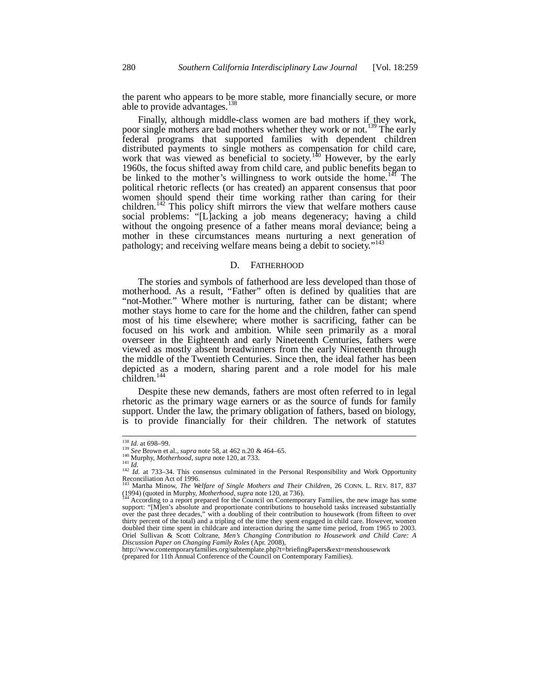the parent who appears to be more stable, more financially secure, or more able to provide advantages.<sup>138</sup>

Finally, although middle-class women are bad mothers if they work, r single mothers are bad mothers whether they work or not.<sup>139</sup> The early poor single mothers are bad mothers whether they work or not.<sup>139</sup> federal programs that supported families with dependent children distributed payments to single mothers as compensation for child care, work that was viewed as beneficial to society.<sup>140</sup> However, by the early 1960s, the focus shifted away from child care, and public benefits began to be linked to the mother's willingness to work outside the home.<sup>141</sup> The political rhetoric reflects (or has created) an apparent consensus that poor women should spend their time working rather than caring for their children.<sup>142</sup> This policy shift mirrors the view that welfare mothers cause social problems: "[L]acking a job means degeneracy; having a child without the ongoing presence of a father means moral deviance; being a mother in these circumstances means nurturing a next generation of pathology; and receiving welfare means being a debit to society."<sup>143</sup>

#### D. FATHERHOOD

The stories and symbols of fatherhood are less developed than those of motherhood. As a result, "Father" often is defined by qualities that are "not-Mother." Where mother is nurturing, father can be distant; where mother stays home to care for the home and the children, father can spend most of his time elsewhere; where mother is sacrificing, father can be focused on his work and ambition. While seen primarily as a moral overseer in the Eighteenth and early Nineteenth Centuries, fathers were viewed as mostly absent breadwinners from the early Nineteenth through the middle of the Twentieth Centuries. Since then, the ideal father has been depicted as a modern, sharing parent and a role model for his male children.<sup>14</sup>

Despite these new demands, fathers are most often referred to in legal rhetoric as the primary wage earners or as the source of funds for family support. Under the law, the primary obligation of fathers, based on biology, is to provide financially for their children. The network of statutes

http://www.contemporaryfamilies.org/subtemplate.php?t=briefingPapers&ext=menshousework (prepared for 11th Annual Conference of the Council on Contemporary Families).

<sup>&</sup>lt;sup>138</sup> *Id.* at 698–99.<br><sup>139</sup> *See* Brown et al., *supra* note 58, at 462 n.20 & 464–65.<br><sup>140</sup> Murphy, *Motherhood*, *supra* note 120, at 733.

Murphy, *Moinerhood*, *supra* note 120, at 133.<br>
<sup>141</sup> *Id.*<br>
<sup>142</sup> *Id.* at 733–34. This consensus culminated in the Personal Responsibility and Work Opportunity Reconciliation Act of 1996.

<sup>143</sup> Martha Minow, *The Welfare of Single Mothers and Their Children*, 26 CONN. L. REV. 817, 837 (1994) (quoted in Murphy, *Motherhood*, *supra* note 120, at 736).<br><sup>144</sup> According to a report prepared for the Council on Contemporary Families, the new image has some

support: "[M]en's absolute and proportionate contributions to household tasks increased substantially over the past three decades," with a doubling of their contribution to housework (from fifteen to over thirty percent of the total) and a tripling of the time they spent engaged in child care. However, women doubled their time spent in childcare and interaction during the same time period, from 1965 to 2003. Oriel Sullivan & Scott Coltrane, *Men's Changing Contribution to Housework and Child Care: A Discussion Paper on Changing Family Roles* (Apr. 2008),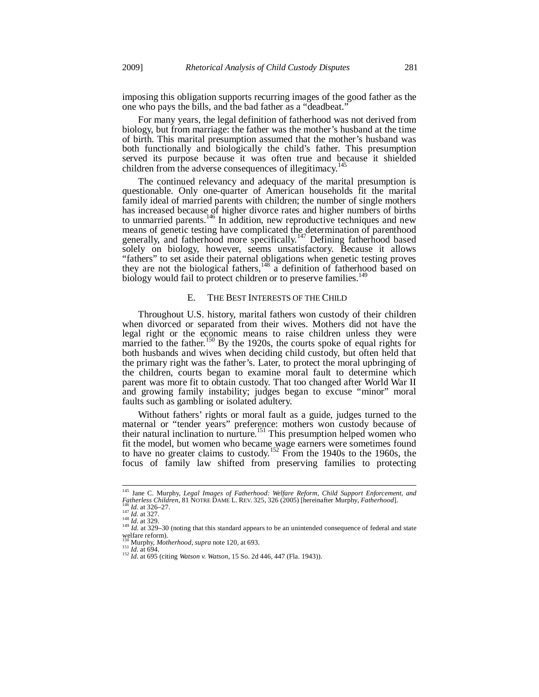imposing this obligation supports recurring images of the good father as the one who pays the bills, and the bad father as a "deadbeat."

For many years, the legal definition of fatherhood was not derived from biology, but from marriage: the father was the mother's husband at the time of birth. This marital presumption assumed that the mother's husband was both functionally and biologically the child's father. This presumption served its purpose because it was often true and because it shielded children from the adverse consequences of illegitimacy.<sup>1</sup>

The continued relevancy and adequacy of the marital presumption is questionable. Only one-quarter of American households fit the marital family ideal of married parents with children; the number of single mothers has increased because of higher divorce rates and higher numbers of births to unmarried parents.<sup>146</sup> In addition, new reproductive techniques and new means of genetic testing have complicated the determination of parenthood generally, and fatherhood more specifically.<sup>147</sup> Defining fatherhood based solely on biology, however, seems unsatisfactory. Because it allows "fathers" to set aside their paternal obligations when genetic testing proves they are not the biological fathers,<sup>148</sup> a definition of fatherhood based on biology would fail to protect children or to preserve families.<sup>149</sup>

#### E. THE BEST INTERESTS OF THE CHILD

Throughout U.S. history, marital fathers won custody of their children when divorced or separated from their wives. Mothers did not have the legal right or the economic means to raise children unless they were married to the father.<sup>150</sup> By the 1920s, the courts spoke of equal rights for both husbands and wives when deciding child custody, but often held that the primary right was the father's. Later, to protect the moral upbringing of the children, courts began to examine moral fault to determine which parent was more fit to obtain custody. That too changed after World War II and growing family instability; judges began to excuse "minor" moral faults such as gambling or isolated adultery.

Without fathers' rights or moral fault as a guide, judges turned to the maternal or "tender years" preference: mothers won custody because of their natural inclination to nurture.<sup>151</sup> This presumption helped women who fit the model, but women who became wage earners were sometimes found to have no greater claims to custody.<sup>152</sup> From the 1940s to the 1960s, the focus of family law shifted from preserving families to protecting

<sup>145</sup> Jane C. Murphy, *Legal Images of Fatherhood: Welfare Reform, Child Support Enforcement, and* 

Fig. 14. at 326–27.<br>
145 *Id.* at 329.<br>
149 *Id.* at 329.<br>
149 *Id.* at 329.<br>
149 *Id.* at 329–30 (noting that this standard appears to be an unintended consequence of federal and state welfare reform).<br><sup>150</sup> Murphy, *Motherhood*, *supra* note 120, at 693.

<sup>150</sup> Murphy, *Motherhood*, *supra* note 120, at 693. 151 *Id.* at 694. 152 *Id.* at 695 (citing *Watson v. Watson*, 15 So. 2d 446, 447 (Fla. 1943)).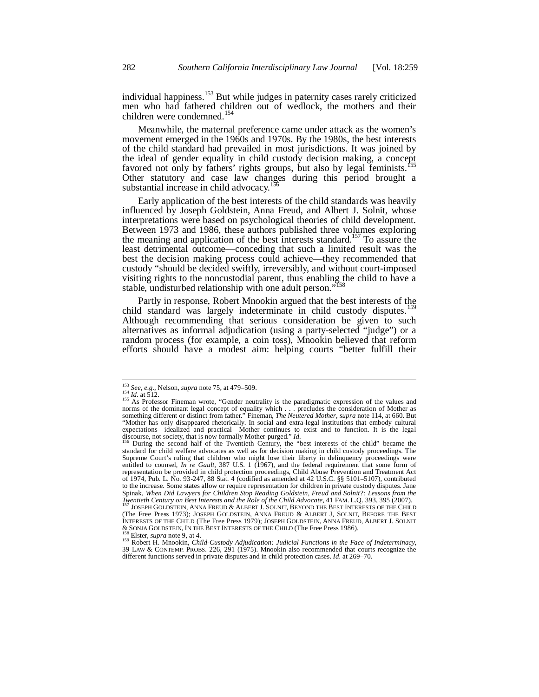individual happiness.<sup>153</sup> But while judges in paternity cases rarely criticized men who had fathered children out of wedlock, the mothers and their children were condemned.<sup>154</sup>

Meanwhile, the maternal preference came under attack as the women's movement emerged in the 1960s and 1970s. By the 1980s, the best interests of the child standard had prevailed in most jurisdictions. It was joined by the ideal of gender equality in child custody decision making, a concept favored not only by fathers' rights groups, but also by legal feminists. Other statutory and case law changes during this period brought a substantial increase in child advocacy.<sup>156</sup>

Early application of the best interests of the child standards was heavily influenced by Joseph Goldstein, Anna Freud, and Albert J. Solnit, whose interpretations were based on psychological theories of child development. Between 1973 and 1986, these authors published three volumes exploring the meaning and application of the best interests standard.<sup>157</sup> To assure the least detrimental outcome—conceding that such a limited result was the best the decision making process could achieve—they recommended that custody "should be decided swiftly, irreversibly, and without court-imposed visiting rights to the noncustodial parent, thus enabling the child to have a stable, undisturbed relationship with one adult person."<sup>158</sup>

Partly in response, Robert Mnookin argued that the best interests of the child standard was largely indeterminate in child custody disputes.<sup>159</sup> Although recommending that serious consideration be given to such alternatives as informal adjudication (using a party-selected "judge") or a random process (for example, a coin toss), Mnookin believed that reform efforts should have a modest aim: helping courts "better fulfill their

<sup>&</sup>lt;sup>153</sup> See, e.g., Nelson, *supra* note 75, at 479–509.

<sup>&</sup>lt;sup>155</sup> As Professor Fineman wrote, "Gender neutrality is the paradigmatic expression of the values and norms of the dominant legal concept of equality which . . . precludes the consideration of Mother as something different or distinct from father." Fineman, *The Neutered Mother*, *supra* note 114, at 660. But "Mother has only disappeared rhetorically. In social and extra-legal institutions that embody cultural expectations—idealized and practical—Mother continues to exist and to function. It is the legal discourse, not society, that is now formally Mother-purged."  $Id$ .<br><sup>156</sup> During the second half of the Twentieth Century, the

standard for child welfare advocates as well as for decision making in child custody proceedings. The Supreme Court's ruling that children who might lose their liberty in delinquency proceedings were entitled to counsel, *In re Gault*, 387 U.S. 1 (1967), and the federal requirement that some form of representation be provided in child protection proceedings, Child Abuse Prevention and Treatment Act of 1974, Pub. L. No. 93-247, 88 Stat. 4 (codified as amended at 42 U.S.C. §§ 5101–5107), contributed to the increase. Some states allow or require representation for children in private custody disputes. Jane Spinak, When Did Lawyers for Children Stop Reading Goldstein, Freud and Solnit?: Lessons from the<br>Twentieth Century on Best Interests and the Role of the Child Advocate, 41 FAM. L.Q. 393, 395 (2007).<br><sup>157</sup> JOSEPH GOLDSTEIN

<sup>(</sup>The Free Press 1973); JOSEPH GOLDSTEIN, ANNA FREUD & ALBERT J, SOLNIT, BEFORE THE BEST INTERESTS OF THE CHILD (The Free Press 1979); JOSEPH GOLDSTEIN, ANNA FREUD, ALBERT J. SOLNIT

<sup>&</sup>amp; SONJA GOLDSTEIN, IN THE BEST INTERESTS OF THE CHILD (The Free Press 1986). 158 Elster, *supra* note 9, at 4. 159 Robert H. Mnookin, *Child-Custody Adjudication: Judicial Functions in the Face of Indeterminacy*, 39 LAW & CONTEMP. PROBS. 226, 291 (1975). Mnookin also recommended that courts recognize the different functions served in private disputes and in child protection cases. *Id.* at 269–70.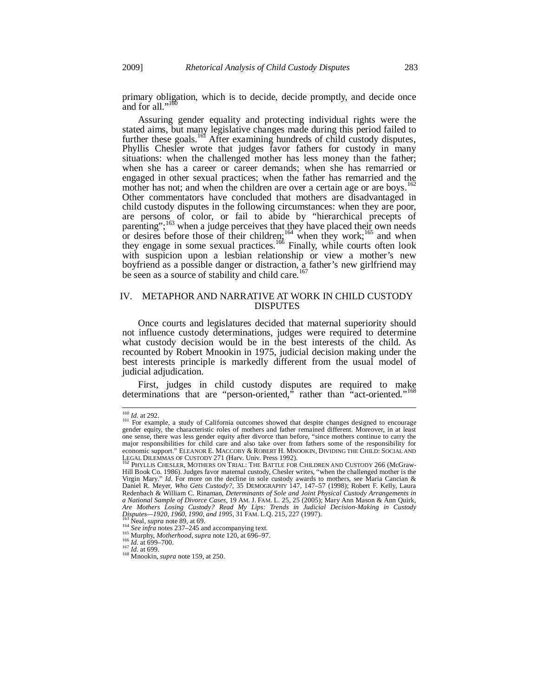primary obligation, which is to decide, decide promptly, and decide once and for all."<sup>160</sup>

Assuring gender equality and protecting individual rights were the stated aims, but many legislative changes made during this period failed to further these goals.<sup>161</sup> After examining hundreds of child custody disputes, Phyllis Chesler wrote that judges favor fathers for custody in many situations: when the challenged mother has less money than the father; when she has a career or career demands; when she has remarried or engaged in other sexual practices; when the father has remarried and the mother has not; and when the children are over a certain age or are boys.<sup>162</sup> Other commentators have concluded that mothers are disadvantaged in child custody disputes in the following circumstances: when they are poor, are persons of color, or fail to abide by "hierarchical precepts of parenting";<sup>163</sup> when a judge perceives that they have placed their own needs or desires before those of their children;<sup>164</sup> when they work;<sup>165</sup> and when they engage in some sexual practices.<sup>166</sup> Finally, while courts often look with suspicion upon a lesbian relationship or view a mother's new boyfriend as a possible danger or distraction, a father's new girlfriend may be seen as a source of stability and child care.<sup>167</sup>

# IV. METAPHOR AND NARRATIVE AT WORK IN CHILD CUSTODY DISPUTES

Once courts and legislatures decided that maternal superiority should not influence custody determinations, judges were required to determine what custody decision would be in the best interests of the child. As recounted by Robert Mnookin in 1975, judicial decision making under the best interests principle is markedly different from the usual model of judicial adjudication.

First, judges in child custody disputes are required to make determinations that are "person-oriented," rather than "act-oriented."<sup>168</sup>

<sup>&</sup>lt;sup>160</sup> *Id.* at 292.<br><sup>161</sup> For example, a study of California outcomes showed that despite changes designed to encourage gender equity, the characteristic roles of mothers and father remained different. Moreover, in at least one sense, there was less gender equity after divorce than before, "since mothers continue to carry the major responsibilities for child care and also take over from fathers some of the responsibility for economic support." ELEANOR E. MACCOBY & ROBERT H. MNOOKIN, DIVIDING THE CHILD: SOCIAL AND LEGAL DILEMMAS OF CUSTODY 271 (Harv. Univ. Press 1992).<br><sup>162</sup> PHYLLIS CHESLER, MOTHERS ON TRIAL: THE BATTLE FOR CHILDREN AND CUSTODY 266 (McGraw-

Hill Book Co. 1986). Judges favor maternal custody, Chesler writes, "when the challenged mother is the Virgin Mary." *Id.* For more on the decline in sole custody awards to mothers, see Maria Cancian & Daniel R. Meyer, *Who Gets Custody?*, 35 DEMOGRAPHY 147, 147–57 (1998); Robert F. Kelly, Laura Redenbach & William C. Rinaman, *Determinants of Sole and Joint Physical Custody Arrangements in a National Sample of Divorce Cases*, 19 AM. J. FAM. L. 25, 25 (2005); Mary Ann Mason & Ann Quirk, Are Mothers Losing Custody? Read My Lips: Trends in Judicial Decision-Making in Custody<br>Disputes—1920, 1960, 1990, and 1995, 31 FAM. L.Q. 215, 227 (1997).

<sup>&</sup>lt;sup>163</sup> Neal, *supra* note 89, at 69.<br>
<sup>164</sup> *See infra* notes 237–245 and accompanying text.<br>
<sup>165</sup> *Nurphy, Motherhood, supra* note 120, at 696–97.<br>
<sup>167</sup> *Id.* at 699–700.<br>
<sup>167</sup> *Id.* at 699.<br>
<sup>168</sup> Mnookin, *supra* not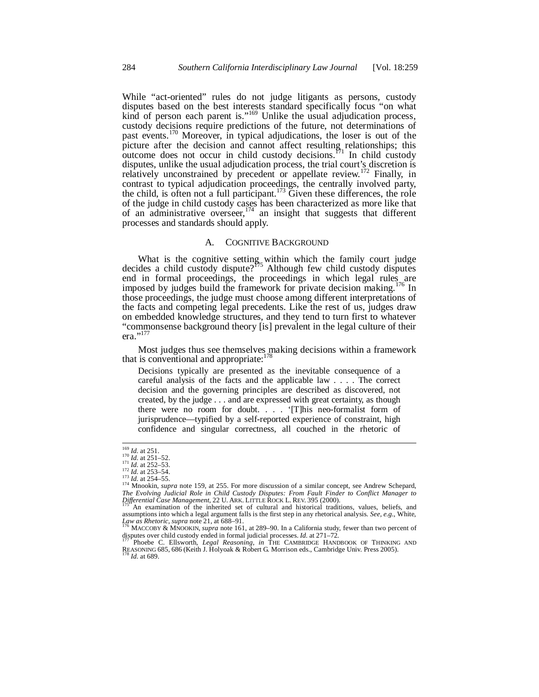While "act-oriented" rules do not judge litigants as persons, custody disputes based on the best interests standard specifically focus "on what kind of person each parent is."<sup>169</sup> Unlike the usual adjudication process, custody decisions require predictions of the future, not determinations of past events.<sup>170</sup> Moreover, in typical adjudications, the loser is out of the picture after the decision and cannot affect resulting relationships; this outcome does not occur in child custody decisions.<sup>171</sup> In child custody disputes, unlike the usual adjudication process, the trial court's discretion is relatively unconstrained by precedent or appellate review.<sup>172</sup> Finally, in contrast to typical adjudication proceedings, the centrally involved party, the child, is often not a full participant.<sup>173</sup> Given these differences, the role of the judge in child custody cases has been characterized as more like that of an administrative overseer,  $174$  an insight that suggests that different processes and standards should apply.

# A. COGNITIVE BACKGROUND

What is the cognitive setting within which the family court judge decides a child custody dispute?<sup>175</sup> Although few child custody disputes end in formal proceedings, the proceedings in which legal rules are imposed by judges build the framework for private decision making.176 In those proceedings, the judge must choose among different interpretations of the facts and competing legal precedents. Like the rest of us, judges draw on embedded knowledge structures, and they tend to turn first to whatever "commonsense background theory [is] prevalent in the legal culture of their era."<sup>177</sup>

Most judges thus see themselves making decisions within a framework that is conventional and appropriate: $178$ 

Decisions typically are presented as the inevitable consequence of a careful analysis of the facts and the applicable law . . . . The correct decision and the governing principles are described as discovered, not created, by the judge . . . and are expressed with great certainty, as though there were no room for doubt. . . . '[T]his neo-formalist form of jurisprudence—typified by a self-reported experience of constraint, high confidence and singular correctness, all couched in the rhetoric of

disputes over child custody ended in formal judicial processes. *Id.* at 271–72. <sup>177</sup> Phoebe C. Ellsworth, *Legal Reasoning*, *in* THE CAMBRIDGE HANDBOOK OF THINKING AND

REASONING 685, 686 (Keith J. Holyoak & Robert G. Morrison eds., Cambridge Univ. Press 2005).<br><sup>178</sup> *Id.* at 689.

 $\frac{169}{170}$  *Id.* at 251.<br><sup>170</sup> *Id.* at 251–52.<br><sup>171</sup> *Id.* at 252–53.

*Id.* at 252–53.<br>
<sup>172</sup> *Id.* at 253–54.<br>
<sup>173</sup> *Id.* at 254–55.<br>
<sup>174</sup> Mnookin, *supra* note 159, at 255. For more discussion of a similar concept, see Andrew Schepard, The Evolving Judicial Role in Child Custody Disputes: From Fault Finder to Conflict Manager to<br>Differential Case Management, 22 U. ARK. LITTLE ROCK L. REV. 395 (2000).<br><sup>175</sup> An examination of the inherited set of cultural

assumptions into which a legal argument falls is the first step in any rhetorical analysis. *See, e.g.*, White, *Law as Rhetoric*, *supra* note 21, at 688–91.<br><sup>176</sup> MACCOBY & MNOOKIN, *supra* note 161, at 289–90. In a California study, fewer than two percent of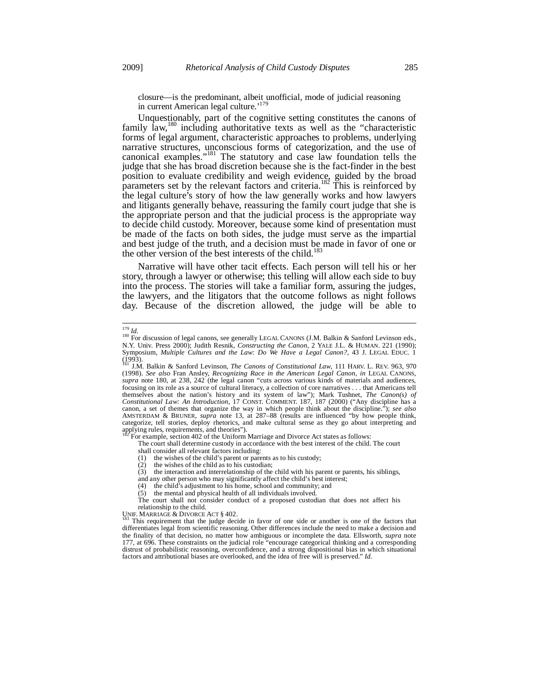closure—is the predominant, albeit unofficial, mode of judicial reasoning in current American legal culture.'<sup>179</sup>

Unquestionably, part of the cognitive setting constitutes the canons of family law,<sup>180</sup> including authoritative texts as well as the "characteristic forms of legal argument, characteristic approaches to problems, underlying narrative structures, unconscious forms of categorization, and the use of canonical examples."181 The statutory and case law foundation tells the judge that she has broad discretion because she is the fact-finder in the best position to evaluate credibility and weigh evidence, guided by the broad parameters set by the relevant factors and criteria.<sup>182</sup> This is reinforced by the legal culture's story of how the law generally works and how lawyers and litigants generally behave, reassuring the family court judge that she is the appropriate person and that the judicial process is the appropriate way to decide child custody. Moreover, because some kind of presentation must be made of the facts on both sides, the judge must serve as the impartial and best judge of the truth, and a decision must be made in favor of one or the other version of the best interests of the child.<sup>183</sup>

Narrative will have other tacit effects. Each person will tell his or her story, through a lawyer or otherwise; this telling will allow each side to buy into the process. The stories will take a familiar form, assuring the judges, the lawyers, and the litigators that the outcome follows as night follows day. Because of the discretion allowed, the judge will be able to

For example, section 402 of the Uniform Marriage and Divorce Act states as follows:

The court shall determine custody in accordance with the best interest of the child. The court

shall consider all relevant factors including:

(1) the wishes of the child's parent or parents as to his custody;

 $(2)$  the wishes of the child as to his custodian;

(3) the interaction and interrelationship of the child with his parent or parents, his siblings,

and any other person who may significantly affect the child's best interest;

(4) the child's adjustment to his home, school and community; and

(5) the mental and physical health of all individuals involved. The court shall not consider conduct of a proposed custodian that does not affect his relationship to the child.<br>UNIF. MARRIAGE & DIVORCE ACT § 402.

This requirement that the judge decide in favor of one side or another is one of the factors that differentiates legal from scientific reasoning. Other differences include the need to make a decision and the finality of that decision, no matter how ambiguous or incomplete the data. Ellsworth, *supra* note 177, at 696. These constraints on the judicial role "encourage categorical thinking and a corresponding distrust of probabilistic reasoning, overconfidence, and a strong dispositional bias in which situational factors and attributional biases are overlooked, and the idea of free will is preserved." *Id.*

 $179$  *Id.* 

<sup>&</sup>lt;sup>180</sup> For discussion of legal canons, see generally LEGAL CANONS (J.M. Balkin & Sanford Levinson eds., N.Y. Univ. Press 2000); Judith Resnik, *Constructing the Canon*, 2 YALE J.L. & HUMAN. 221 (1990); Symposium, *Multiple Cultures and the Law: Do We Have a Legal Canon?*, 43 J. LEGAL EDUC. 1

<sup>(1993).</sup>  181 J.M. Balkin & Sanford Levinson, *The Canons of Constitutional Law*, 111 HARV. L. REV. 963, 970 (1998). *See also* Fran Ansley, *Recognizing Race in the American Legal Canon*, *in* LEGAL CANONS, *supra* note 180, at 238, 242 (the legal canon "cuts across various kinds of materials and audiences, focusing on its role as a source of cultural literacy, a collection of core narratives . . . that Americans tell themselves about the nation's history and its system of law"); Mark Tushnet, *The Canon(s) of Constitutional Law: An Introduction*, 17 CONST. COMMENT. 187, 187 (2000) ("Any discipline has a canon, a set of themes that organize the way in which people think about the discipline."); *see also*  AMSTERDAM & BRUNER, *supra* note 13, at 287–88 (results are influenced "by how people think, categorize, tell stories, deploy rhetorics, and make cultural sense as they go about interpreting and applying rules, requirements, and theories").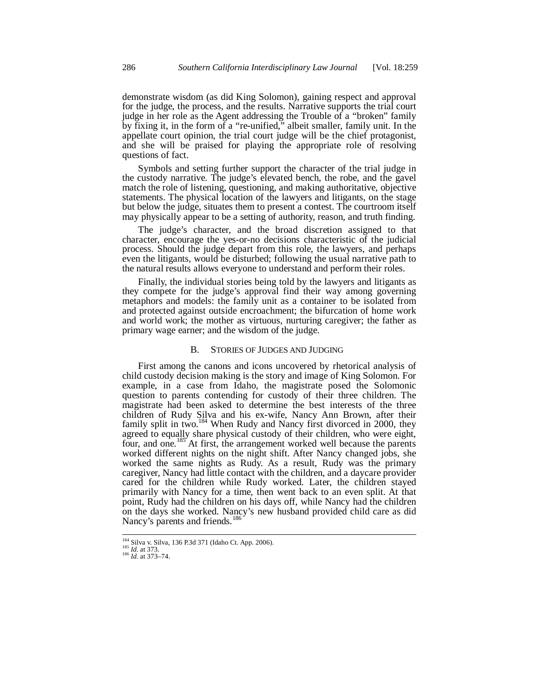demonstrate wisdom (as did King Solomon), gaining respect and approval for the judge, the process, and the results. Narrative supports the trial court judge in her role as the Agent addressing the Trouble of a "broken" family by fixing it, in the form of a "re-unified," albeit smaller, family unit. In the appellate court opinion, the trial court judge will be the chief protagonist, and she will be praised for playing the appropriate role of resolving questions of fact.

Symbols and setting further support the character of the trial judge in the custody narrative. The judge's elevated bench, the robe, and the gavel match the role of listening, questioning, and making authoritative, objective statements. The physical location of the lawyers and litigants, on the stage but below the judge, situates them to present a contest. The courtroom itself may physically appear to be a setting of authority, reason, and truth finding.

The judge's character, and the broad discretion assigned to that character, encourage the yes-or-no decisions characteristic of the judicial process. Should the judge depart from this role, the lawyers, and perhaps even the litigants, would be disturbed; following the usual narrative path to the natural results allows everyone to understand and perform their roles.

Finally, the individual stories being told by the lawyers and litigants as they compete for the judge's approval find their way among governing metaphors and models: the family unit as a container to be isolated from and protected against outside encroachment; the bifurcation of home work and world work; the mother as virtuous, nurturing caregiver; the father as primary wage earner; and the wisdom of the judge.

## B. STORIES OF JUDGES AND JUDGING

First among the canons and icons uncovered by rhetorical analysis of child custody decision making is the story and image of King Solomon. For example, in a case from Idaho, the magistrate posed the Solomonic question to parents contending for custody of their three children. The magistrate had been asked to determine the best interests of the three children of Rudy Silva and his ex-wife, Nancy Ann Brown, after their family split in two.<sup>184</sup> When Rudy and Nancy first divorced in 2000, they agreed to equally share physical custody of their children, who were eight, four, and one.<sup>185</sup> At first, the arrangement worked well because the parents worked different nights on the night shift. After Nancy changed jobs, she worked the same nights as Rudy. As a result, Rudy was the primary caregiver, Nancy had little contact with the children, and a daycare provider cared for the children while Rudy worked. Later, the children stayed primarily with Nancy for a time, then went back to an even split. At that point, Rudy had the children on his days off, while Nancy had the children on the days she worked. Nancy's new husband provided child care as did Nancy's parents and friends. $<sup>18</sup>$ </sup>

<sup>184</sup> Silva v. Silva, 136 P.3d 371 (Idaho Ct. App. 2006). 185 *Id.* at 373. 186 *Id.* at 373–74.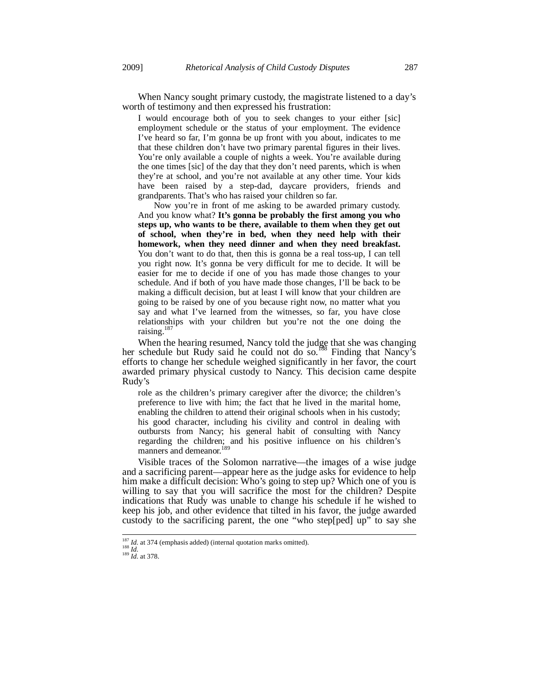When Nancy sought primary custody, the magistrate listened to a day's worth of testimony and then expressed his frustration:

I would encourage both of you to seek changes to your either [sic] employment schedule or the status of your employment. The evidence I've heard so far, I'm gonna be up front with you about, indicates to me that these children don't have two primary parental figures in their lives. You're only available a couple of nights a week. You're available during the one times [sic] of the day that they don't need parents, which is when they're at school, and you're not available at any other time. Your kids have been raised by a step-dad, daycare providers, friends and grandparents. That's who has raised your children so far.

 Now you're in front of me asking to be awarded primary custody. And you know what? **It's gonna be probably the first among you who steps up, who wants to be there, available to them when they get out of school, when they're in bed, when they need help with their homework, when they need dinner and when they need breakfast.**  You don't want to do that, then this is gonna be a real toss-up, I can tell you right now. It's gonna be very difficult for me to decide. It will be easier for me to decide if one of you has made those changes to your schedule. And if both of you have made those changes, I'll be back to be making a difficult decision, but at least I will know that your children are going to be raised by one of you because right now, no matter what you say and what I've learned from the witnesses, so far, you have close relationships with your children but you're not the one doing the raising. $18$ 

When the hearing resumed, Nancy told the judge that she was changing her schedule but Rudy said he could not do so.<sup>188</sup> Finding that Nancy's efforts to change her schedule weighed significantly in her favor, the court awarded primary physical custody to Nancy. This decision came despite Rudy's

role as the children's primary caregiver after the divorce; the children's preference to live with him; the fact that he lived in the marital home, enabling the children to attend their original schools when in his custody; his good character, including his civility and control in dealing with outbursts from Nancy; his general habit of consulting with Nancy regarding the children; and his positive influence on his children's manners and demeanor.<sup>189</sup>

Visible traces of the Solomon narrative—the images of a wise judge and a sacrificing parent—appear here as the judge asks for evidence to help him make a difficult decision: Who's going to step up? Which one of you is willing to say that you will sacrifice the most for the children? Despite indications that Rudy was unable to change his schedule if he wished to keep his job, and other evidence that tilted in his favor, the judge awarded custody to the sacrificing parent, the one "who step[ped] up" to say she

<sup>&</sup>lt;sup>187</sup> *Id.* at 374 (emphasis added) (internal quotation marks omitted).<br><sup>188</sup> *Id.* at 378.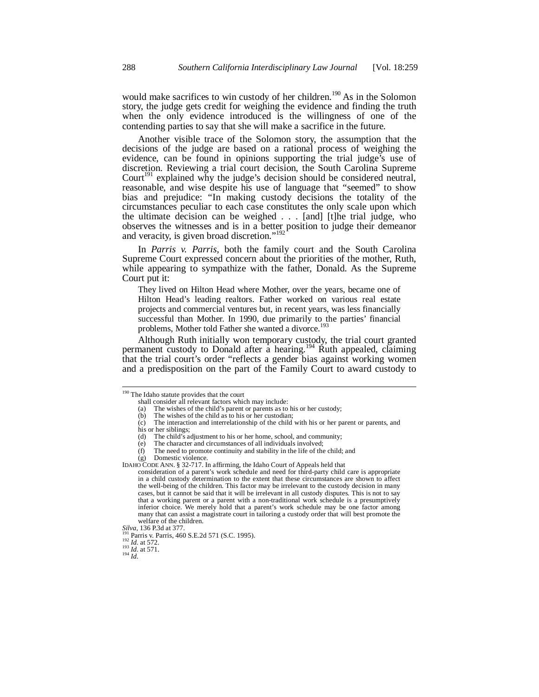would make sacrifices to win custody of her children.<sup>190</sup> As in the Solomon story, the judge gets credit for weighing the evidence and finding the truth when the only evidence introduced is the willingness of one of the contending parties to say that she will make a sacrifice in the future.

Another visible trace of the Solomon story, the assumption that the decisions of the judge are based on a rational process of weighing the evidence, can be found in opinions supporting the trial judge's use of discretion. Reviewing a trial court decision, the South Carolina Supreme Court<sup>191</sup> explained why the judge's decision should be considered neutral, reasonable, and wise despite his use of language that "seemed" to show bias and prejudice: "In making custody decisions the totality of the circumstances peculiar to each case constitutes the only scale upon which the ultimate decision can be weighed . . . [and] [t]he trial judge, who observes the witnesses and is in a better position to judge their demeanor and veracity, is given broad discretion."<sup>192</sup>

In *Parris v. Parris*, both the family court and the South Carolina Supreme Court expressed concern about the priorities of the mother, Ruth, while appearing to sympathize with the father, Donald. As the Supreme Court put it:

They lived on Hilton Head where Mother, over the years, became one of Hilton Head's leading realtors. Father worked on various real estate projects and commercial ventures but, in recent years, was less financially successful than Mother. In 1990, due primarily to the parties' financial problems, Mother told Father she wanted a divorce.<sup>193</sup>

Although Ruth initially won temporary custody, the trial court granted permanent custody to Donald after a hearing.<sup>194</sup> Ruth appealed, claiming that the trial court's order "reflects a gender bias against working women and a predisposition on the part of the Family Court to award custody to

<sup>&</sup>lt;sup>190</sup> The Idaho statute provides that the court

shall consider all relevant factors which may include:

<sup>(</sup>a) The wishes of the child's parent or parents as to his or her custody;

 $(b)$  The wishes of the child as to his or her custodian;

<sup>(</sup>c) The interaction and interrelationship of the child with his or her parent or parents, and his or her siblings;<br>(d) The child's a

The child's adjustment to his or her home, school, and community;

<sup>(</sup>e) The character and circumstances of all individuals involved;

<sup>(</sup>f) The need to promote continuity and stability in the life of the child; and

<sup>(</sup>g) Domestic violence.

IDAHO CODE ANN. § 32-717. In affirming, the Idaho Court of Appeals held that

consideration of a parent's work schedule and need for third-party child care is appropriate in a child custody determination to the extent that these circumstances are shown to affect the well-being of the children. This factor may be irrelevant to the custody decision in many cases, but it cannot be said that it will be irrelevant in all custody disputes. This is not to say that a working parent or a parent with a non-traditional work schedule is a presumptively inferior choice. We merely hold that a parent's work schedule may be one factor among many that can assist a magistrate court in tailoring a custody order that will best promote the welfare of the children.<br>Silva, 136 P.3d at 377.

<sup>&</sup>lt;sup>191</sup> Parris v. Parris, 460 S.E.2d 571 (S.C. 1995).<br><sup>192</sup> *Id.* at 572.<br><sup>193</sup> *Id.* at 571.<br>*194 Id.*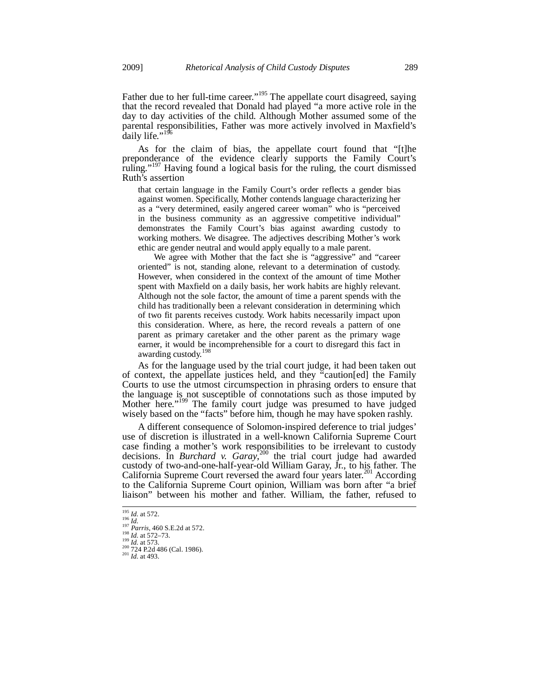Father due to her full-time career."<sup>195</sup> The appellate court disagreed, saying that the record revealed that Donald had played "a more active role in the day to day activities of the child. Although Mother assumed some of the parental responsibilities, Father was more actively involved in Maxfield's daily life."<sup>1</sup>

As for the claim of bias, the appellate court found that "[t]he preponderance of the evidence clearly supports the Family Court's ruling."<sup>197</sup> Having found a logical basis for the ruling, the court dismissed Ruth's assertion

that certain language in the Family Court's order reflects a gender bias against women. Specifically, Mother contends language characterizing her as a "very determined, easily angered career woman" who is "perceived in the business community as an aggressive competitive individual" demonstrates the Family Court's bias against awarding custody to working mothers. We disagree. The adjectives describing Mother's work ethic are gender neutral and would apply equally to a male parent.

 We agree with Mother that the fact she is "aggressive" and "career oriented" is not, standing alone, relevant to a determination of custody. However, when considered in the context of the amount of time Mother spent with Maxfield on a daily basis, her work habits are highly relevant. Although not the sole factor, the amount of time a parent spends with the child has traditionally been a relevant consideration in determining which of two fit parents receives custody. Work habits necessarily impact upon this consideration. Where, as here, the record reveals a pattern of one parent as primary caretaker and the other parent as the primary wage earner, it would be incomprehensible for a court to disregard this fact in awarding custody.<sup>198</sup>

As for the language used by the trial court judge, it had been taken out of context, the appellate justices held, and they "caution[ed] the Family Courts to use the utmost circumspection in phrasing orders to ensure that the language is not susceptible of connotations such as those imputed by Mother here."<sup>199</sup> The family court judge was presumed to have judged wisely based on the "facts" before him, though he may have spoken rashly.

A different consequence of Solomon-inspired deference to trial judges' use of discretion is illustrated in a well-known California Supreme Court case finding a mother's work responsibilities to be irrelevant to custody decisions. In *Burchard v. Garay*, 200 the trial court judge had awarded custody of two-and-one-half-year-old William Garay, Jr., to his father. The California Supreme Court reversed the award four years later.<sup>201</sup> According to the California Supreme Court opinion, William was born after "a brief liaison" between his mother and father. William, the father, refused to

<sup>&</sup>lt;sup>195</sup> *Id.* at 572.<br><sup>197</sup> *Parris*, 460 S.E.2d at 572.<br><sup>198</sup> *Id.* at 572–73.<br><sup>199</sup> *Id.* at 573.<br><sup>200</sup> *T2*4 P.2d 486 (Cal. 1986).<br><sup>201</sup> *Id.* at 493.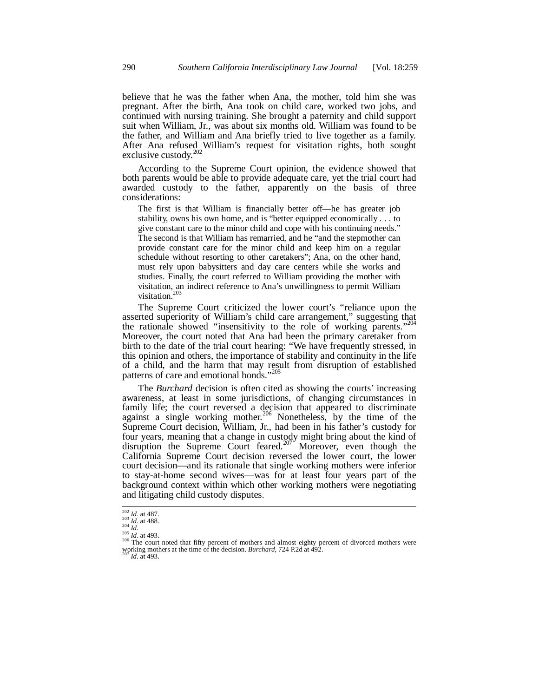believe that he was the father when Ana, the mother, told him she was pregnant. After the birth, Ana took on child care, worked two jobs, and continued with nursing training. She brought a paternity and child support suit when William, Jr., was about six months old. William was found to be the father, and William and Ana briefly tried to live together as a family. After Ana refused William's request for visitation rights, both sought exclusive custody.<sup>202</sup>

According to the Supreme Court opinion, the evidence showed that both parents would be able to provide adequate care, yet the trial court had awarded custody to the father, apparently on the basis of three considerations:

The first is that William is financially better off—he has greater job stability, owns his own home, and is "better equipped economically . . . to give constant care to the minor child and cope with his continuing needs." The second is that William has remarried, and he "and the stepmother can provide constant care for the minor child and keep him on a regular schedule without resorting to other caretakers"; Ana, on the other hand, must rely upon babysitters and day care centers while she works and studies. Finally, the court referred to William providing the mother with visitation, an indirect reference to Ana's unwillingness to permit William visitation.<sup>203</sup>

The Supreme Court criticized the lower court's "reliance upon the asserted superiority of William's child care arrangement," suggesting that the rationale showed "insensitivity to the role of working parents."<sup>20</sup> Moreover, the court noted that Ana had been the primary caretaker from birth to the date of the trial court hearing: "We have frequently stressed, in this opinion and others, the importance of stability and continuity in the life of a child, and the harm that may result from disruption of established patterns of care and emotional bonds."<sup>205</sup>

The *Burchard* decision is often cited as showing the courts' increasing awareness, at least in some jurisdictions, of changing circumstances in family life; the court reversed a decision that appeared to discriminate against a single working mother.<sup>206</sup> Nonetheless, by the time of the Supreme Court decision, William, Jr., had been in his father's custody for four years, meaning that a change in custody might bring about the kind of disruption the Supreme Court feared.<sup>207</sup> Moreover, even though the California Supreme Court decision reversed the lower court, the lower court decision—and its rationale that single working mothers were inferior to stay-at-home second wives—was for at least four years part of the background context within which other working mothers were negotiating and litigating child custody disputes.

 $\frac{202}{203}$  *Id.* at 487.<br>  $\frac{203}{204}$  *Id.* at 488.

<sup>205</sup> *Id.* at 493.<br><sup>205</sup> *Id.* at 493. 206 The court noted that fifty percent of mothers and almost eighty percent of divorced mothers were working mothers at the time of the decision. *Burchard*, 724 P.2d at 492. 207 *Id.* at 493.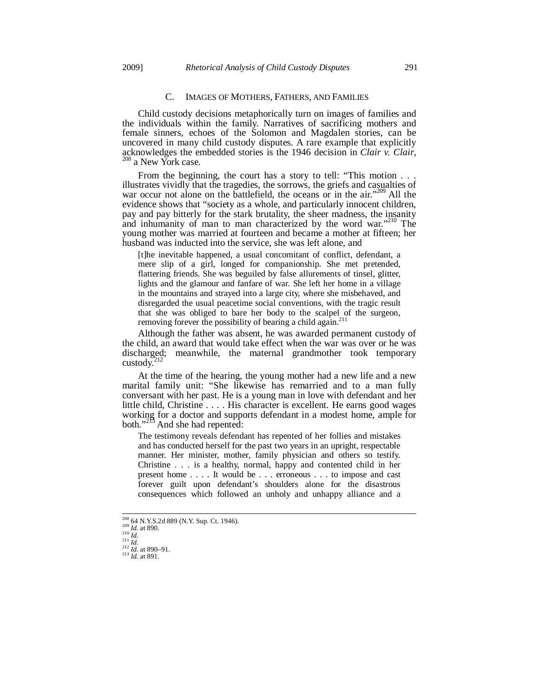## C. IMAGES OF MOTHERS, FATHERS, AND FAMILIES

Child custody decisions metaphorically turn on images of families and the individuals within the family. Narratives of sacrificing mothers and female sinners, echoes of the Solomon and Magdalen stories, can be uncovered in many child custody disputes. A rare example that explicitly acknowledges the embedded stories is the 1946 decision in *Clair v. Clair*, <sup>208</sup> a New York case.

From the beginning, the court has a story to tell: "This motion . . . illustrates vividly that the tragedies, the sorrows, the griefs and casualties of war occur not alone on the battlefield, the oceans or in the air."<sup>209</sup> All the evidence shows that "society as a whole, and particularly innocent children, pay and pay bitterly for the stark brutality, the sheer madness, the insanity and inhumanity of man to man characterized by the word war."<sup>210</sup> The young mother was married at fourteen and became a mother at fifteen; her husband was inducted into the service, she was left alone, and

[t]he inevitable happened, a usual concomitant of conflict, defendant, a mere slip of a girl, longed for companionship. She met pretended, flattering friends. She was beguiled by false allurements of tinsel, glitter, lights and the glamour and fanfare of war. She left her home in a village in the mountains and strayed into a large city, where she misbehaved, and disregarded the usual peacetime social conventions, with the tragic result that she was obliged to bare her body to the scalpel of the surgeon, removing forever the possibility of bearing a child again. $^{211}$ 

Although the father was absent, he was awarded permanent custody of the child, an award that would take effect when the war was over or he was discharged; meanwhile, the maternal grandmother took temporary custody. $^{2}$ 

At the time of the hearing, the young mother had a new life and a new marital family unit: "She likewise has remarried and to a man fully conversant with her past. He is a young man in love with defendant and her little child, Christine . . . . His character is excellent. He earns good wages working for a doctor and supports defendant in a modest home, ample for both."<sup>213</sup> And she had repented:

The testimony reveals defendant has repented of her follies and mistakes and has conducted herself for the past two years in an upright, respectable manner. Her minister, mother, family physician and others so testify. Christine . . . is a healthy, normal, happy and contented child in her present home . . . . It would be . . . erroneous . . . to impose and cast forever guilt upon defendant's shoulders alone for the disastrous consequences which followed an unholy and unhappy alliance and a

<sup>&</sup>lt;sup>208</sup> 64 N.Y.S.2d 889 (N.Y. Sup. Ct. 1946).

<sup>209</sup> *Id.* **at 890.**<br>
210 *Id.* at 890.<br>
211 *Id.*<br>
212 *Id.* at 890–91.<br>
213 *Id.* at 891.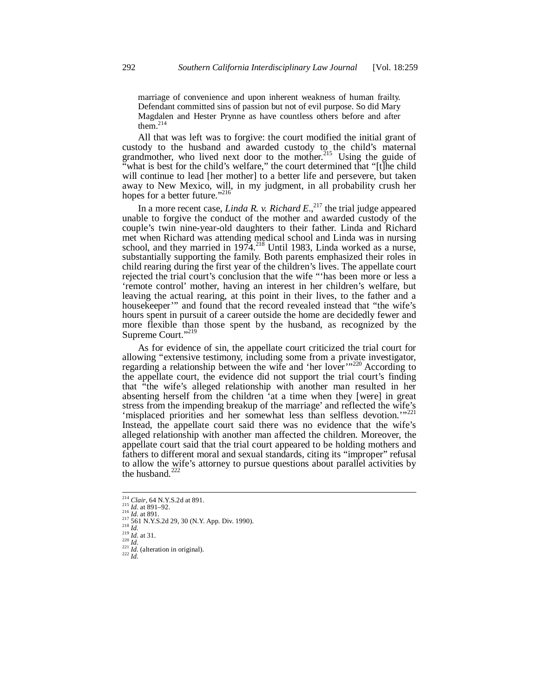marriage of convenience and upon inherent weakness of human frailty. Defendant committed sins of passion but not of evil purpose. So did Mary Magdalen and Hester Prynne as have countless others before and after them. $^{2}$ 

All that was left was to forgive: the court modified the initial grant of custody to the husband and awarded custody to the child's maternal grandmother, who lived next door to the mother.<sup>215</sup> Using the guide of what is best for the child's welfare," the court determined that "[t]he child will continue to lead [her mother] to a better life and persevere, but taken away to New Mexico, will, in my judgment, in all probability crush her hopes for a better future."<sup>216</sup>

In a more recent case, *Linda R. v. Richard E.*<sup>217</sup> the trial judge appeared unable to forgive the conduct of the mother and awarded custody of the couple's twin nine-year-old daughters to their father. Linda and Richard met when Richard was attending medical school and Linda was in nursing school, and they married in  $1974$ <sup>218</sup> Until 1983, Linda worked as a nurse, substantially supporting the family. Both parents emphasized their roles in child rearing during the first year of the children's lives. The appellate court rejected the trial court's conclusion that the wife "'has been more or less a 'remote control' mother, having an interest in her children's welfare, but leaving the actual rearing, at this point in their lives, to the father and a housekeeper'" and found that the record revealed instead that "the wife's hours spent in pursuit of a career outside the home are decidedly fewer and more flexible than those spent by the husband, as recognized by the Supreme Court."<sup>219</sup>

As for evidence of sin, the appellate court criticized the trial court for allowing "extensive testimony, including some from a private investigator, regarding a relationship between the wife and 'her lover'<sup>"220</sup> According to the appellate court, the evidence did not support the trial court's finding that "the wife's alleged relationship with another man resulted in her absenting herself from the children 'at a time when they [were] in great stress from the impending breakup of the marriage' and reflected the wife's 'misplaced priorities and her somewhat less than selfless devotion.'"<sup>221</sup> Instead, the appellate court said there was no evidence that the wife's alleged relationship with another man affected the children. Moreover, the appellate court said that the trial court appeared to be holding mothers and fathers to different moral and sexual standards, citing its "improper" refusal to allow the wife's attorney to pursue questions about parallel activities by the husband.<sup>222</sup>

 $\frac{14}{214}$  Clair, 64 N.Y.S.2d at 891.<br>
215 *Id.* at 891–92.

<sup>216</sup> *Id.* at 891.<br>
217 561 N.Y.S.2d 29, 30 (N.Y. App. Div. 1990).<br>
218 561 N.Y.S.2d 29, 30 (N.Y. App. Div. 1990).<br>
219 *Id.*<br>
221 *Id.*<br>
221 *Id.* (alteration in original).<br>
222 *Id.*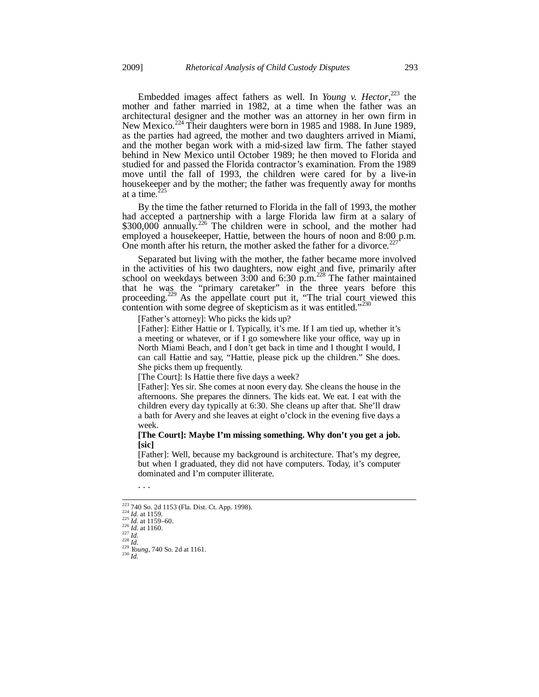Embedded images affect fathers as well. In *Young v. Hector*,<sup>223</sup> the mother and father married in 1982, at a time when the father was an architectural designer and the mother was an attorney in her own firm in New Mexico.224 Their daughters were born in 1985 and 1988. In June 1989, as the parties had agreed, the mother and two daughters arrived in Miami, and the mother began work with a mid-sized law firm. The father stayed behind in New Mexico until October 1989; he then moved to Florida and studied for and passed the Florida contractor's examination. From the 1989 move until the fall of 1993, the children were cared for by a live-in housekeeper and by the mother; the father was frequently away for months at a time.<sup>2</sup>

By the time the father returned to Florida in the fall of 1993, the mother had accepted a partnership with a large Florida law firm at a salary of \$300,000 annually.<sup>226</sup> The children were in school, and the mother had employed a housekeeper, Hattie, between the hours of noon and 8:00 p.m. One month after his return, the mother asked the father for a divorce.<sup>227</sup>

Separated but living with the mother, the father became more involved in the activities of his two daughters, now eight and five, primarily after school on weekdays between  $3.00$  and  $6.30$  p.m.<sup>228</sup> The father maintained that he was the "primary caretaker" in the three years before this proceeding.<sup>229</sup> As the appellate court put it, "The trial court viewed this contention with some degree of skepticism as it was entitled."

[Father's attorney]: Who picks the kids up?

[Father]: Either Hattie or I. Typically, it's me. If I am tied up, whether it's a meeting or whatever, or if I go somewhere like your office, way up in North Miami Beach, and I don't get back in time and I thought I would, I can call Hattie and say, "Hattie, please pick up the children." She does. She picks them up frequently.

[The Court]: Is Hattie there five days a week?

[Father]: Yes sir. She comes at noon every day. She cleans the house in the afternoons. She prepares the dinners. The kids eat. We eat. I eat with the children every day typically at 6:30. She cleans up after that. She'll draw a bath for Avery and she leaves at eight o'clock in the evening five days a week.

## **[The Court]: Maybe I'm missing something. Why don't you get a job. [sic]**

[Father]: Well, because my background is architecture. That's my degree, but when I graduated, they did not have computers. Today, it's computer dominated and I'm computer illiterate.

. . .

<sup>&</sup>lt;sup>223</sup> 740 So. 2d 1153 (Fla. Dist. Ct. App. 1998).

<sup>224</sup> *Id.* at 1159.<br>
<sup>225</sup> *Id.* at 1159–60.<br>
<sup>225</sup> *Id.* at 1160.<br>
<sup>227</sup> *Id.*<br>
<sup>228</sup> *Id.* 228 *Young*, 740 So. 2d at 1161.<br>
<sup>230</sup> *Id. Id.*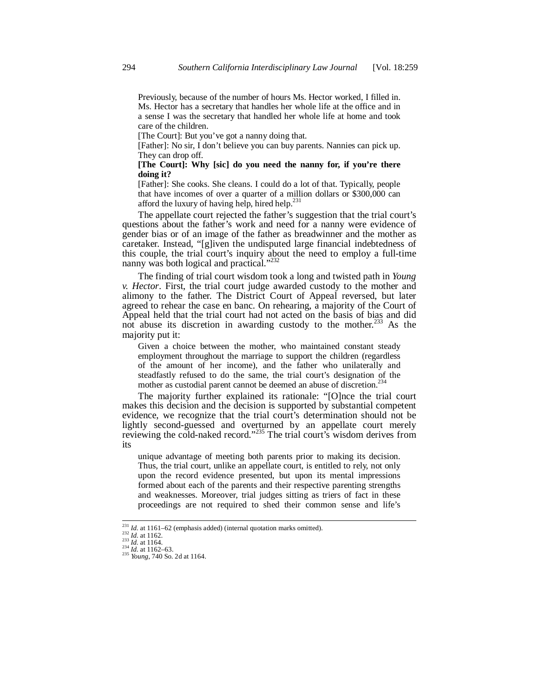Previously, because of the number of hours Ms. Hector worked, I filled in. Ms. Hector has a secretary that handles her whole life at the office and in a sense I was the secretary that handled her whole life at home and took care of the children.

[The Court]: But you've got a nanny doing that.

[Father]: No sir, I don't believe you can buy parents. Nannies can pick up. They can drop off.

## **[The Court]: Why [sic] do you need the nanny for, if you're there doing it?**

[Father]: She cooks. She cleans. I could do a lot of that. Typically, people that have incomes of over a quarter of a million dollars or \$300,000 can afford the luxury of having help, hired help.<sup>231</sup>

The appellate court rejected the father's suggestion that the trial court's questions about the father's work and need for a nanny were evidence of gender bias or of an image of the father as breadwinner and the mother as caretaker. Instead, "[g]iven the undisputed large financial indebtedness of this couple, the trial court's inquiry about the need to employ a full-time nanny was both logical and practical."<sup>232</sup>

The finding of trial court wisdom took a long and twisted path in *Young v. Hector*. First, the trial court judge awarded custody to the mother and alimony to the father. The District Court of Appeal reversed, but later agreed to rehear the case en banc. On rehearing, a majority of the Court of Appeal held that the trial court had not acted on the basis of bias and did not abuse its discretion in awarding custody to the mother.<sup>233</sup> As the majority put it:

Given a choice between the mother, who maintained constant steady employment throughout the marriage to support the children (regardless of the amount of her income), and the father who unilaterally and steadfastly refused to do the same, the trial court's designation of the mother as custodial parent cannot be deemed an abuse of discretion.<sup>234</sup>

The majority further explained its rationale: "[O]nce the trial court makes this decision and the decision is supported by substantial competent evidence, we recognize that the trial court's determination should not be lightly second-guessed and overturned by an appellate court merely reviewing the cold-naked record."<sup>235</sup> The trial court's wisdom derives from its

unique advantage of meeting both parents prior to making its decision. Thus, the trial court, unlike an appellate court, is entitled to rely, not only upon the record evidence presented, but upon its mental impressions formed about each of the parents and their respective parenting strengths and weaknesses. Moreover, trial judges sitting as triers of fact in these proceedings are not required to shed their common sense and life's

<sup>&</sup>lt;sup>231</sup> *Id.* at 1161–62 (emphasis added) (internal quotation marks omitted).<br><sup>232</sup> *Id.* at 1162.<br><sup>233</sup> *Id.* at 1164.<br><sup>234</sup> *Id.* at 1162–63.<br><sup>235</sup> *Young*, 740 So. 2d at 1164.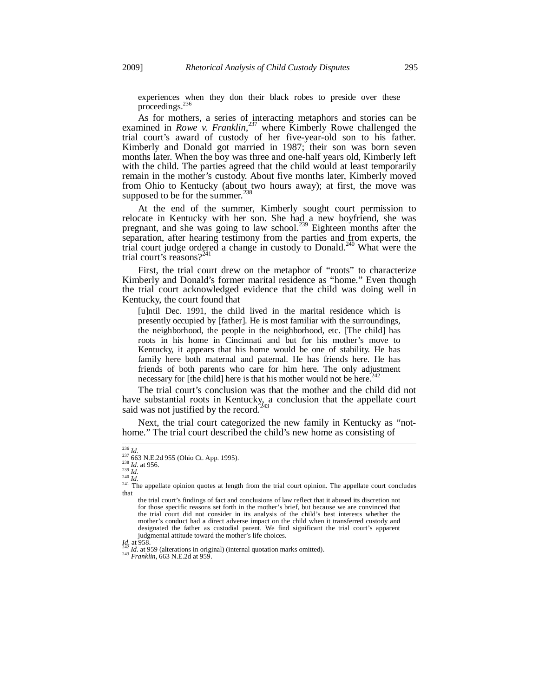experiences when they don their black robes to preside over these proceedings.<sup>236</sup>

As for mothers, a series of interacting metaphors and stories can be examined in *Rowe* v. Franklin,<sup>237</sup> where Kimberly Rowe challenged the trial court's award of custody of her five-year-old son to his father. Kimberly and Donald got married in 1987; their son was born seven months later. When the boy was three and one-half years old, Kimberly left with the child. The parties agreed that the child would at least temporarily remain in the mother's custody. About five months later, Kimberly moved from Ohio to Kentucky (about two hours away); at first, the move was supposed to be for the summer.<sup>238</sup>

At the end of the summer, Kimberly sought court permission to relocate in Kentucky with her son. She had a new boyfriend, she was pregnant, and she was going to law school.<sup>239</sup> Eighteen months after the separation, after hearing testimony from the parties and from experts, the trial court judge ordered a change in custody to Donald.240 What were the trial court's reasons?<sup>241</sup>

First, the trial court drew on the metaphor of "roots" to characterize Kimberly and Donald's former marital residence as "home." Even though the trial court acknowledged evidence that the child was doing well in Kentucky, the court found that

[u]ntil Dec. 1991, the child lived in the marital residence which is presently occupied by [father]. He is most familiar with the surroundings, the neighborhood, the people in the neighborhood, etc. [The child] has roots in his home in Cincinnati and but for his mother's move to Kentucky, it appears that his home would be one of stability. He has family here both maternal and paternal. He has friends here. He has friends of both parents who care for him here. The only adjustment necessary for [the child] here is that his mother would not be here.<sup>242</sup>

The trial court's conclusion was that the mother and the child did not have substantial roots in Kentucky, a conclusion that the appellate court said was not justified by the record.<sup>243</sup>

Next, the trial court categorized the new family in Kentucky as "nothome." The trial court described the child's new home as consisting of

*Id.* at 958. 242 *Id.* at 959 (alterations in original) (internal quotation marks omitted). 243 *Franklin*, 663 N.E.2d at 959.

 $\frac{1236}{236}$  *Id.*<br><sup>237</sup> 663 N.E.2d 955 (Ohio Ct. App. 1995).

<sup>&</sup>lt;sup>237</sup> 663 N.E.2d 955 (Ohio Ct. App. 1995).<br><sup>238</sup> *Id.* at 956.<br><sup>239</sup> *Id.* 240 *Id.* 241 *Id.* 241 The appellate opinion quotes at length from the trial court opinion. The appellate court concludes that

the trial court's findings of fact and conclusions of law reflect that it abused its discretion not for those specific reasons set forth in the mother's brief, but because we are convinced that the trial court did not consider in its analysis of the child's best interests whether the mother's conduct had a direct adverse impact on the child when it transferred custody and designated the father as custodial parent. We find significant the trial court's apparent judgmental attitude toward the mother's life choices.<br> $I_{d2}$  at 958.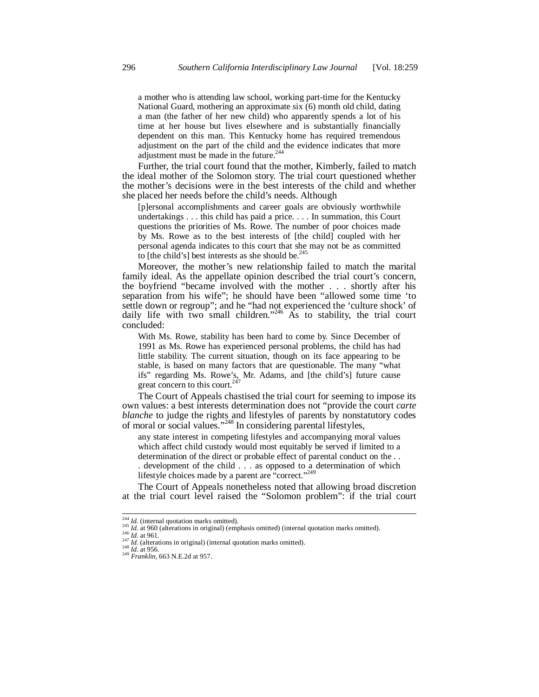a mother who is attending law school, working part-time for the Kentucky National Guard, mothering an approximate six (6) month old child, dating a man (the father of her new child) who apparently spends a lot of his time at her house but lives elsewhere and is substantially financially dependent on this man. This Kentucky home has required tremendous adjustment on the part of the child and the evidence indicates that more adjustment must be made in the future.<sup>244</sup>

Further, the trial court found that the mother, Kimberly, failed to match the ideal mother of the Solomon story. The trial court questioned whether the mother's decisions were in the best interests of the child and whether she placed her needs before the child's needs. Although

[p]ersonal accomplishments and career goals are obviously worthwhile undertakings . . . this child has paid a price. . . . In summation, this Court questions the priorities of Ms. Rowe. The number of poor choices made by Ms. Rowe as to the best interests of [the child] coupled with her personal agenda indicates to this court that she may not be as committed to [the child's] best interests as she should be. $245$ 

Moreover, the mother's new relationship failed to match the marital family ideal. As the appellate opinion described the trial court's concern, the boyfriend "became involved with the mother . . . shortly after his separation from his wife"; he should have been "allowed some time 'to settle down or regroup"; and he "had not experienced the 'culture shock' of daily life with two small children."<sup>246</sup> As to stability, the trial court concluded:

With Ms. Rowe, stability has been hard to come by. Since December of 1991 as Ms. Rowe has experienced personal problems, the child has had little stability. The current situation, though on its face appearing to be stable, is based on many factors that are questionable. The many "what ifs" regarding Ms. Rowe's, Mr. Adams, and [the child's] future cause great concern to this court. $247$ 

The Court of Appeals chastised the trial court for seeming to impose its own values: a best interests determination does not "provide the court *carte blanche* to judge the rights and lifestyles of parents by nonstatutory codes of moral or social values."<sup>248</sup> In considering parental lifestyles,

any state interest in competing lifestyles and accompanying moral values which affect child custody would most equitably be served if limited to a determination of the direct or probable effect of parental conduct on the . .

- . development of the child . . . as opposed to a determination of which
- lifestyle choices made by a parent are "correct."<sup>249</sup>

The Court of Appeals nonetheless noted that allowing broad discretion at the trial court level raised the "Solomon problem": if the trial court

<sup>&</sup>lt;sup>244</sup> Id. (internal quotation marks omitted).

<sup>245</sup> *Id.* (internal quotation marks omitted).<br>
245 *Id.* at 960 (alterations in original) (emphasis omitted) (internal quotation marks omitted).<br>
246 *Id.* at 961.<br>
248 *Id.* at 956.<br>
248 *Id.* at 956.<br> *Paraklin,* 663 N.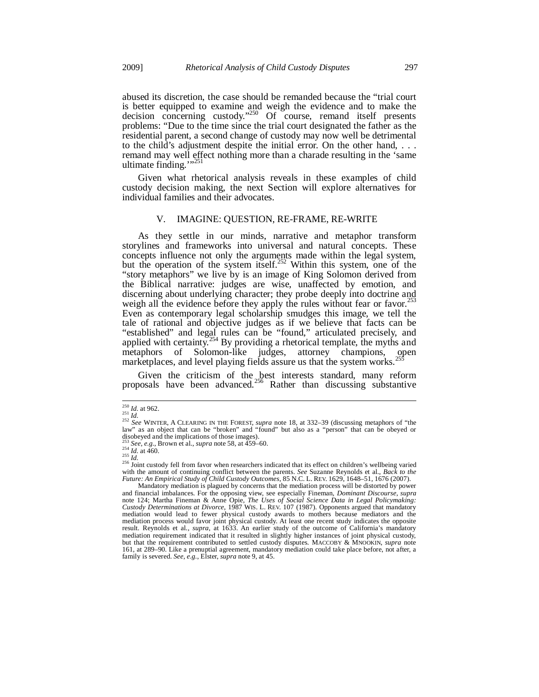abused its discretion, the case should be remanded because the "trial court is better equipped to examine and weigh the evidence and to make the decision concerning custody."<sup>250</sup> Of course, remand itself presents problems: "Due to the time since the trial court designated the father as the residential parent, a second change of custody may now well be detrimental to the child's adjustment despite the initial error. On the other hand, . . . remand may well effect nothing more than a charade resulting in the 'same ultimate finding." $^{325}$ 

Given what rhetorical analysis reveals in these examples of child custody decision making, the next Section will explore alternatives for individual families and their advocates.

## V. IMAGINE: QUESTION, RE-FRAME, RE-WRITE

As they settle in our minds, narrative and metaphor transform storylines and frameworks into universal and natural concepts. These concepts influence not only the arguments made within the legal system, but the operation of the system itself.<sup>252</sup> Within this system, one of the "story metaphors" we live by is an image of King Solomon derived from the Biblical narrative: judges are wise, unaffected by emotion, and discerning about underlying character; they probe deeply into doctrine and weigh all the evidence before they apply the rules without fear or favor.<sup>253</sup> Even as contemporary legal scholarship smudges this image, we tell the tale of rational and objective judges as if we believe that facts can be "established" and legal rules can be "found," articulated precisely, and applied with certainty.<sup>254</sup> By providing a rhetorical template, the myths and metaphors of Solomon-like judges, attorney champions, open marketplaces, and level playing fields assure us that the system works.<sup>255</sup>

Given the criticism of the best interests standard, many reform proposals have been advanced.<sup>256</sup> Rather than discussing substantive

 $\overline{a}$ 

<sup>&</sup>lt;sup>250</sup> *Id.* at 962.<br><sup>251</sup> *Id.*<br><sup>252</sup> *See* WINTER, A CLEARING IN THE FOREST, *supra* note 18, at 332–39 (discussing metaphors of "the law" as an object that can be "broken" and "found" but also as a "person" that can be obeyed or disobeyed and the implications of those images). <sup>255</sup> *See, e.g.*, Brown et al., *supra* note 58, at 459–60.<br>
<sup>254</sup> *Id.* at 460.<br>
<sup>254</sup> *Id.* at 460.<br>
<sup>256</sup> Joint custody fell from favor when researchers indicated that its effect on children's wellbeing varied<br>
<sup>256</sup> J

with the amount of continuing conflict between the parents. *See* Suzanne Reynolds et al., *Back to the Future: An Empirical Study of Child Custody Outcomes*, 85 N.C. L. REV. 1629, 1648–51, 1676 (2007).

Mandatory mediation is plagued by concerns that the mediation process will be distorted by power and financial imbalances. For the opposing view, see especially Fineman, *Dominant Discourse*, *supra* note 124; Martha Fineman & Anne Opie, *The Uses of Social Science Data in Legal Policymaking:*<br>Custody Determinations a mediation would lead to fewer physical custody awards to mothers because mediators and the mediation process would favor joint physical custody. At least one recent study indicates the opposite result. Reynolds et al., *supra*, at 1633. An earlier study of the outcome of California's mandatory mediation requirement indicated that it resulted in slightly higher instances of joint physical custody, but that the requirement contributed to settled custody disputes. MACCOBY & MNOOKIN, *supra* note 161, at 289–90. Like a prenuptial agreement, mandatory mediation could take place before, not after, a family is severed. *See, e.g.*, Elster, *supra* note 9, at 45.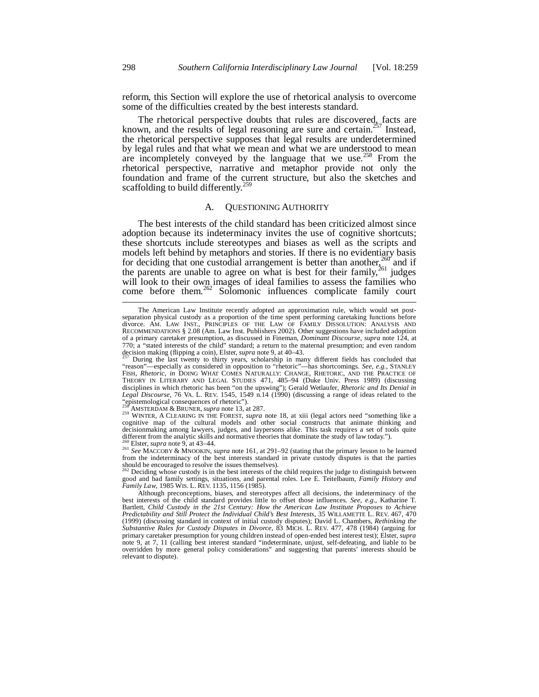reform, this Section will explore the use of rhetorical analysis to overcome some of the difficulties created by the best interests standard.

The rhetorical perspective doubts that rules are discovered, facts are known, and the results of legal reasoning are sure and certain.<sup>257</sup> Instead, the rhetorical perspective supposes that legal results are underdetermined by legal rules and that what we mean and what we are understood to mean by regard rates and that what we mean and what we are anderstood to mean are incompletely conveyed by the language that we use.<sup>258</sup> From the rhetorical perspective, narrative and metaphor provide not only the foundation and frame of the current structure, but also the sketches and scaffolding to build differently.<sup>259</sup>

#### A. QUESTIONING AUTHORITY

The best interests of the child standard has been criticized almost since adoption because its indeterminacy invites the use of cognitive shortcuts; these shortcuts include stereotypes and biases as well as the scripts and models left behind by metaphors and stories. If there is no evidentiary basis for deciding that one custodial arrangement is better than another,  $260^{\circ}$  and if the parents are unable to agree on what is best for their family,<sup>261</sup> judges will look to their own images of ideal families to assess the families who come before them.<sup>262</sup> Solomonic influences complicate family court

<sup>258</sup> AMSTERDAM & BRUNER, *supra* note 13, at 287.<br><sup>259</sup> WINTER, A CLEARING IN THE FOREST, *supra* note 18, at xiii (legal actors need "something like a cognitive map of the cultural models and other social constructs that animate thinking and decisionmaking among lawyers, judges, and laypersons alike. This task requires a set of tools quite different from the analytic skills and normative theories that dominate the study of law today.").

260 Elster, *supra* note 9, at 43–44.<br><sup>261</sup> *See* MACCOBY & MNOOKIN, *supra* note 161, at 291–92 (stating that the primary lesson to be learned from the indeterminacy of the best interests standard in private custody disputes is that the parties should be encouraged to resolve the issues themselves).

Deciding whose custody is in the best interests of the child requires the judge to distinguish between good and bad family settings, situations, and parental roles. Lee E. Teitelbaum, *Family History and Family Law*, 1985 WIS. L. REV. 1135, 1156 (1985).

The American Law Institute recently adopted an approximation rule, which would set postseparation physical custody as a proportion of the time spent performing caretaking functions before divorce. AM. LAW INST., PRINCIPLES OF THE LAW OF FAMILY DISSOLUTION: ANALYSIS AND RECOMMENDATIONS § 2.08 (Am. Law Inst. Publishers 2002). Other suggestions have included adoption of a primary caretaker presumption, as discussed in Fineman, *Dominant Discourse*, *supra* note 124, at 770; a "stated interests of the child" standard; a return to the maternal presumption; and even random decision making (flipping a coin), Elster, *supra* note 9, at  $40-43$ .

During the last twenty to thirty years, scholarship in many different fields has concluded that "reason"—especially as considered in opposition to "rhetoric"—has shortcomings. *See, e.g.*, STANLEY FISH, *Rhetoric*, *in* DOING WHAT COMES NATURALLY: CHANGE, RHETORIC, AND THE PRACTICE OF THEORY IN LITERARY AND LEGAL STUDIES 471, 485–94 (Duke Univ. Press 1989) (discussing disciplines in which rhetoric has been "on the upswing"); Gerald Wetlaufer, *Rhetoric and Its Denial in Legal Discourse*, 76 VA. L. REV. 1545, 1549 n.14 (1990) (discussing a range of ideas related to the "epistemological consequences of rhetoric").

Although preconceptions, biases, and stereotypes affect all decisions, the indeterminacy of the best interests of the child standard provides little to offset those influences. *See, e.g.*, Katharine T. Bartlett, *Child Custody in the 21st Century: How the American Law Institute Proposes to Achieve Predictability and Still Protect the Individual Child's Best Interests*, 35 WILLAMETTE L. REV. 467, 470 (1999) (discussing standard in context of initial custody disputes); David L. Chambers, *Rethinking the Substantive Rules for Custody Disputes in Divorce*, 83 MICH. L. REV. 477, 478 (1984) (arguing for primary caretaker presumption for young children instead of open-ended best interest test); Elster, *supra*  note 9, at 7, 11 (calling best interest standard "indeterminate, unjust, self-defeating, and liable to be overridden by more general policy considerations" and suggesting that parents' interests should be relevant to dispute).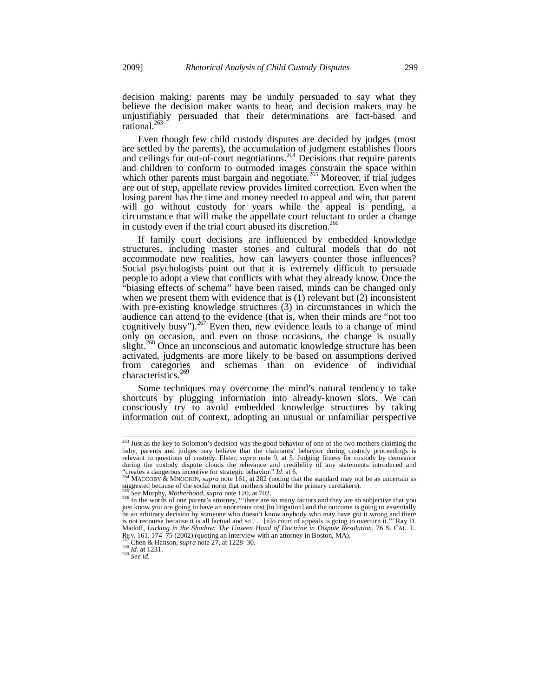decision making: parents may be unduly persuaded to say what they believe the decision maker wants to hear, and decision makers may be unjustifiably persuaded that their determinations are fact-based and rational. $^{26}$ 

Even though few child custody disputes are decided by judges (most are settled by the parents), the accumulation of judgment establishes floors and ceilings for out-of-court negotiations.<sup>264</sup> Decisions that require parents and children to conform to outmoded images constrain the space within which other parents must bargain and negotiate.<sup>265</sup> Moreover, if trial judges are out of step, appellate review provides limited correction. Even when the losing parent has the time and money needed to appeal and win, that parent will go without custody for years while the appeal is pending, a circumstance that will make the appellate court reluctant to order a change in custody even if the trial court abused its discretion.<sup>266</sup>

If family court decisions are influenced by embedded knowledge structures, including master stories and cultural models that do not accommodate new realities, how can lawyers counter those influences? Social psychologists point out that it is extremely difficult to persuade people to adopt a view that conflicts with what they already know. Once the "biasing effects of schema" have been raised, minds can be changed only when we present them with evidence that is (1) relevant but (2) inconsistent with pre-existing knowledge structures (3) in circumstances in which the audience can attend to the evidence (that is, when their minds are "not too cognitively busy").<sup>267</sup> Even then, new evidence leads to a change of mind only on occasion, and even on those occasions, the change is usually slight.<sup>268</sup> Once an unconscious and automatic knowledge structure has been activated, judgments are more likely to be based on assumptions derived from categories and schemas than on evidence of individual characteristics.<sup>269</sup>

Some techniques may overcome the mind's natural tendency to take shortcuts by plugging information into already-known slots. We can consciously try to avoid embedded knowledge structures by taking information out of context, adopting an unusual or unfamiliar perspective

<sup>&</sup>lt;sup>263</sup> Just as the key to Solomon's decision was the good behavior of one of the two mothers claiming the baby, parents and judges may believe that the claimants' behavior during custody proceedings is relevant to questions of custody. Elster, *supra* note 9, at 5. Judging fitness for custody by demeanor during the custody dispute clouds the relevance and credibility of any statements introduced and "creates a dangerous incentive for strategic behavior." *Id.* at 6.<br><sup>264</sup> MACCOBY & MNOOKIN, *supra* note 161, at 282 (noting that the standard may not be as uncertain as

suggested because of the social norm that mothers should be the primary caretakers).

<sup>&</sup>lt;sup>265</sup> See Murphy, *Motherhood*, *supra* note 120, at 702.<br><sup>266</sup> In the words of one parent's attorney, "there are so many factors and they are so subjective that you just know you are going to have an enormous cost [in litigation] and the outcome is going to essentially be an arbitrary decision by someone who doesn't know anybody who may have got it wrong and there is not recourse because it is all factual and so . . . Inlo court of appeals is going to overturn it."" Ray D. is not recourse because it is all factual and so . . . [n]o court of appeals is going to overturn it.' Madoff, *Lurking in the Shadow: The Unseen Hand of Doctrine in Dispute Resolution*, 76 S. CAL. L. REV. 161, 174–75 (2002) (quoting an interview with an attorney in Boston, MA).<br><sup>267</sup> Chen & Hanson, *supra* note 27, at 1228–30.<br><sup>268</sup> *Id.* at 1231.<br><sup>269</sup> *See id.*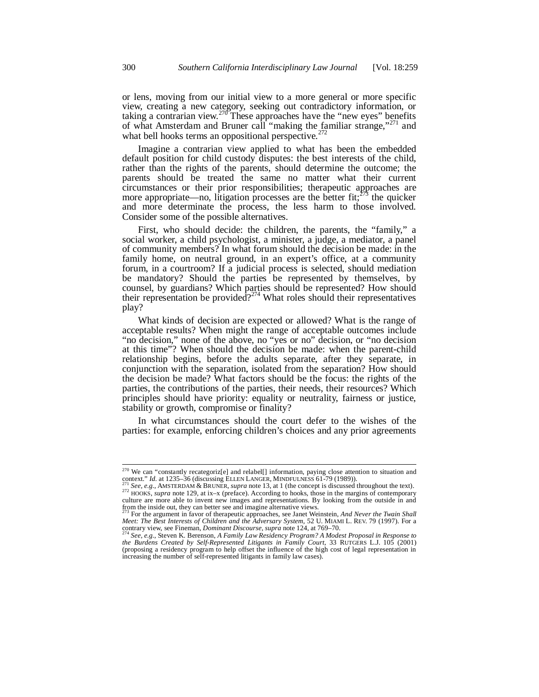or lens, moving from our initial view to a more general or more specific view, creating a new category, seeking out contradictory information, or taking a contrarian view.<sup>270</sup> These approaches have the "new eyes" benefits of what Amsterdam and Bruner call "making the familiar strange,"<sup>271</sup> and what bell hooks terms an oppositional perspective.<sup>2</sup>

Imagine a contrarian view applied to what has been the embedded default position for child custody disputes: the best interests of the child, rather than the rights of the parents, should determine the outcome; the parents should be treated the same no matter what their current circumstances or their prior responsibilities; therapeutic approaches are more appropriate—no, litigation processes are the better fit;<sup>273</sup> the quicker and more determinate the process, the less harm to those involved. Consider some of the possible alternatives.

First, who should decide: the children, the parents, the "family," a social worker, a child psychologist, a minister, a judge, a mediator, a panel of community members? In what forum should the decision be made: in the family home, on neutral ground, in an expert's office, at a community forum, in a courtroom? If a judicial process is selected, should mediation be mandatory? Should the parties be represented by themselves, by counsel, by guardians? Which parties should be represented? How should their representation be provided?<sup>274</sup> What roles should their representatives play?

What kinds of decision are expected or allowed? What is the range of acceptable results? When might the range of acceptable outcomes include "no decision," none of the above, no "yes or no" decision, or "no decision at this time"? When should the decision be made: when the parent-child relationship begins, before the adults separate, after they separate, in conjunction with the separation, isolated from the separation? How should the decision be made? What factors should be the focus: the rights of the parties, the contributions of the parties, their needs, their resources? Which principles should have priority: equality or neutrality, fairness or justice, stability or growth, compromise or finality?

In what circumstances should the court defer to the wishes of the parties: for example, enforcing children's choices and any prior agreements

 $\overline{a}$ 

<sup>&</sup>lt;sup>270</sup> We can "constantly recategoriz[e] and relabel[] information, paying close attention to situation and

context." *Id.* at 1235–36 (discussing ELLEN LANGER, MINDFULNESS 61-79 (1989)).<br><sup>271</sup> See, e.g., AMSTERDAM & BRUNER, *supra* note 13, at 1 (the concept is discussed throughout the text).<br><sup>272</sup> HOOKS, *supra* note 129, at i 272 HOOKS, supra note 129, at ix-x (preface). According to hooks, those in the margins of contemporary culture are more able to invent new images and representations. By looking from the outside in and

from the inside out, they can better see and imagine alternative views. 273 For the argument in favor of therapeutic approaches, see Janet Weinstein, *And Never the Twain Shall Meet: The Best Interests of Children and the Adversary System, 52 U. MIAMI L. REV. 79 (1997). For a* contrary view, see Fineman, *Dominant Discourse*, *supra* note 124, at 769–70.

contrary view, see Fineman, *Dominant Discourse*, supra note 124, at 769–70.<br><sup>274</sup> See, e.g., Steven K. Berenson, A Family Law Residency Program? A Modest Proposal in Response to<br>the Burdens Created by Self-Represented Lit (proposing a residency program to help offset the influence of the high cost of legal representation in increasing the number of self-represented litigants in family law cases).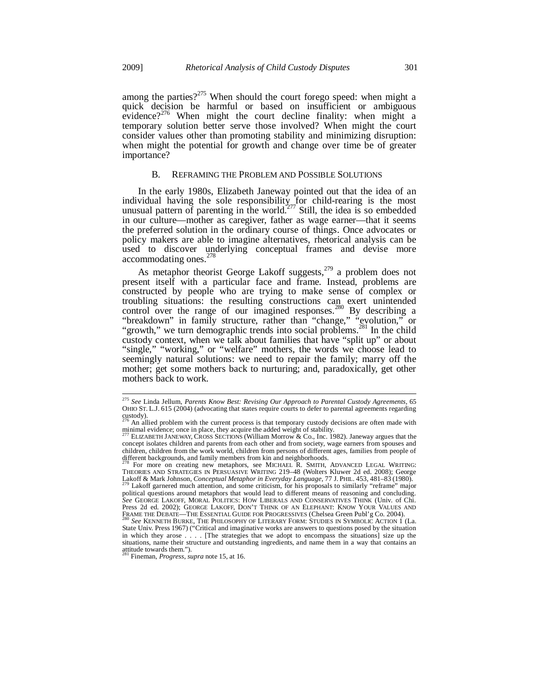among the parties?<sup>275</sup> When should the court forego speed: when might a quick decision be harmful or based on insufficient or ambiguous evidence?<sup>276</sup> When might the court decline finality: when might a temporary solution better serve those involved? When might the court consider values other than promoting stability and minimizing disruption: when might the potential for growth and change over time be of greater importance?

# B. REFRAMING THE PROBLEM AND POSSIBLE SOLUTIONS

In the early 1980s, Elizabeth Janeway pointed out that the idea of an individual having the sole responsibility for child-rearing is the most unusual pattern of parenting in the world.<sup> $277$ </sup> Still, the idea is so embedded in our culture—mother as caregiver, father as wage earner—that it seems the preferred solution in the ordinary course of things. Once advocates or policy makers are able to imagine alternatives, rhetorical analysis can be used to discover underlying conceptual frames and devise more accommodating ones. $278$ 

As metaphor theorist George Lakoff suggests,  $279$  a problem does not present itself with a particular face and frame. Instead, problems are constructed by people who are trying to make sense of complex or troubling situations: the resulting constructions can exert unintended control over the range of our imagined responses.<sup>280</sup> By describing a "breakdown" in family structure, rather than "change," "evolution," or "growth," we turn demographic trends into social problems.<sup>281</sup> In the child custody context, when we talk about families that have "split up" or about "single," "working," or "welfare" mothers, the words we choose lead to seemingly natural solutions: we need to repair the family; marry off the mother; get some mothers back to nurturing; and, paradoxically, get other mothers back to work.

<sup>275</sup> *See* Linda Jellum, *Parents Know Best: Revising Our Approach to Parental Custody Agreements*, 65 OHIO ST. L.J. 615 (2004) (advocating that states require courts to defer to parental agreements regarding  $\frac{1}{276}$  custody).

<sup>276</sup> An allied problem with the current process is that temporary custody decisions are often made with minimal evidence; once in place, they acquire the added weight of stability.

<sup>277</sup> ELIZABETH JANEWAY, CROSS SECTIONS (William Morrow & Co., Inc. 1982). Janeway argues that the concept isolates children and parents from each other and from society, wage earners from spouses and children, children from the work world, children from persons of different ages, families from people of different backgrounds, and family members from kin and neighborhoods.

<sup>&</sup>lt;sup>278</sup> For more on creating new metaphors, see MICHAEL R. SMITH, ADVANCED LEGAL WRITING: THEORIES AND STRATEGIES IN PERSUASIVE WRITING 219–48 (Wolters Kluwer 2d ed. 2008); George Lakoff & Mark Johnson, *Conceptual Metaphor in Everyday Language*, 77 J. PHIL. 453, 481–83 (1980). 279 Lakoff garnered much attention, and some criticism, for his proposals to similarly "reframe" major

political questions around metaphors that would lead to different means of reasoning and concluding. *See* GEORGE LAKOFF, MORAL POLITICS: HOW LIBERALS AND CONSERVATIVES THINK (Univ. of Chi. Press 2d ed. 2002); GEORGE LAKOFF, DON'T THINK OF AN ELEPHANT: KNOW YOUR VALUES AND<br>FRAME THE DEBATE—THE ESSENTIAL GUIDE FOR PROGRESSIVES (Chelsea Green Publ'g Co. 2004).

FRAME THE BURKE, THE PHILOSOPHY OF LITERARY FORM: STUDIES IN SYMBOLIC ACTION 1 (La. State Univ. Press 1967) ("Critical and imaginative works are answers to questions posed by the situation in which they arose . . . . [The strategies that we adopt to encompass the situations] size up the situations, name their structure and outstanding ingredients, and name them in a way that contains an attitude towards them."). 281 Fineman, *Progress*, *supra* note 15, at 16.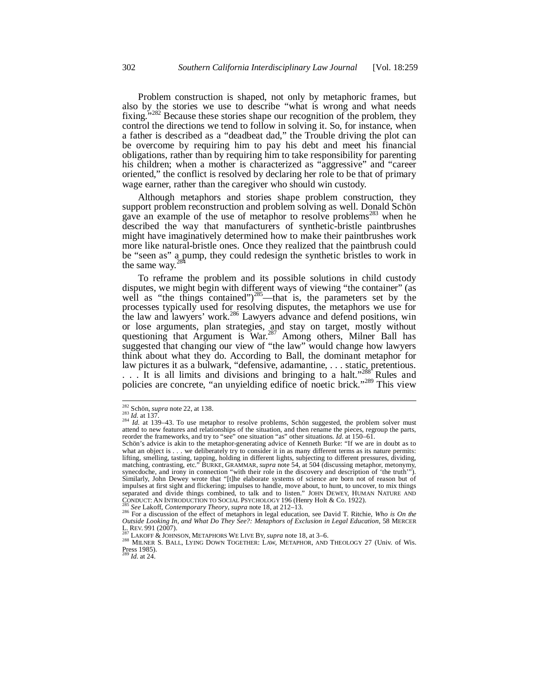Problem construction is shaped, not only by metaphoric frames, but also by the stories we use to describe "what is wrong and what needs fixing."<sup>282</sup> Because these stories shape our recognition of the problem, they control the directions we tend to follow in solving it. So, for instance, when a father is described as a "deadbeat dad," the Trouble driving the plot can be overcome by requiring him to pay his debt and meet his financial obligations, rather than by requiring him to take responsibility for parenting his children; when a mother is characterized as "aggressive" and "career oriented," the conflict is resolved by declaring her role to be that of primary wage earner, rather than the caregiver who should win custody.

Although metaphors and stories shape problem construction, they support problem reconstruction and problem solving as well. Donald Schön gave an example of the use of metaphor to resolve problems<sup>283</sup> when he described the way that manufacturers of synthetic-bristle paintbrushes might have imaginatively determined how to make their paintbrushes work more like natural-bristle ones. Once they realized that the paintbrush could be "seen as" a pump, they could redesign the synthetic bristles to work in the same way. $^{284}$ 

To reframe the problem and its possible solutions in child custody disputes, we might begin with different ways of viewing "the container" (as well as "the things contained" $)^{285}$ —that is, the parameters set by the processes typically used for resolving disputes, the metaphors we use for the law and lawyers' work.<sup>286</sup> Lawyers advance and defend positions, win or lose arguments, plan strategies, and stay on target, mostly without questioning that Argument is War.<sup>287</sup> Among others, Milner Ball has suggested that changing our view of "the law" would change how lawyers think about what they do. According to Ball, the dominant metaphor for law pictures it as a bulwark, "defensive, adamantine, . . . static, pretentious. . . . It is all limits and divisions and bringing to a halt."<sup>288</sup> Rules and policies are concrete, "an unyielding edifice of noetic brick."<sup>289</sup> This view

<sup>&</sup>lt;sup>282</sup> Schön, *supra* note 22, at 138.

<sup>283</sup> *Id.* at 137.<br><sup>283</sup> *Id.* at 139–43. To use metaphor to resolve problems, Schön suggested, the problem solver must attend to new features and relationships of the situation, and then rename the pieces, regroup the parts, reorder the frameworks, and try to "see" one situation "as" other situations. *Id.* at 150–61.

Schön's advice is akin to the metaphor-generating advice of Kenneth Burke: "If we are in doubt as to what an object is . . . we deliberately try to consider it in as many different terms as its nature permits: lifting, smelling, tasting, tapping, holding in different lights, subjecting to different pressures, dividing, matching, contrasting, etc." BURKE, GRAMMAR, *supra* note 54, at 504 (discussing metaphor, metonymy, synecdoche, and irony in connection "with their role in the discovery and description of 'the truth'"). Similarly, John Dewey wrote that "[t]he elaborate systems of science are born not of reason but of impulses at first sight and flickering; impulses to handle, move about, to hunt, to uncover, to mix things separated and divide things combined, to talk and to listen." JOHN DEWEY, HUMAN NATURE AND<br>CONDUCT: AN INTRODUCTION TO SOCIAL PSYCHOLOGY 196 (Henry Holt & Co. 1922).

<sup>&</sup>lt;sup>285</sup> See Lakoff, *Contemporary Theory*, *supra* note 18, at 212–13.<br><sup>286</sup> For a discussion of the effect of metaphors in legal education, see David T. Ritchie, *Who is On the Outside Looking In, and What Do They See?: Metaphors of Exclusion in Legal Education, 58 MERCER*<br>L<sub>257</sub> REV. 991 (2007).

<sup>&</sup>lt;sup>287</sup> LAKOFF & JOHNSON, METAPHORS WE LIVE BY, *supra* note 18, at 3–6.<br><sup>288</sup> MILNER S. BALL, LYING DOWN TOGETHER: LAW, METAPHOR, AND THEOLOGY 27 (Univ. of Wis. Press 1985). <sup>289</sup> *Id.* at 24.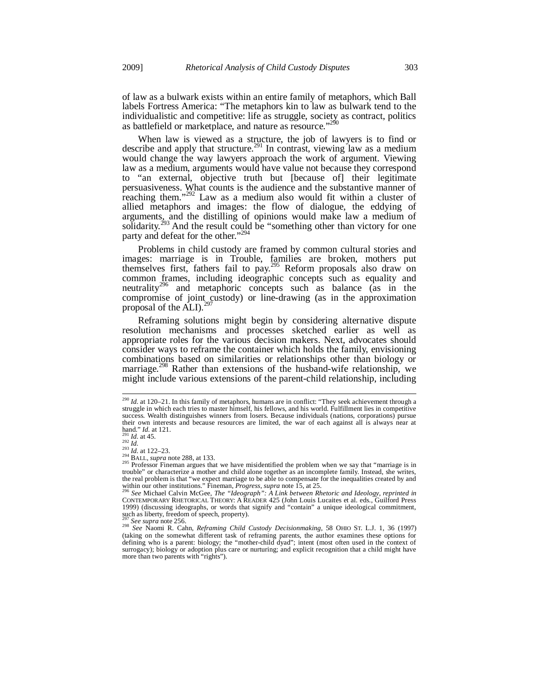of law as a bulwark exists within an entire family of metaphors, which Ball labels Fortress America: "The metaphors kin to law as bulwark tend to the individualistic and competitive: life as struggle, society as contract, politics as battlefield or marketplace, and nature as resource."<sup>2</sup>

When law is viewed as a structure, the job of lawyers is to find or describe and apply that structure.<sup>291</sup> In contrast, viewing law as a medium would change the way lawyers approach the work of argument. Viewing law as a medium, arguments would have value not because they correspond to "an external, objective truth but [because of] their legitimate persuasiveness. What counts is the audience and the substantive manner of reaching them."<sup>292</sup> Law as a medium also would fit within a cluster of allied metaphors and images: the flow of dialogue, the eddying of arguments, and the distilling of opinions would make law a medium of solidarity.<sup>293</sup> And the result could be "something other than victory for one party and defeat for the other."<sup>294</sup>

Problems in child custody are framed by common cultural stories and images: marriage is in Trouble, families are broken, mothers put themselves first, fathers fail to pay.295 Reform proposals also draw on common frames, including ideographic concepts such as equality and neutrality<sup>296</sup> and metaphoric concepts such as balance (as in the compromise of joint custody) or line-drawing (as in the approximation proposal of the  $\text{ALI}$ ).<sup>297</sup>

Reframing solutions might begin by considering alternative dispute resolution mechanisms and processes sketched earlier as well as appropriate roles for the various decision makers. Next, advocates should consider ways to reframe the container which holds the family, envisioning combinations based on similarities or relationships other than biology or marriage.<sup>298</sup> Rather than extensions of the husband-wife relationship, we might include various extensions of the parent-child relationship, including

<sup>290</sup> *Id.* at 120–21. In this family of metaphors, humans are in conflict: "They seek achievement through a struggle in which each tries to master himself, his fellows, and his world. Fulfillment lies in competitive success. Wealth distinguishes winners from losers. Because individuals (nations, corporations) pursue their own interests and because resources are limited, the war of each against all is always near at hand." Id. at 121.

 $\begin{array}{l}\n\text{1. } \text{1. } \text{1. } \text{1. } \text{1. } \text{1. } \text{1. } \text{1. } \text{291} \\
\text{291} \text{1. } \text{1. } \text{1. } \text{1. } \text{1. } \text{212} - 23. \\
\text{293} \text{1. } \text{1. } \text{1. } \text{1. } \text{1. } \text{1. } \text{1. } \text{1. } \text{1. } \text{1. } \text{1. } \text{1. } \text{1. } \text{1. } \text{1. } \text{1. } \text{$ trouble" or characterize a mother and child alone together as an incomplete family. Instead, she writes, the real problem is that "we expect marriage to be able to compensate for the inequalities created by and within our other institutions." Fineman, *Progress*, *supra* note 15, at 25.

within our other institutions." Fineman, *Progress, supra* note 15, at 25.<br><sup>296</sup> See Michael Calvin McGee, *The "Ideograph": A Link between Rhetoric and Ideology, reprinted in*<br>CONTEMPORARY RHETORICAL THEORY: A READER 425 1999) (discussing ideographs, or words that signify and "contain" a unique ideological commitment, such as liberty, freedom of speech, property).<br> $^{297}$  See supra note 256.

<sup>297</sup> *See supra* note 256. 298 *See* Naomi R. Cahn, *Reframing Child Custody Decisionmaking*, 58 OHIO ST. L.J. 1, 36 (1997) (taking on the somewhat different task of reframing parents, the author examines these options for defining who is a parent: biology; the "mother-child dyad"; intent (most often used in the context of surrogacy); biology or adoption plus care or nurturing; and explicit recognition that a child might have more than two parents with "rights").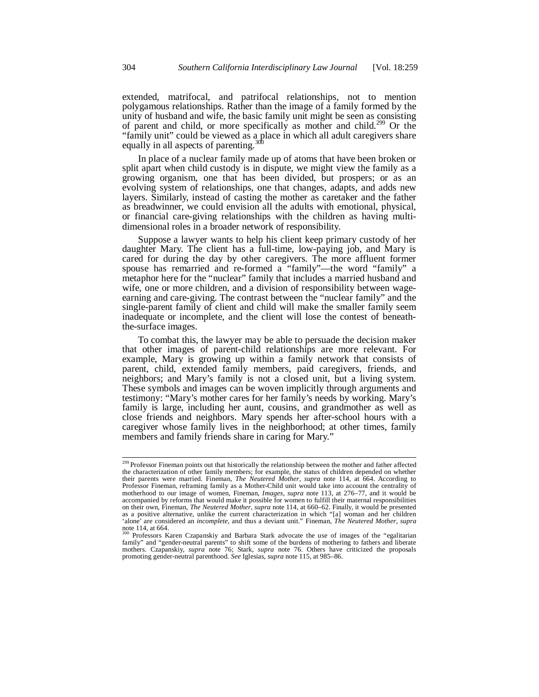extended, matrifocal, and patrifocal relationships, not to mention polygamous relationships. Rather than the image of a family formed by the unity of husband and wife, the basic family unit might be seen as consisting of parent and child, or more specifically as mother and child.<sup>299</sup> Or the "family unit" could be viewed as a place in which all adult caregivers share equally in all aspects of parenting.<sup>30</sup>

In place of a nuclear family made up of atoms that have been broken or split apart when child custody is in dispute, we might view the family as a growing organism, one that has been divided, but prospers; or as an evolving system of relationships, one that changes, adapts, and adds new layers. Similarly, instead of casting the mother as caretaker and the father as breadwinner, we could envision all the adults with emotional, physical, or financial care-giving relationships with the children as having multidimensional roles in a broader network of responsibility.

Suppose a lawyer wants to help his client keep primary custody of her daughter Mary. The client has a full-time, low-paying job, and Mary is cared for during the day by other caregivers. The more affluent former spouse has remarried and re-formed a "family"—the word "family" a metaphor here for the "nuclear" family that includes a married husband and wife, one or more children, and a division of responsibility between wageearning and care-giving. The contrast between the "nuclear family" and the single-parent family of client and child will make the smaller family seem inadequate or incomplete, and the client will lose the contest of beneaththe-surface images.

To combat this, the lawyer may be able to persuade the decision maker that other images of parent-child relationships are more relevant. For example, Mary is growing up within a family network that consists of parent, child, extended family members, paid caregivers, friends, and neighbors; and Mary's family is not a closed unit, but a living system. These symbols and images can be woven implicitly through arguments and testimony: "Mary's mother cares for her family's needs by working. Mary's family is large, including her aunt, cousins, and grandmother as well as close friends and neighbors. Mary spends her after-school hours with a caregiver whose family lives in the neighborhood; at other times, family members and family friends share in caring for Mary."

<sup>&</sup>lt;sup>299</sup> Professor Fineman points out that historically the relationship between the mother and father affected the characterization of other family members; for example, the status of children depended on whether their parents were married. Fineman, *The Neutered Mother*, *supra* note 114, at 664. According to Professor Fineman, reframing family as a Mother-Child unit would take into account the centrality of motherhood to our image of women, Fineman, *Images, supra* note 113, at 276–77, and it would be accompanied by reforms that would make it possible for women to fulfill their maternal responsibilities on their own, Fineman, *The Neutered Mother*, *supra* note 114, at 660–62. Finally, it would be presented as a positive alternative, unlike the current characterization in which "[a] woman and her children 'alone' are considered an *incomplete*, and thus a deviant unit." Fineman, *The Neutered Mother*, *supra* note 114, at 664.

<sup>300</sup> Professors Karen Czapanskiy and Barbara Stark advocate the use of images of the "egalitarian family" and "gender-neutral parents" to shift some of the burdens of mothering to fathers and liberate mothers. Czapanskiy, *supra* note 76; Stark, *supra* note 76. Others have criticized the proposals promoting gender-neutral parenthood. *See* Iglesias, *supra* note 115, at 985–86.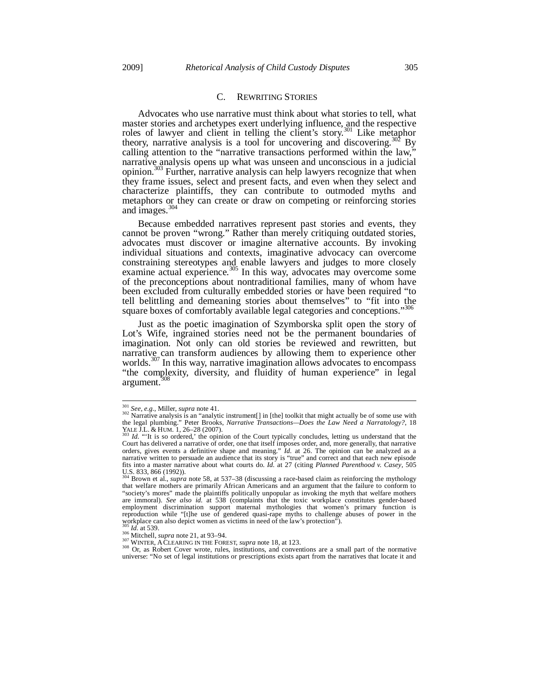## C. REWRITING STORIES

Advocates who use narrative must think about what stories to tell, what master stories and archetypes exert underlying influence, and the respective roles of lawyer and client in telling the client's story.<sup>301</sup> Like metaphor theory, narrative analysis is a tool for uncovering and discovering.<sup>302</sup> By calling attention to the "narrative transactions performed within the law," narrative analysis opens up what was unseen and unconscious in a judicial opinion.303 Further, narrative analysis can help lawyers recognize that when they frame issues, select and present facts, and even when they select and characterize plaintiffs, they can contribute to outmoded myths and metaphors or they can create or draw on competing or reinforcing stories and images.<sup>3</sup>

Because embedded narratives represent past stories and events, they cannot be proven "wrong." Rather than merely critiquing outdated stories, advocates must discover or imagine alternative accounts. By invoking individual situations and contexts, imaginative advocacy can overcome constraining stereotypes and enable lawyers and judges to more closely examine actual experience.<sup>305</sup> In this way, advocates may overcome some of the preconceptions about nontraditional families, many of whom have been excluded from culturally embedded stories or have been required "to tell belittling and demeaning stories about themselves" to "fit into the square boxes of comfortably available legal categories and conceptions."<sup>306</sup>

Just as the poetic imagination of Szymborska split open the story of Lot's Wife, ingrained stories need not be the permanent boundaries of imagination. Not only can old stories be reviewed and rewritten, but narrative can transform audiences by allowing them to experience other worlds.<sup>307</sup> In this way, narrative imagination allows advocates to encompass "the complexity, diversity, and fluidity of human experience" in legal argument.

<sup>301</sup> See, e.g., Miller, supra note 41.

<sup>&</sup>lt;sup>302</sup> Narrative analysis is an "analytic instrument[] in [the] toolkit that might actually be of some use with the legal plumbing." Peter Brooks, *Narrative Transactions—Does the Law Need a Narratology?*, 18

YALE J.L. & HUM. 1, 26–28 (2007).<br><sup>303</sup> *Id.* "'It is so ordered,' the opinion of the Court typically concludes, letting us understand that the Court has delivered a narrative of order, one that itself imposes order, and, more generally, that narrative orders, gives events a definitive shape and meaning." *Id.* at 26. The opinion can be analyzed as a narrative written to persuade an audience that its story is "true" and correct and that each new episode fits into a master narrative about what courts do. *Id.* at 27 (citing *Planned Parenthood v. Casey*, 505 U.S. 833, 866 (1992)).

<sup>304</sup> Brown et al., *supra* note 58, at 537–38 (discussing a race-based claim as reinforcing the mythology that welfare mothers are primarily African Americans and an argument that the failure to conform to "society's mores" made the plaintiffs politically unpopular as invoking the myth that welfare mothers are immoral). *See also id.* at 538 (complaints that the toxic workplace constitutes gender-based employment discrimination support maternal mythologies that women's primary function is reproduction while "[t]he use of gendered quasi-rape myths to challenge abuses of power in the workplace can also depict women as victims in need of the law's protection").

<sup>&</sup>lt;sup>366</sup> Mitchell, *supra* note 21, at 93–94.<br><sup>307</sup> WINTER, A CLEARING IN THE FOREST, *supra* note 18, at 123.<br><sup>308</sup> Or, as Robert Cover wrote, rules, institutions, and conventions are a small part of the normative Or, as Ro universe: "No set of legal institutions or prescriptions exists apart from the narratives that locate it and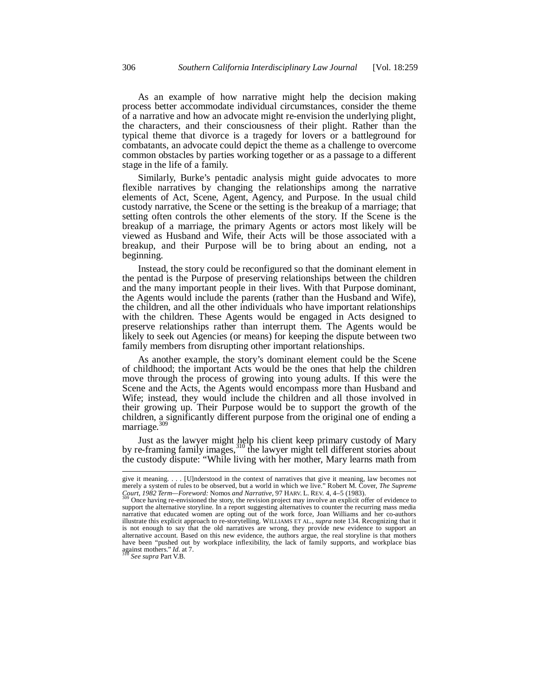As an example of how narrative might help the decision making process better accommodate individual circumstances, consider the theme of a narrative and how an advocate might re-envision the underlying plight, the characters, and their consciousness of their plight. Rather than the typical theme that divorce is a tragedy for lovers or a battleground for combatants, an advocate could depict the theme as a challenge to overcome common obstacles by parties working together or as a passage to a different stage in the life of a family.

Similarly, Burke's pentadic analysis might guide advocates to more flexible narratives by changing the relationships among the narrative elements of Act, Scene, Agent, Agency, and Purpose. In the usual child custody narrative, the Scene or the setting is the breakup of a marriage; that setting often controls the other elements of the story. If the Scene is the breakup of a marriage, the primary Agents or actors most likely will be viewed as Husband and Wife, their Acts will be those associated with a breakup, and their Purpose will be to bring about an ending, not a beginning.

Instead, the story could be reconfigured so that the dominant element in the pentad is the Purpose of preserving relationships between the children and the many important people in their lives. With that Purpose dominant, the Agents would include the parents (rather than the Husband and Wife), the children, and all the other individuals who have important relationships with the children. These Agents would be engaged in Acts designed to preserve relationships rather than interrupt them. The Agents would be likely to seek out Agencies (or means) for keeping the dispute between two family members from disrupting other important relationships.

As another example, the story's dominant element could be the Scene of childhood; the important Acts would be the ones that help the children move through the process of growing into young adults. If this were the Scene and the Acts, the Agents would encompass more than Husband and Wife; instead, they would include the children and all those involved in their growing up. Their Purpose would be to support the growth of the children, a significantly different purpose from the original one of ending a marriage.<sup>309</sup>

Just as the lawyer might help his client keep primary custody of Mary by re-framing family images,<sup>310</sup> the lawyer might tell different stories about the custody dispute: "While living with her mother, Mary learns math from

-

give it meaning. . . . [U]nderstood in the context of narratives that give it meaning, law becomes not merely a system of rules to be observed, but a world in which we live." Robert M. Cover, *The Supreme Court, 1982 Term—Foreword: Nomos and Narrative*, 97 HARV. L. REV. 4, 4–5 (1983).<br><sup>309</sup> Once having re-envisioned the story, the revision project may involve an explicit offer of evidence to

support the alternative storyline. In a report suggesting alternatives to counter the recurring mass media narrative that educated women are opting out of the work force, Joan Williams and her co-authors illustrate this explicit approach to re-storytelling. WILLIAMS ET AL., *supra* note 134. Recognizing that it is not enough to say that the old narratives are wrong, they provide new evidence to support an alternative account. Based on this new evidence, the authors argue, the real storyline is that mothers have been "pushed out by workplace inflexibility, the lack of family supports, and workplace bias against mothers." *Id.* at 7. 310 *See supra* Part V.B.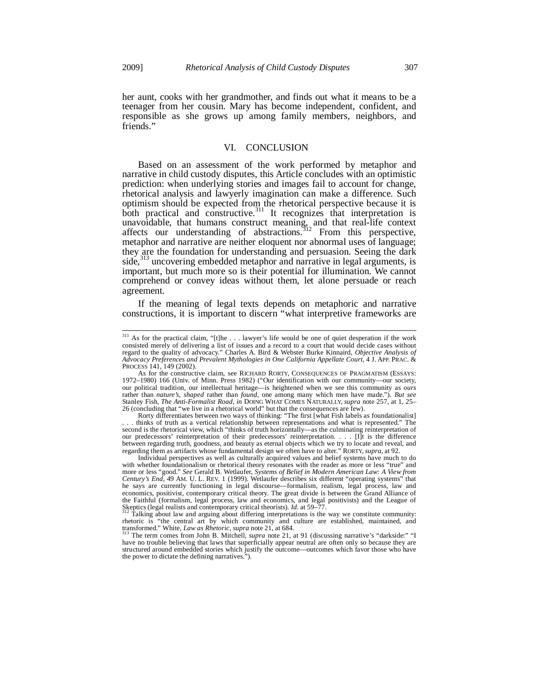j

her aunt, cooks with her grandmother, and finds out what it means to be a teenager from her cousin. Mary has become independent, confident, and responsible as she grows up among family members, neighbors, and friends."

## VI. CONCLUSION

Based on an assessment of the work performed by metaphor and narrative in child custody disputes, this Article concludes with an optimistic prediction: when underlying stories and images fail to account for change, rhetorical analysis and lawyerly imagination can make a difference. Such optimism should be expected from the rhetorical perspective because it is both practical and constructive.<sup>311</sup> It recognizes that interpretation is unavoidable, that humans construct meaning, and that real-life context affects our understanding of abstractions.<sup>312</sup> From this perspective, metaphor and narrative are neither eloquent nor abnormal uses of language; they are the foundation for understanding and persuasion. Seeing the dark side, $313$  uncovering embedded metaphor and narrative in legal arguments, is important, but much more so is their potential for illumination. We cannot comprehend or convey ideas without them, let alone persuade or reach agreement.

If the meaning of legal texts depends on metaphoric and narrative constructions, it is important to discern "what interpretive frameworks are

 $311$  As for the practical claim, "[t]he ... lawyer's life would be one of quiet desperation if the work consisted merely of delivering a list of issues and a record to a court that would decide cases without regard to the quality of advocacy." Charles A. Bird & Webster Burke Kinnaird, *Objective Analysis of Advocacy Preferences and Prevalent Mythologies in One California Appellate Court*, 4 J. APP. PRAC. & PROCESS 141, 149 (2002).

As for the constructive claim, see RICHARD RORTY, CONSEQUENCES OF PRAGMATISM (ESSAYS: 1972–1980) 166 (Univ. of Minn. Press 1982) ("Our identification with our community—our society, our political tradition, our intellectual heritage—is heightened when we see this community as *ours* rather than *nature's*, *shaped* rather than *found*, one among many which men have made."). *But see* Stanley Fish, *The Anti-Formalist Road*, *in* DOING WHAT COMES NATURALLY, *supra* note 257, at 1, 25– 26 (concluding that "we live in a rhetorical world" but that the consequences are few).

Rorty differentiates between two ways of thinking: "The first [what Fish labels as foundationalist] . . . thinks of truth as a vertical relationship between representations and what is represented." The second is the rhetorical view, which "thinks of truth horizontally—as the culminating reinterpretation of our predecessors' reinterpretation of their predecessors' reinterpretation. . . . [I]t is the difference between regarding truth, goodness, and beauty as eternal objects which we try to locate and reveal, and regarding them as artifacts whose fundamental design we often have to alter." RORTY, *supra*, at 92. Individual perspectives as well as culturally acquired values and belief systems have much to do

with whether foundationalism or rhetorical theory resonates with the reader as more or less "true" and more or less "good." See Gerald B. Wetlaufer, Systems of Belief in Modern American Law: A View from Century's End, 49 AM. U. L. REV. 1 (1999). Wetlaufer describes six different "operating systems" that he says are currentl economics, positivist, contemporary critical theory. The great divide is between the Grand Alliance of the Faithful (formalism, legal process, law and economics, and legal positivists) and the League of Skeptics (legal realists and contemporary critical theorists). *Id.* at 59–77.<br><sup>312</sup> Talking about law and arguing about differing interpretations is the way we constitute community:

rhetoric is "the central art by which community and culture are established, maintained, and transformed." White, *Law as Rhetoric*, *supra* note 21, at 684.<br><sup>313</sup> The term comes from John B. Mitchell, *supra* note 21, at

have no trouble believing that laws that superficially appear neutral are often only so because they are structured around embedded stories which justify the outcome—outcomes which favor those who have the power to dictate the defining narratives.").